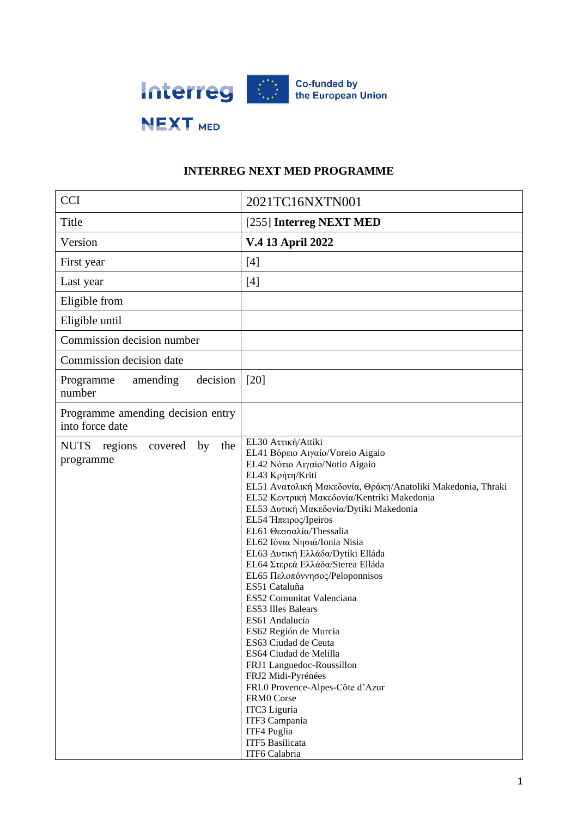

# **INTERREG NEXT MED PROGRAMME**

| <b>CCI</b>                                                  | 2021TC16NXTN001                                                                                                                                                                                                                                                                                                                                                                                                                                                                                                                                                                                                                                                                                                                                                                                                                         |
|-------------------------------------------------------------|-----------------------------------------------------------------------------------------------------------------------------------------------------------------------------------------------------------------------------------------------------------------------------------------------------------------------------------------------------------------------------------------------------------------------------------------------------------------------------------------------------------------------------------------------------------------------------------------------------------------------------------------------------------------------------------------------------------------------------------------------------------------------------------------------------------------------------------------|
| Title                                                       | [255] Interreg NEXT MED                                                                                                                                                                                                                                                                                                                                                                                                                                                                                                                                                                                                                                                                                                                                                                                                                 |
| Version                                                     | V.4 13 April 2022                                                                                                                                                                                                                                                                                                                                                                                                                                                                                                                                                                                                                                                                                                                                                                                                                       |
| First year                                                  | $[4]$                                                                                                                                                                                                                                                                                                                                                                                                                                                                                                                                                                                                                                                                                                                                                                                                                                   |
| Last year                                                   | $[4]$                                                                                                                                                                                                                                                                                                                                                                                                                                                                                                                                                                                                                                                                                                                                                                                                                                   |
| Eligible from                                               |                                                                                                                                                                                                                                                                                                                                                                                                                                                                                                                                                                                                                                                                                                                                                                                                                                         |
| Eligible until                                              |                                                                                                                                                                                                                                                                                                                                                                                                                                                                                                                                                                                                                                                                                                                                                                                                                                         |
| Commission decision number                                  |                                                                                                                                                                                                                                                                                                                                                                                                                                                                                                                                                                                                                                                                                                                                                                                                                                         |
| Commission decision date                                    |                                                                                                                                                                                                                                                                                                                                                                                                                                                                                                                                                                                                                                                                                                                                                                                                                                         |
| decision<br>amending<br>Programme<br>number                 | [20]                                                                                                                                                                                                                                                                                                                                                                                                                                                                                                                                                                                                                                                                                                                                                                                                                                    |
| Programme amending decision entry<br>into force date        |                                                                                                                                                                                                                                                                                                                                                                                                                                                                                                                                                                                                                                                                                                                                                                                                                                         |
| <b>NUTS</b><br>regions<br>covered<br>by<br>the<br>programme | EL30 Αττική/Attiki<br>EL41 Βόρειο Αιγαίο/Voreio Aigaio<br>EL42 Νότιο Αιγαίο/Notio Aigaio<br>EL43 Κρήτη/Kriti<br>EL51 Ανατολική Μακεδονία, Θράκη/Anatoliki Makedonia, Thraki<br>EL52 Κεντρική Μακεδονία/Kentriki Makedonia<br>EL53 Δυτική Μακεδονία/Dytiki Makedonia<br>EL54 Ήπειρος/Ipeiros<br>EL61 Θεσσαλία/Thessalia<br>EL62 Ιόνια Νησιά/Ionia Nisia<br>EL63 Δυτική Ελλάδα/Dytiki Elláda<br>ΕL64 Στερεά Ελλάδα/Sterea Elláda<br>EL65 Πελοπόννησος/Peloponnisos<br>ES51 Cataluña<br>ES52 Comunitat Valenciana<br><b>ES53 Illes Balears</b><br>ES61 Andalucía<br>ES62 Región de Murcia<br>ES63 Ciudad de Ceuta<br>ES64 Ciudad de Melilla<br>FRJ1 Languedoc-Roussillon<br>FRJ2 Midi-Pyrénées<br>FRL0 Provence-Alpes-Côte d'Azur<br><b>FRM0</b> Corse<br>ITC3 Liguria<br>ITF3 Campania<br>ITF4 Puglia<br>ITF5 Basilicata<br>ITF6 Calabria |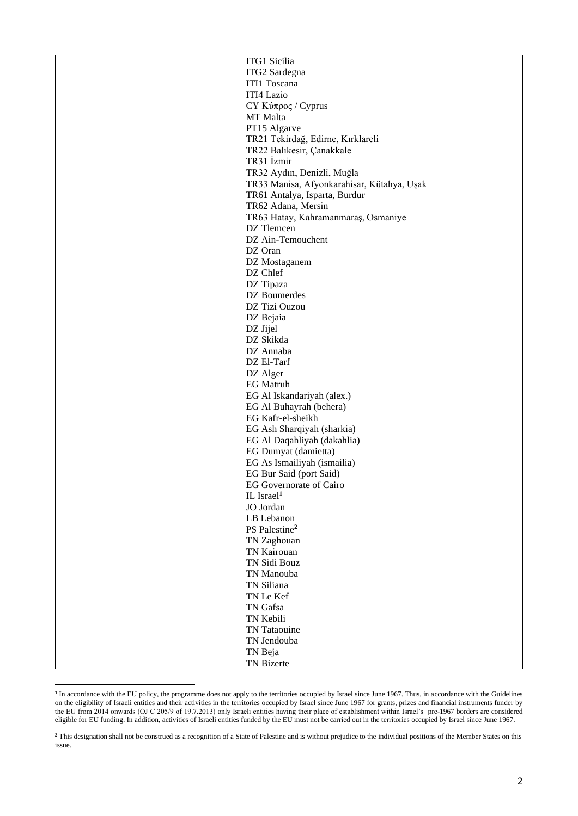| ITG1 Sicilia                               |
|--------------------------------------------|
| ITG2 Sardegna                              |
| ITI1 Toscana                               |
| ITI4 Lazio                                 |
| CY Κύπρος / Cyprus                         |
| MT Malta                                   |
| PT15 Algarve                               |
| TR21 Tekirdağ, Edirne, Kırklareli          |
|                                            |
| TR22 Balıkesir, Çanakkale                  |
| TR31 İzmir                                 |
| TR32 Aydın, Denizli, Muğla                 |
| TR33 Manisa, Afyonkarahisar, Kütahya, Uşak |
| TR61 Antalya, Isparta, Burdur              |
| TR62 Adana, Mersin                         |
| TR63 Hatay, Kahramanmaraş, Osmaniye        |
| DZ Tlemcen                                 |
| DZ Ain-Temouchent                          |
| DZ Oran                                    |
| DZ Mostaganem                              |
| DZ Chlef                                   |
| DZ Tipaza                                  |
| DZ Boumerdes                               |
| DZ Tizi Ouzou                              |
| DZ Bejaia                                  |
| DZ Jijel                                   |
| DZ Skikda                                  |
| DZ Annaba                                  |
| DZ El-Tarf                                 |
|                                            |
| DZ Alger                                   |
| <b>EG</b> Matruh                           |
| EG Al Iskandariyah (alex.)                 |
| EG Al Buhayrah (behera)                    |
| EG Kafr-el-sheikh                          |
| EG Ash Sharqiyah (sharkia)                 |
| EG Al Daqahliyah (dakahlia)                |
| EG Dumyat (damietta)                       |
| EG As Ismailiyah (ismailia)                |
| EG Bur Said (port Said)                    |
| <b>EG</b> Governorate of Cairo             |
| IL Israel <sup>1</sup>                     |
| JO Jordan                                  |
| LB Lebanon                                 |
| PS Palestine <sup>2</sup>                  |
| TN Zaghouan                                |
| TN Kairouan                                |
| TN Sidi Bouz                               |
| TN Manouba                                 |
| TN Siliana                                 |
| TN Le Kef                                  |
| TN Gafsa                                   |
| TN Kebili                                  |
| TN Tataouine                               |
| TN Jendouba                                |
|                                            |
| TN Beja                                    |
| TN Bizerte                                 |

<sup>&</sup>lt;sup>1</sup> In accordance with the EU policy, the programme does not apply to the territories occupied by Israel since June 1967. Thus, in accordance with the Guidelines on the eligibility of Israeli entities and their activities in the territories occupied by Israel since June 1967 for grants, prizes and financial instruments funder by the EU from 2014 onwards (OJ C 205/9 of 19.7.2013) only Israeli entities having their place of establishment within Israel's pre-1967 borders are considered eligible for EU funding. In addition, activities of Israeli entities funded by the EU must not be carried out in the territories occupied by Israel since June 1967.

<sup>&</sup>lt;sup>2</sup> This designation shall not be construed as a recognition of a State of Palestine and is without prejudice to the individual positions of the Member States on this issue.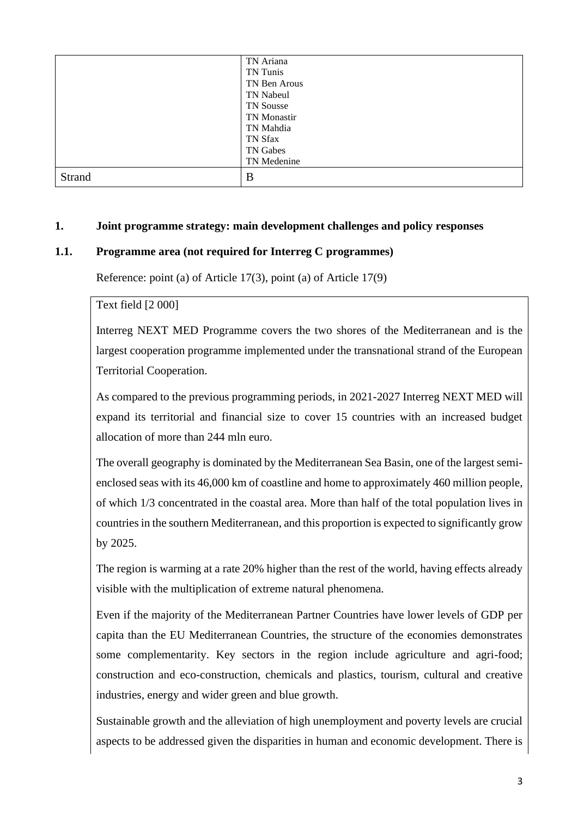|        | TN Ariana    |
|--------|--------------|
|        | TN Tunis     |
|        | TN Ben Arous |
|        | TN Nabeul    |
|        | TN Sousse    |
|        | TN Monastir  |
|        | TN Mahdia    |
|        | TN Sfax      |
|        | TN Gabes     |
|        | TN Medenine  |
| Strand | B            |

## **1. Joint programme strategy: main development challenges and policy responses**

## **1.1. Programme area (not required for Interreg C programmes)**

Reference: point (a) of Article 17(3), point (a) of Article 17(9)

Text field [2 000]

Interreg NEXT MED Programme covers the two shores of the Mediterranean and is the largest cooperation programme implemented under the transnational strand of the European Territorial Cooperation.

As compared to the previous programming periods, in 2021-2027 Interreg NEXT MED will expand its territorial and financial size to cover 15 countries with an increased budget allocation of more than 244 mln euro.

The overall geography is dominated by the Mediterranean Sea Basin, one of the largest semienclosed seas with its 46,000 km of coastline and home to approximately 460 million people, of which 1/3 concentrated in the coastal area. More than half of the total population lives in countries in the southern Mediterranean, and this proportion is expected to significantly grow by 2025.

The region is warming at a rate 20% higher than the rest of the world, having effects already visible with the multiplication of extreme natural phenomena.

Even if the majority of the Mediterranean Partner Countries have lower levels of GDP per capita than the EU Mediterranean Countries, the structure of the economies demonstrates some complementarity. Key sectors in the region include agriculture and agri-food; construction and eco-construction, chemicals and plastics, tourism, cultural and creative industries, energy and wider green and blue growth.

Sustainable growth and the alleviation of high unemployment and poverty levels are crucial aspects to be addressed given the disparities in human and economic development. There is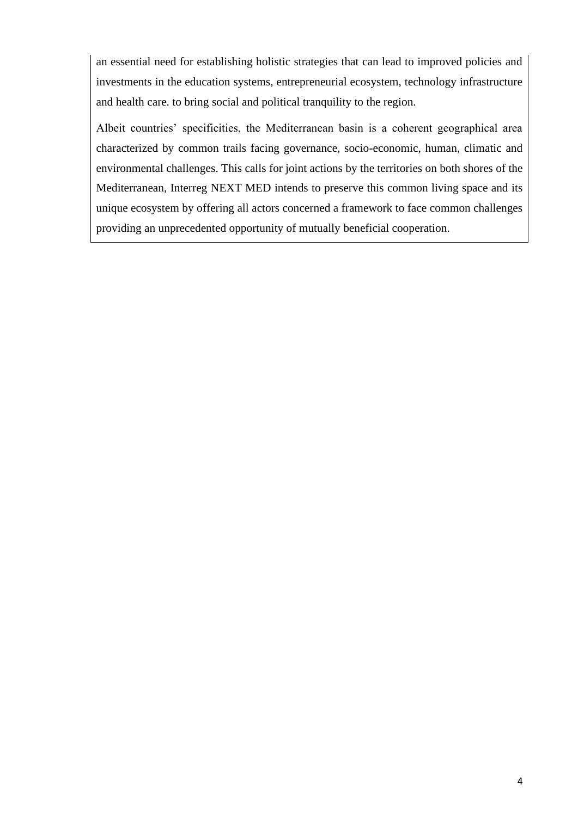an essential need for establishing holistic strategies that can lead to improved policies and investments in the education systems, entrepreneurial ecosystem, technology infrastructure and health care. to bring social and political tranquility to the region.

Albeit countries' specificities, the Mediterranean basin is a coherent geographical area characterized by common trails facing governance, socio-economic, human, climatic and environmental challenges. This calls for joint actions by the territories on both shores of the Mediterranean, Interreg NEXT MED intends to preserve this common living space and its unique ecosystem by offering all actors concerned a framework to face common challenges providing an unprecedented opportunity of mutually beneficial cooperation.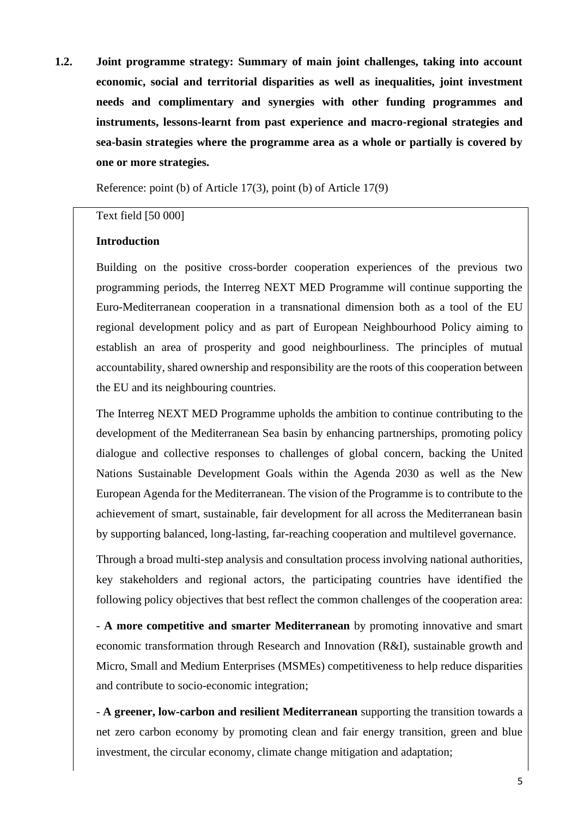**1.2. Joint programme strategy: Summary of main joint challenges, taking into account economic, social and territorial disparities as well as inequalities, joint investment needs and complimentary and synergies with other funding programmes and instruments, lessons-learnt from past experience and macro-regional strategies and sea-basin strategies where the programme area as a whole or partially is covered by one or more strategies.**

Reference: point (b) of Article 17(3), point (b) of Article 17(9)

#### Text field [50 000]

## **Introduction**

Building on the positive cross-border cooperation experiences of the previous two programming periods, the Interreg NEXT MED Programme will continue supporting the Euro-Mediterranean cooperation in a transnational dimension both as a tool of the EU regional development policy and as part of European Neighbourhood Policy aiming to establish an area of prosperity and good neighbourliness. The principles of mutual accountability, shared ownership and responsibility are the roots of this cooperation between the EU and its neighbouring countries.

The Interreg NEXT MED Programme upholds the ambition to continue contributing to the development of the Mediterranean Sea basin by enhancing partnerships, promoting policy dialogue and collective responses to challenges of global concern, backing the United Nations Sustainable Development Goals within the Agenda 2030 as well as the New European Agenda for the Mediterranean. The vision of the Programme is to contribute to the achievement of smart, sustainable, fair development for all across the Mediterranean basin by supporting balanced, long-lasting, far-reaching cooperation and multilevel governance.

Through a broad multi-step analysis and consultation process involving national authorities, key stakeholders and regional actors, the participating countries have identified the following policy objectives that best reflect the common challenges of the cooperation area:

- **A more competitive and smarter Mediterranean** by promoting innovative and smart economic transformation through Research and Innovation (R&I), sustainable growth and Micro, Small and Medium Enterprises (MSMEs) competitiveness to help reduce disparities and contribute to socio-economic integration;

- **A greener, low-carbon and resilient Mediterranean** supporting the transition towards a net zero carbon economy by promoting clean and fair energy transition, green and blue investment, the circular economy, climate change mitigation and adaptation;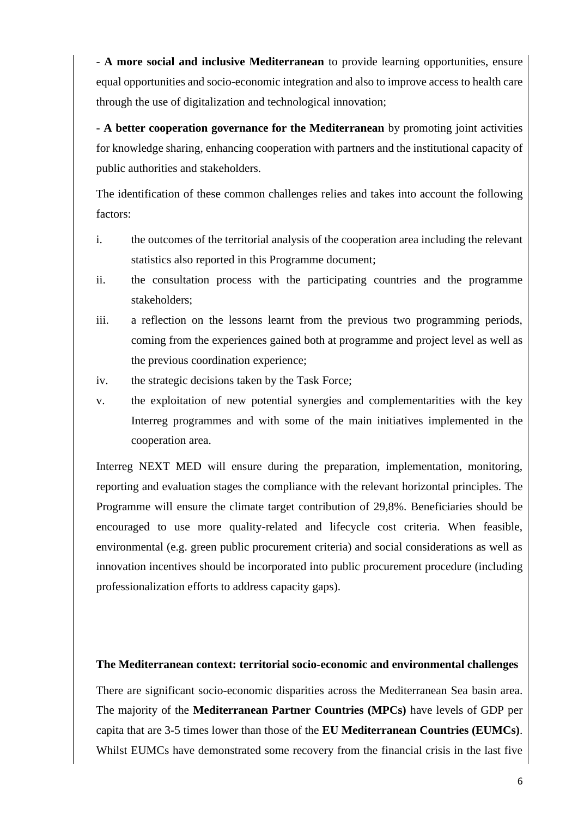- **A more social and inclusive Mediterranean** to provide learning opportunities, ensure equal opportunities and socio-economic integration and also to improve access to health care through the use of digitalization and technological innovation;

- **A better cooperation governance for the Mediterranean** by promoting joint activities for knowledge sharing, enhancing cooperation with partners and the institutional capacity of public authorities and stakeholders.

The identification of these common challenges relies and takes into account the following factors:

- i. the outcomes of the territorial analysis of the cooperation area including the relevant statistics also reported in this Programme document;
- ii. the consultation process with the participating countries and the programme stakeholders;
- iii. a reflection on the lessons learnt from the previous two programming periods, coming from the experiences gained both at programme and project level as well as the previous coordination experience;
- iv. the strategic decisions taken by the Task Force;
- v. the exploitation of new potential synergies and complementarities with the key Interreg programmes and with some of the main initiatives implemented in the cooperation area.

Interreg NEXT MED will ensure during the preparation, implementation, monitoring, reporting and evaluation stages the compliance with the relevant horizontal principles. The Programme will ensure the climate target contribution of 29,8%. Beneficiaries should be encouraged to use more quality-related and lifecycle cost criteria. When feasible, environmental (e.g. green public procurement criteria) and social considerations as well as innovation incentives should be incorporated into public procurement procedure (including professionalization efforts to address capacity gaps).

#### **The Mediterranean context: territorial socio-economic and environmental challenges**

There are significant socio-economic disparities across the Mediterranean Sea basin area. The majority of the **Mediterranean Partner Countries (MPCs)** have levels of GDP per capita that are 3-5 times lower than those of the **EU Mediterranean Countries (EUMCs)**. Whilst EUMCs have demonstrated some recovery from the financial crisis in the last five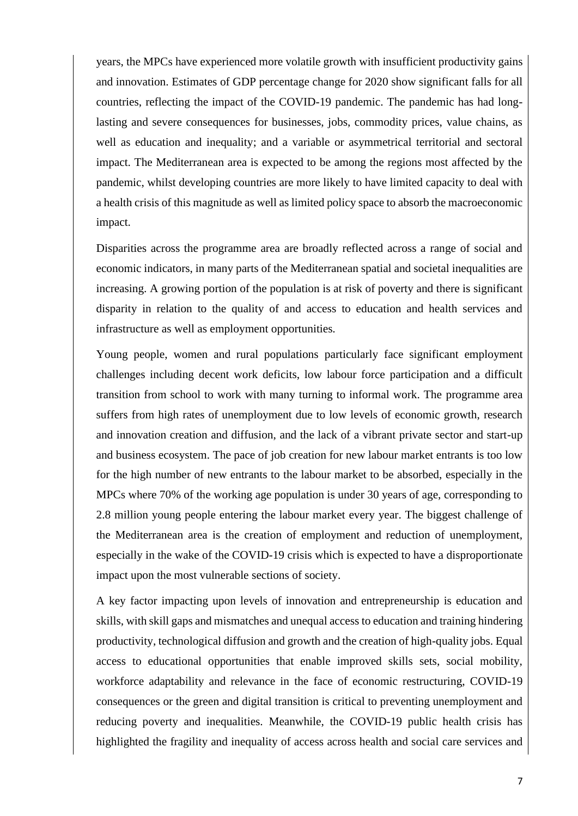years, the MPCs have experienced more volatile growth with insufficient productivity gains and innovation. Estimates of GDP percentage change for 2020 show significant falls for all countries, reflecting the impact of the COVID-19 pandemic. The pandemic has had longlasting and severe consequences for businesses, jobs, commodity prices, value chains, as well as education and inequality; and a variable or asymmetrical territorial and sectoral impact. The Mediterranean area is expected to be among the regions most affected by the pandemic, whilst developing countries are more likely to have limited capacity to deal with a health crisis of this magnitude as well as limited policy space to absorb the macroeconomic impact.

Disparities across the programme area are broadly reflected across a range of social and economic indicators, in many parts of the Mediterranean spatial and societal inequalities are increasing. A growing portion of the population is at risk of poverty and there is significant disparity in relation to the quality of and access to education and health services and infrastructure as well as employment opportunities.

Young people, women and rural populations particularly face significant employment challenges including decent work deficits, low labour force participation and a difficult transition from school to work with many turning to informal work. The programme area suffers from high rates of unemployment due to low levels of economic growth, research and innovation creation and diffusion, and the lack of a vibrant private sector and start-up and business ecosystem. The pace of job creation for new labour market entrants is too low for the high number of new entrants to the labour market to be absorbed, especially in the MPCs where 70% of the working age population is under 30 years of age, corresponding to 2.8 million young people entering the labour market every year. The biggest challenge of the Mediterranean area is the creation of employment and reduction of unemployment, especially in the wake of the COVID-19 crisis which is expected to have a disproportionate impact upon the most vulnerable sections of society.

A key factor impacting upon levels of innovation and entrepreneurship is education and skills, with skill gaps and mismatches and unequal access to education and training hindering productivity, technological diffusion and growth and the creation of high-quality jobs. Equal access to educational opportunities that enable improved skills sets, social mobility, workforce adaptability and relevance in the face of economic restructuring, COVID-19 consequences or the green and digital transition is critical to preventing unemployment and reducing poverty and inequalities. Meanwhile, the COVID-19 public health crisis has highlighted the fragility and inequality of access across health and social care services and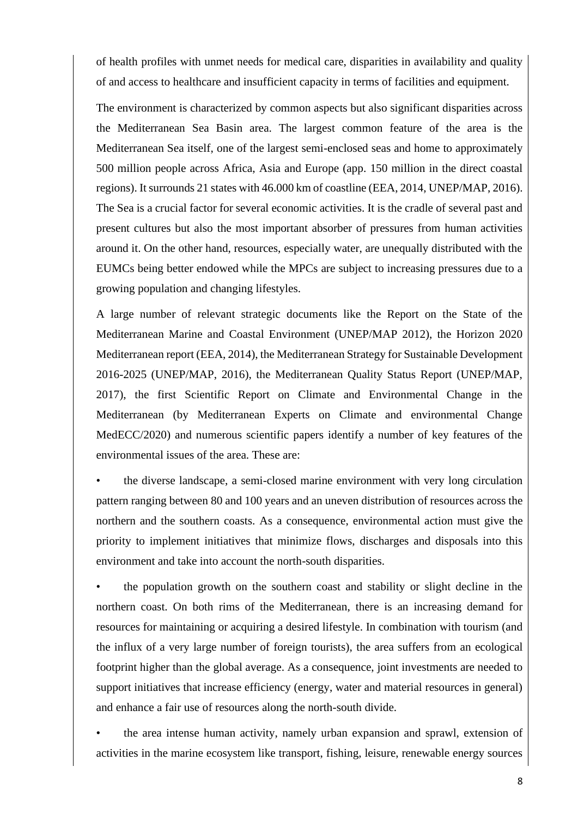of health profiles with unmet needs for medical care, disparities in availability and quality of and access to healthcare and insufficient capacity in terms of facilities and equipment.

The environment is characterized by common aspects but also significant disparities across the Mediterranean Sea Basin area. The largest common feature of the area is the Mediterranean Sea itself, one of the largest semi-enclosed seas and home to approximately 500 million people across Africa, Asia and Europe (app. 150 million in the direct coastal regions). It surrounds 21 states with 46.000 km of coastline (EEA, 2014, UNEP/MAP, 2016). The Sea is a crucial factor for several economic activities. It is the cradle of several past and present cultures but also the most important absorber of pressures from human activities around it. On the other hand, resources, especially water, are unequally distributed with the EUMCs being better endowed while the MPCs are subject to increasing pressures due to a growing population and changing lifestyles.

A large number of relevant strategic documents like the Report on the State of the Mediterranean Marine and Coastal Environment (UNEP/MAP 2012), the Horizon 2020 Mediterranean report (EEA, 2014), the Mediterranean Strategy for Sustainable Development 2016-2025 (UNEP/MAP, 2016), the Mediterranean Quality Status Report (UNEP/MAP, 2017), the first Scientific Report on Climate and Environmental Change in the Mediterranean (by Mediterranean Experts on Climate and environmental Change MedECC/2020) and numerous scientific papers identify a number of key features of the environmental issues of the area. These are:

• the diverse landscape, a semi-closed marine environment with very long circulation pattern ranging between 80 and 100 years and an uneven distribution of resources across the northern and the southern coasts. As a consequence, environmental action must give the priority to implement initiatives that minimize flows, discharges and disposals into this environment and take into account the north-south disparities.

• the population growth on the southern coast and stability or slight decline in the northern coast. On both rims of the Mediterranean, there is an increasing demand for resources for maintaining or acquiring a desired lifestyle. In combination with tourism (and the influx of a very large number of foreign tourists), the area suffers from an ecological footprint higher than the global average. As a consequence, joint investments are needed to support initiatives that increase efficiency (energy, water and material resources in general) and enhance a fair use of resources along the north-south divide.

• the area intense human activity, namely urban expansion and sprawl, extension of activities in the marine ecosystem like transport, fishing, leisure, renewable energy sources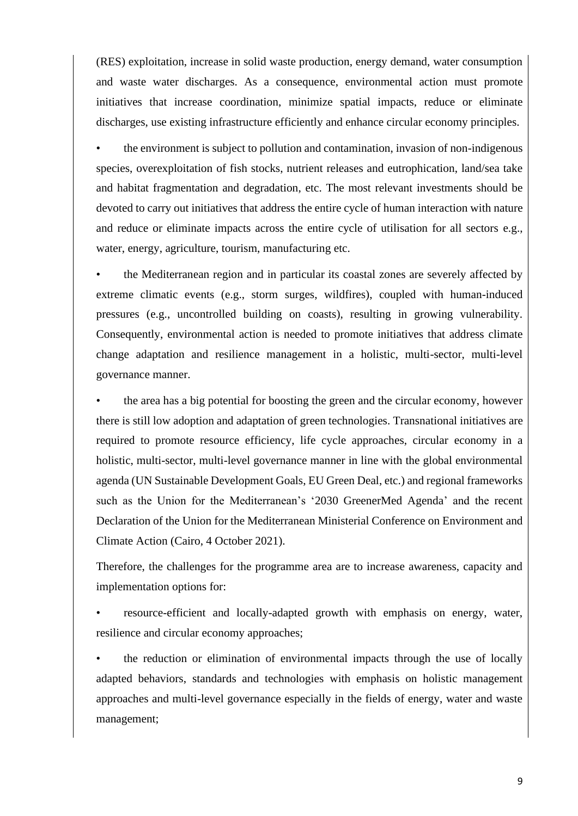(RES) exploitation, increase in solid waste production, energy demand, water consumption and waste water discharges. As a consequence, environmental action must promote initiatives that increase coordination, minimize spatial impacts, reduce or eliminate discharges, use existing infrastructure efficiently and enhance circular economy principles.

• the environment is subject to pollution and contamination, invasion of non-indigenous species, overexploitation of fish stocks, nutrient releases and eutrophication, land/sea take and habitat fragmentation and degradation, etc. The most relevant investments should be devoted to carry out initiatives that address the entire cycle of human interaction with nature and reduce or eliminate impacts across the entire cycle of utilisation for all sectors e.g., water, energy, agriculture, tourism, manufacturing etc.

• the Mediterranean region and in particular its coastal zones are severely affected by extreme climatic events (e.g., storm surges, wildfires), coupled with human-induced pressures (e.g., uncontrolled building on coasts), resulting in growing vulnerability. Consequently, environmental action is needed to promote initiatives that address climate change adaptation and resilience management in a holistic, multi-sector, multi-level governance manner.

• the area has a big potential for boosting the green and the circular economy, however there is still low adoption and adaptation of green technologies. Transnational initiatives are required to promote resource efficiency, life cycle approaches, circular economy in a holistic, multi-sector, multi-level governance manner in line with the global environmental agenda (UN Sustainable Development Goals, EU Green Deal, etc.) and regional frameworks such as the Union for the Mediterranean's '2030 GreenerMed Agenda' and the recent Declaration of the Union for the Mediterranean Ministerial Conference on Environment and Climate Action (Cairo, 4 October 2021).

Therefore, the challenges for the programme area are to increase awareness, capacity and implementation options for:

• resource-efficient and locally-adapted growth with emphasis on energy, water, resilience and circular economy approaches;

• the reduction or elimination of environmental impacts through the use of locally adapted behaviors, standards and technologies with emphasis on holistic management approaches and multi-level governance especially in the fields of energy, water and waste management;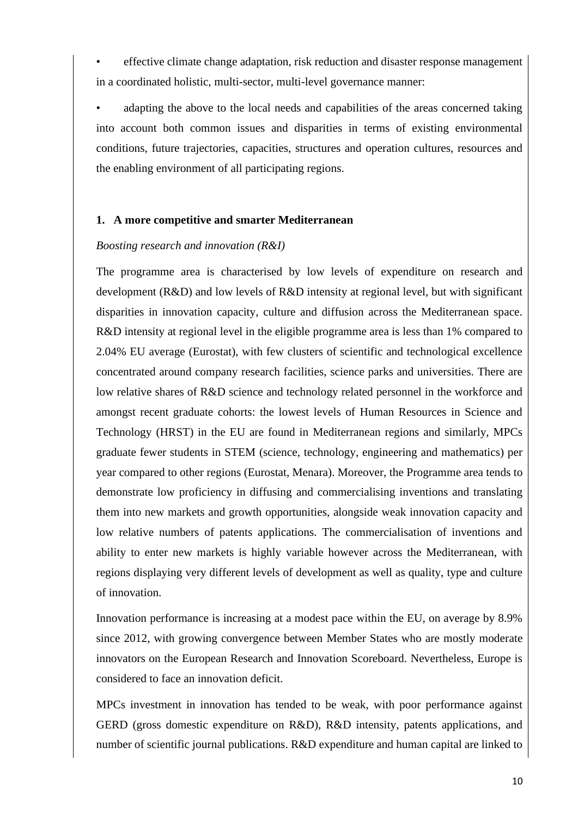• effective climate change adaptation, risk reduction and disaster response management in a coordinated holistic, multi-sector, multi-level governance manner:

adapting the above to the local needs and capabilities of the areas concerned taking into account both common issues and disparities in terms of existing environmental conditions, future trajectories, capacities, structures and operation cultures, resources and the enabling environment of all participating regions.

## **1. A more competitive and smarter Mediterranean**

## *Boosting research and innovation (R&I)*

The programme area is characterised by low levels of expenditure on research and development (R&D) and low levels of R&D intensity at regional level, but with significant disparities in innovation capacity, culture and diffusion across the Mediterranean space. R&D intensity at regional level in the eligible programme area is less than 1% compared to 2.04% EU average (Eurostat), with few clusters of scientific and technological excellence concentrated around company research facilities, science parks and universities. There are low relative shares of R&D science and technology related personnel in the workforce and amongst recent graduate cohorts: the lowest levels of Human Resources in Science and Technology (HRST) in the EU are found in Mediterranean regions and similarly, MPCs graduate fewer students in STEM (science, technology, engineering and mathematics) per year compared to other regions (Eurostat, Menara). Moreover, the Programme area tends to demonstrate low proficiency in diffusing and commercialising inventions and translating them into new markets and growth opportunities, alongside weak innovation capacity and low relative numbers of patents applications. The commercialisation of inventions and ability to enter new markets is highly variable however across the Mediterranean, with regions displaying very different levels of development as well as quality, type and culture of innovation.

Innovation performance is increasing at a modest pace within the EU, on average by 8.9% since 2012, with growing convergence between Member States who are mostly moderate innovators on the European Research and Innovation Scoreboard. Nevertheless, Europe is considered to face an innovation deficit.

MPCs investment in innovation has tended to be weak, with poor performance against GERD (gross domestic expenditure on R&D), R&D intensity, patents applications, and number of scientific journal publications. R&D expenditure and human capital are linked to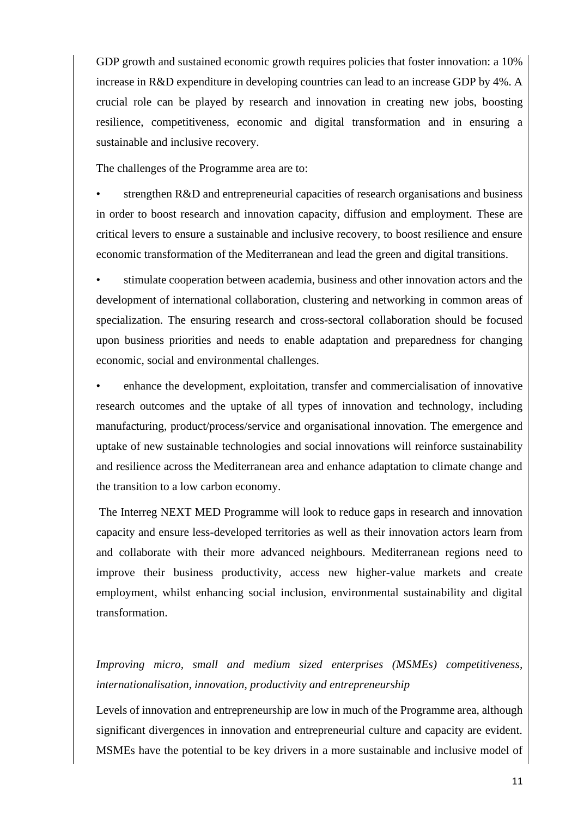GDP growth and sustained economic growth requires policies that foster innovation: a 10% increase in R&D expenditure in developing countries can lead to an increase GDP by 4%. A crucial role can be played by research and innovation in creating new jobs, boosting resilience, competitiveness, economic and digital transformation and in ensuring a sustainable and inclusive recovery.

The challenges of the Programme area are to:

strengthen R&D and entrepreneurial capacities of research organisations and business in order to boost research and innovation capacity, diffusion and employment. These are critical levers to ensure a sustainable and inclusive recovery, to boost resilience and ensure economic transformation of the Mediterranean and lead the green and digital transitions.

• stimulate cooperation between academia, business and other innovation actors and the development of international collaboration, clustering and networking in common areas of specialization. The ensuring research and cross-sectoral collaboration should be focused upon business priorities and needs to enable adaptation and preparedness for changing economic, social and environmental challenges.

• enhance the development, exploitation, transfer and commercialisation of innovative research outcomes and the uptake of all types of innovation and technology, including manufacturing, product/process/service and organisational innovation. The emergence and uptake of new sustainable technologies and social innovations will reinforce sustainability and resilience across the Mediterranean area and enhance adaptation to climate change and the transition to a low carbon economy.

The Interreg NEXT MED Programme will look to reduce gaps in research and innovation capacity and ensure less-developed territories as well as their innovation actors learn from and collaborate with their more advanced neighbours. Mediterranean regions need to improve their business productivity, access new higher-value markets and create employment, whilst enhancing social inclusion, environmental sustainability and digital transformation.

*Improving micro, small and medium sized enterprises (MSMEs) competitiveness, internationalisation, innovation, productivity and entrepreneurship*

Levels of innovation and entrepreneurship are low in much of the Programme area, although significant divergences in innovation and entrepreneurial culture and capacity are evident. MSMEs have the potential to be key drivers in a more sustainable and inclusive model of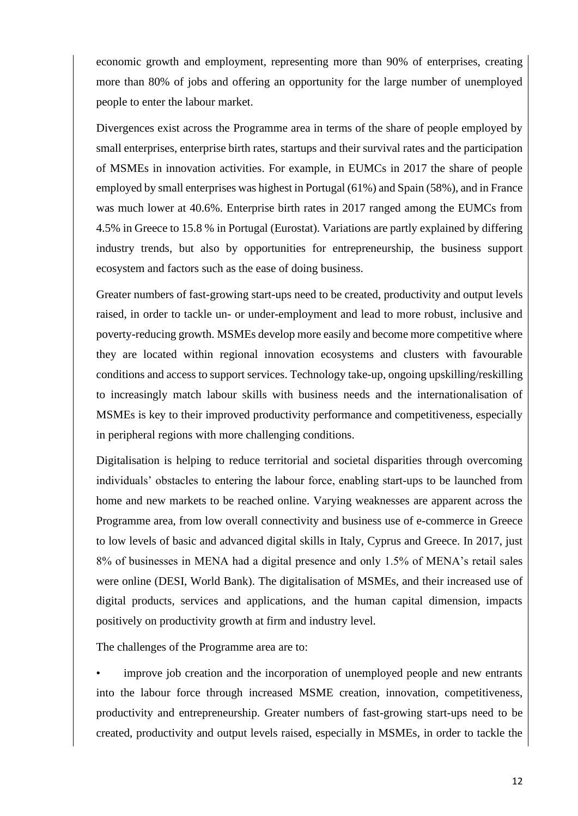economic growth and employment, representing more than 90% of enterprises, creating more than 80% of jobs and offering an opportunity for the large number of unemployed people to enter the labour market.

Divergences exist across the Programme area in terms of the share of people employed by small enterprises, enterprise birth rates, startups and their survival rates and the participation of MSMEs in innovation activities. For example, in EUMCs in 2017 the share of people employed by small enterprises was highest in Portugal (61%) and Spain (58%), and in France was much lower at 40.6%. Enterprise birth rates in 2017 ranged among the EUMCs from 4.5% in Greece to 15.8 % in Portugal (Eurostat). Variations are partly explained by differing industry trends, but also by opportunities for entrepreneurship, the business support ecosystem and factors such as the ease of doing business.

Greater numbers of fast-growing start-ups need to be created, productivity and output levels raised, in order to tackle un- or under-employment and lead to more robust, inclusive and poverty-reducing growth. MSMEs develop more easily and become more competitive where they are located within regional innovation ecosystems and clusters with favourable conditions and access to support services. Technology take-up, ongoing upskilling/reskilling to increasingly match labour skills with business needs and the internationalisation of MSMEs is key to their improved productivity performance and competitiveness, especially in peripheral regions with more challenging conditions.

Digitalisation is helping to reduce territorial and societal disparities through overcoming individuals' obstacles to entering the labour force, enabling start-ups to be launched from home and new markets to be reached online. Varying weaknesses are apparent across the Programme area, from low overall connectivity and business use of e-commerce in Greece to low levels of basic and advanced digital skills in Italy, Cyprus and Greece. In 2017, just 8% of businesses in MENA had a digital presence and only 1.5% of MENA's retail sales were online (DESI, World Bank). The digitalisation of MSMEs, and their increased use of digital products, services and applications, and the human capital dimension, impacts positively on productivity growth at firm and industry level.

The challenges of the Programme area are to:

• improve job creation and the incorporation of unemployed people and new entrants into the labour force through increased MSME creation, innovation, competitiveness, productivity and entrepreneurship. Greater numbers of fast-growing start-ups need to be created, productivity and output levels raised, especially in MSMEs, in order to tackle the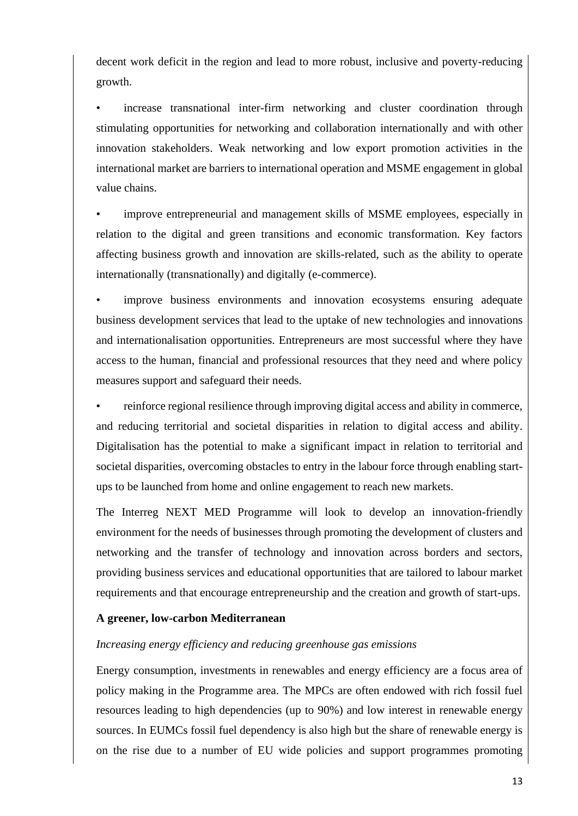decent work deficit in the region and lead to more robust, inclusive and poverty-reducing growth.

increase transnational inter-firm networking and cluster coordination through stimulating opportunities for networking and collaboration internationally and with other innovation stakeholders. Weak networking and low export promotion activities in the international market are barriers to international operation and MSME engagement in global value chains.

• improve entrepreneurial and management skills of MSME employees, especially in relation to the digital and green transitions and economic transformation. Key factors affecting business growth and innovation are skills-related, such as the ability to operate internationally (transnationally) and digitally (e-commerce).

improve business environments and innovation ecosystems ensuring adequate business development services that lead to the uptake of new technologies and innovations and internationalisation opportunities. Entrepreneurs are most successful where they have access to the human, financial and professional resources that they need and where policy measures support and safeguard their needs.

• reinforce regional resilience through improving digital access and ability in commerce, and reducing territorial and societal disparities in relation to digital access and ability. Digitalisation has the potential to make a significant impact in relation to territorial and societal disparities, overcoming obstacles to entry in the labour force through enabling startups to be launched from home and online engagement to reach new markets.

The Interreg NEXT MED Programme will look to develop an innovation-friendly environment for the needs of businesses through promoting the development of clusters and networking and the transfer of technology and innovation across borders and sectors, providing business services and educational opportunities that are tailored to labour market requirements and that encourage entrepreneurship and the creation and growth of start-ups.

#### **A greener, low-carbon Mediterranean**

## *Increasing energy efficiency and reducing greenhouse gas emissions*

Energy consumption, investments in renewables and energy efficiency are a focus area of policy making in the Programme area. The MPCs are often endowed with rich fossil fuel resources leading to high dependencies (up to 90%) and low interest in renewable energy sources. In EUMCs fossil fuel dependency is also high but the share of renewable energy is on the rise due to a number of EU wide policies and support programmes promoting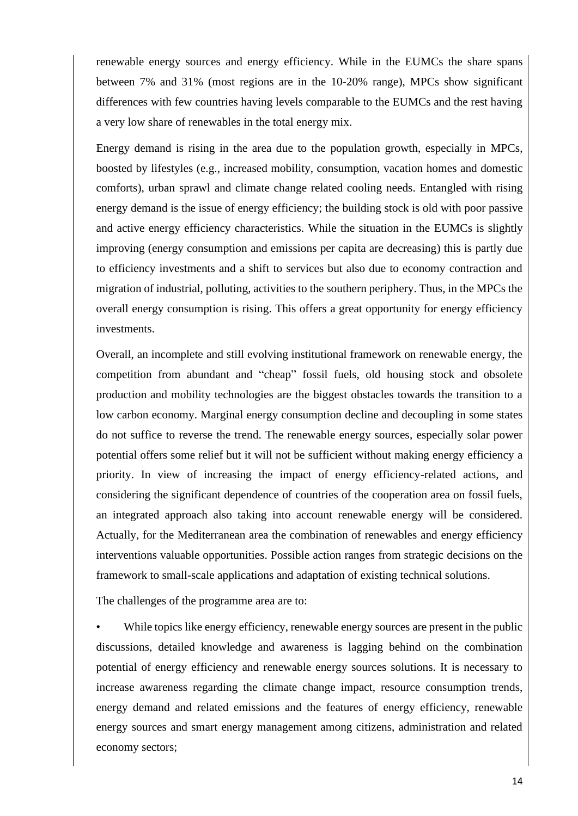renewable energy sources and energy efficiency. While in the EUMCs the share spans between 7% and 31% (most regions are in the 10-20% range), MPCs show significant differences with few countries having levels comparable to the EUMCs and the rest having a very low share of renewables in the total energy mix.

Energy demand is rising in the area due to the population growth, especially in MPCs, boosted by lifestyles (e.g., increased mobility, consumption, vacation homes and domestic comforts), urban sprawl and climate change related cooling needs. Entangled with rising energy demand is the issue of energy efficiency; the building stock is old with poor passive and active energy efficiency characteristics. While the situation in the EUMCs is slightly improving (energy consumption and emissions per capita are decreasing) this is partly due to efficiency investments and a shift to services but also due to economy contraction and migration of industrial, polluting, activities to the southern periphery. Thus, in the MPCs the overall energy consumption is rising. This offers a great opportunity for energy efficiency investments.

Overall, an incomplete and still evolving institutional framework on renewable energy, the competition from abundant and "cheap" fossil fuels, old housing stock and obsolete production and mobility technologies are the biggest obstacles towards the transition to a low carbon economy. Marginal energy consumption decline and decoupling in some states do not suffice to reverse the trend. The renewable energy sources, especially solar power potential offers some relief but it will not be sufficient without making energy efficiency a priority. In view of increasing the impact of energy efficiency-related actions, and considering the significant dependence of countries of the cooperation area on fossil fuels, an integrated approach also taking into account renewable energy will be considered. Actually, for the Mediterranean area the combination of renewables and energy efficiency interventions valuable opportunities. Possible action ranges from strategic decisions on the framework to small-scale applications and adaptation of existing technical solutions.

The challenges of the programme area are to:

While topics like energy efficiency, renewable energy sources are present in the public discussions, detailed knowledge and awareness is lagging behind on the combination potential of energy efficiency and renewable energy sources solutions. It is necessary to increase awareness regarding the climate change impact, resource consumption trends, energy demand and related emissions and the features of energy efficiency, renewable energy sources and smart energy management among citizens, administration and related economy sectors;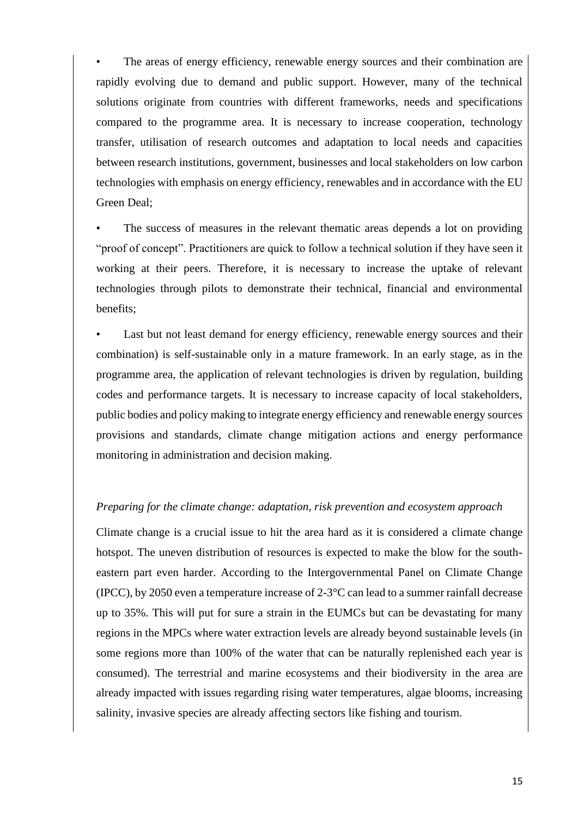The areas of energy efficiency, renewable energy sources and their combination are rapidly evolving due to demand and public support. However, many of the technical solutions originate from countries with different frameworks, needs and specifications compared to the programme area. It is necessary to increase cooperation, technology transfer, utilisation of research outcomes and adaptation to local needs and capacities between research institutions, government, businesses and local stakeholders on low carbon technologies with emphasis on energy efficiency, renewables and in accordance with the EU Green Deal;

The success of measures in the relevant thematic areas depends a lot on providing "proof of concept". Practitioners are quick to follow a technical solution if they have seen it working at their peers. Therefore, it is necessary to increase the uptake of relevant technologies through pilots to demonstrate their technical, financial and environmental benefits;

Last but not least demand for energy efficiency, renewable energy sources and their combination) is self-sustainable only in a mature framework. In an early stage, as in the programme area, the application of relevant technologies is driven by regulation, building codes and performance targets. It is necessary to increase capacity of local stakeholders, public bodies and policy making to integrate energy efficiency and renewable energy sources provisions and standards, climate change mitigation actions and energy performance monitoring in administration and decision making.

#### *Preparing for the climate change: adaptation, risk prevention and ecosystem approach*

Climate change is a crucial issue to hit the area hard as it is considered a climate change hotspot. The uneven distribution of resources is expected to make the blow for the southeastern part even harder. According to the Intergovernmental Panel on Climate Change (IPCC), by 2050 even a temperature increase of 2-3°C can lead to a summer rainfall decrease up to 35%. This will put for sure a strain in the EUMCs but can be devastating for many regions in the MPCs where water extraction levels are already beyond sustainable levels (in some regions more than 100% of the water that can be naturally replenished each year is consumed). The terrestrial and marine ecosystems and their biodiversity in the area are already impacted with issues regarding rising water temperatures, algae blooms, increasing salinity, invasive species are already affecting sectors like fishing and tourism.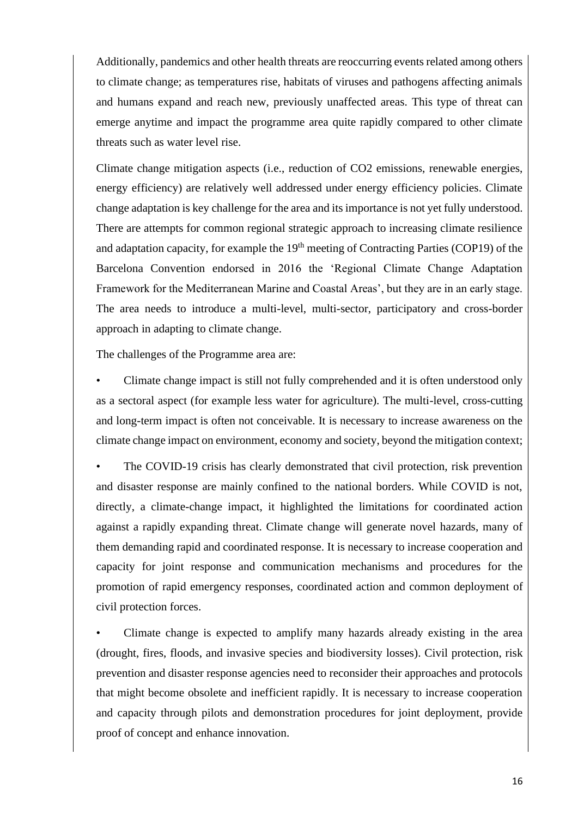Additionally, pandemics and other health threats are reoccurring events related among others to climate change; as temperatures rise, habitats of viruses and pathogens affecting animals and humans expand and reach new, previously unaffected areas. This type of threat can emerge anytime and impact the programme area quite rapidly compared to other climate threats such as water level rise.

Climate change mitigation aspects (i.e., reduction of CO2 emissions, renewable energies, energy efficiency) are relatively well addressed under energy efficiency policies. Climate change adaptation is key challenge for the area and its importance is not yet fully understood. There are attempts for common regional strategic approach to increasing climate resilience and adaptation capacity, for example the  $19<sup>th</sup>$  meeting of Contracting Parties (COP19) of the Barcelona Convention endorsed in 2016 the 'Regional Climate Change Adaptation Framework for the Mediterranean Marine and Coastal Areas', but they are in an early stage. The area needs to introduce a multi-level, multi-sector, participatory and cross-border approach in adapting to climate change.

The challenges of the Programme area are:

• Climate change impact is still not fully comprehended and it is often understood only as a sectoral aspect (for example less water for agriculture). The multi-level, cross-cutting and long-term impact is often not conceivable. It is necessary to increase awareness on the climate change impact on environment, economy and society, beyond the mitigation context;

The COVID-19 crisis has clearly demonstrated that civil protection, risk prevention and disaster response are mainly confined to the national borders. While COVID is not, directly, a climate-change impact, it highlighted the limitations for coordinated action against a rapidly expanding threat. Climate change will generate novel hazards, many of them demanding rapid and coordinated response. It is necessary to increase cooperation and capacity for joint response and communication mechanisms and procedures for the promotion of rapid emergency responses, coordinated action and common deployment of civil protection forces.

Climate change is expected to amplify many hazards already existing in the area (drought, fires, floods, and invasive species and biodiversity losses). Civil protection, risk prevention and disaster response agencies need to reconsider their approaches and protocols that might become obsolete and inefficient rapidly. It is necessary to increase cooperation and capacity through pilots and demonstration procedures for joint deployment, provide proof of concept and enhance innovation.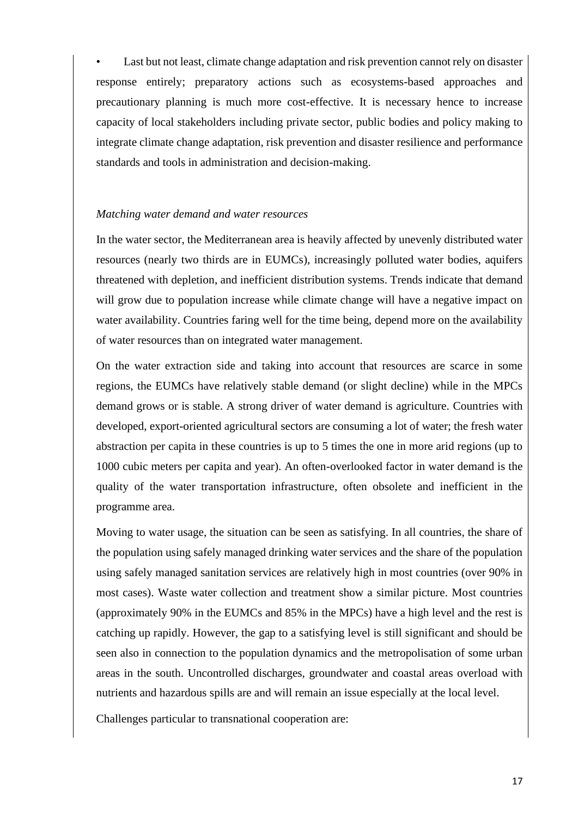Last but not least, climate change adaptation and risk prevention cannot rely on disaster response entirely; preparatory actions such as ecosystems-based approaches and precautionary planning is much more cost-effective. It is necessary hence to increase capacity of local stakeholders including private sector, public bodies and policy making to integrate climate change adaptation, risk prevention and disaster resilience and performance standards and tools in administration and decision-making.

#### *Matching water demand and water resources*

In the water sector, the Mediterranean area is heavily affected by unevenly distributed water resources (nearly two thirds are in EUMCs), increasingly polluted water bodies, aquifers threatened with depletion, and inefficient distribution systems. Trends indicate that demand will grow due to population increase while climate change will have a negative impact on water availability. Countries faring well for the time being, depend more on the availability of water resources than on integrated water management.

On the water extraction side and taking into account that resources are scarce in some regions, the EUMCs have relatively stable demand (or slight decline) while in the MPCs demand grows or is stable. A strong driver of water demand is agriculture. Countries with developed, export-oriented agricultural sectors are consuming a lot of water; the fresh water abstraction per capita in these countries is up to 5 times the one in more arid regions (up to 1000 cubic meters per capita and year). An often-overlooked factor in water demand is the quality of the water transportation infrastructure, often obsolete and inefficient in the programme area.

Moving to water usage, the situation can be seen as satisfying. In all countries, the share of the population using safely managed drinking water services and the share of the population using safely managed sanitation services are relatively high in most countries (over 90% in most cases). Waste water collection and treatment show a similar picture. Most countries (approximately 90% in the EUMCs and 85% in the MPCs) have a high level and the rest is catching up rapidly. However, the gap to a satisfying level is still significant and should be seen also in connection to the population dynamics and the metropolisation of some urban areas in the south. Uncontrolled discharges, groundwater and coastal areas overload with nutrients and hazardous spills are and will remain an issue especially at the local level.

Challenges particular to transnational cooperation are: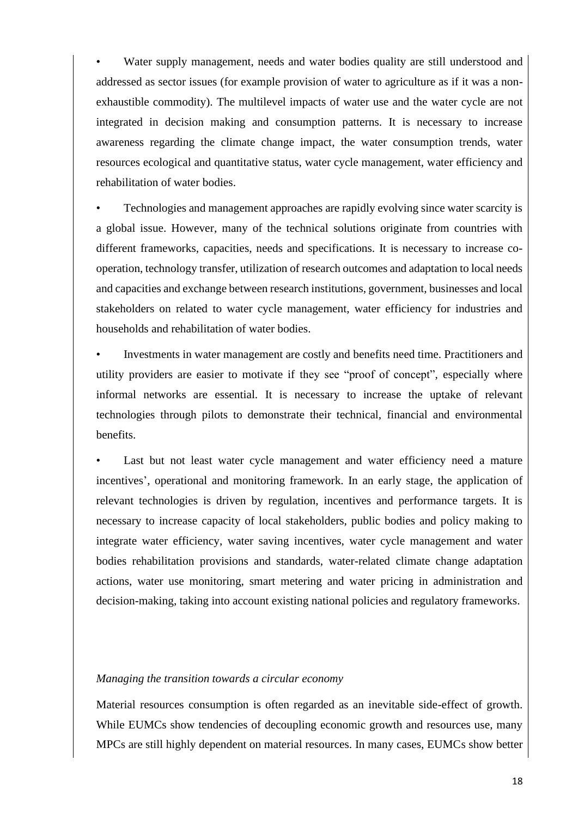Water supply management, needs and water bodies quality are still understood and addressed as sector issues (for example provision of water to agriculture as if it was a nonexhaustible commodity). The multilevel impacts of water use and the water cycle are not integrated in decision making and consumption patterns. It is necessary to increase awareness regarding the climate change impact, the water consumption trends, water resources ecological and quantitative status, water cycle management, water efficiency and rehabilitation of water bodies.

• Technologies and management approaches are rapidly evolving since water scarcity is a global issue. However, many of the technical solutions originate from countries with different frameworks, capacities, needs and specifications. It is necessary to increase cooperation, technology transfer, utilization of research outcomes and adaptation to local needs and capacities and exchange between research institutions, government, businesses and local stakeholders on related to water cycle management, water efficiency for industries and households and rehabilitation of water bodies.

• Investments in water management are costly and benefits need time. Practitioners and utility providers are easier to motivate if they see "proof of concept", especially where informal networks are essential. It is necessary to increase the uptake of relevant technologies through pilots to demonstrate their technical, financial and environmental benefits.

Last but not least water cycle management and water efficiency need a mature incentives', operational and monitoring framework. In an early stage, the application of relevant technologies is driven by regulation, incentives and performance targets. It is necessary to increase capacity of local stakeholders, public bodies and policy making to integrate water efficiency, water saving incentives, water cycle management and water bodies rehabilitation provisions and standards, water-related climate change adaptation actions, water use monitoring, smart metering and water pricing in administration and decision-making, taking into account existing national policies and regulatory frameworks.

#### *Managing the transition towards a circular economy*

Material resources consumption is often regarded as an inevitable side-effect of growth. While EUMCs show tendencies of decoupling economic growth and resources use, many MPCs are still highly dependent on material resources. In many cases, EUMCs show better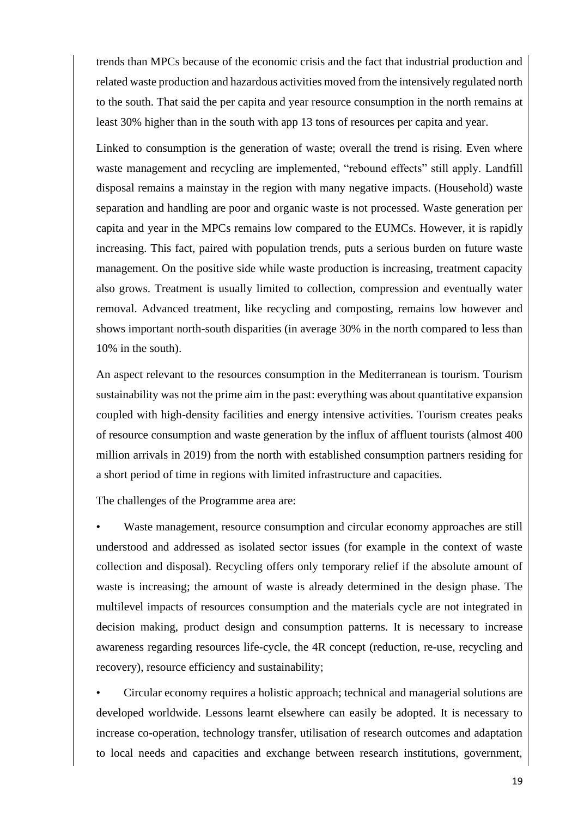trends than MPCs because of the economic crisis and the fact that industrial production and related waste production and hazardous activities moved from the intensively regulated north to the south. That said the per capita and year resource consumption in the north remains at least 30% higher than in the south with app 13 tons of resources per capita and year.

Linked to consumption is the generation of waste; overall the trend is rising. Even where waste management and recycling are implemented, "rebound effects" still apply. Landfill disposal remains a mainstay in the region with many negative impacts. (Household) waste separation and handling are poor and organic waste is not processed. Waste generation per capita and year in the MPCs remains low compared to the EUMCs. However, it is rapidly increasing. This fact, paired with population trends, puts a serious burden on future waste management. On the positive side while waste production is increasing, treatment capacity also grows. Treatment is usually limited to collection, compression and eventually water removal. Advanced treatment, like recycling and composting, remains low however and shows important north-south disparities (in average 30% in the north compared to less than 10% in the south).

An aspect relevant to the resources consumption in the Mediterranean is tourism. Tourism sustainability was not the prime aim in the past: everything was about quantitative expansion coupled with high-density facilities and energy intensive activities. Tourism creates peaks of resource consumption and waste generation by the influx of affluent tourists (almost 400 million arrivals in 2019) from the north with established consumption partners residing for a short period of time in regions with limited infrastructure and capacities.

The challenges of the Programme area are:

Waste management, resource consumption and circular economy approaches are still understood and addressed as isolated sector issues (for example in the context of waste collection and disposal). Recycling offers only temporary relief if the absolute amount of waste is increasing; the amount of waste is already determined in the design phase. The multilevel impacts of resources consumption and the materials cycle are not integrated in decision making, product design and consumption patterns. It is necessary to increase awareness regarding resources life-cycle, the 4R concept (reduction, re-use, recycling and recovery), resource efficiency and sustainability;

• Circular economy requires a holistic approach; technical and managerial solutions are developed worldwide. Lessons learnt elsewhere can easily be adopted. It is necessary to increase co-operation, technology transfer, utilisation of research outcomes and adaptation to local needs and capacities and exchange between research institutions, government,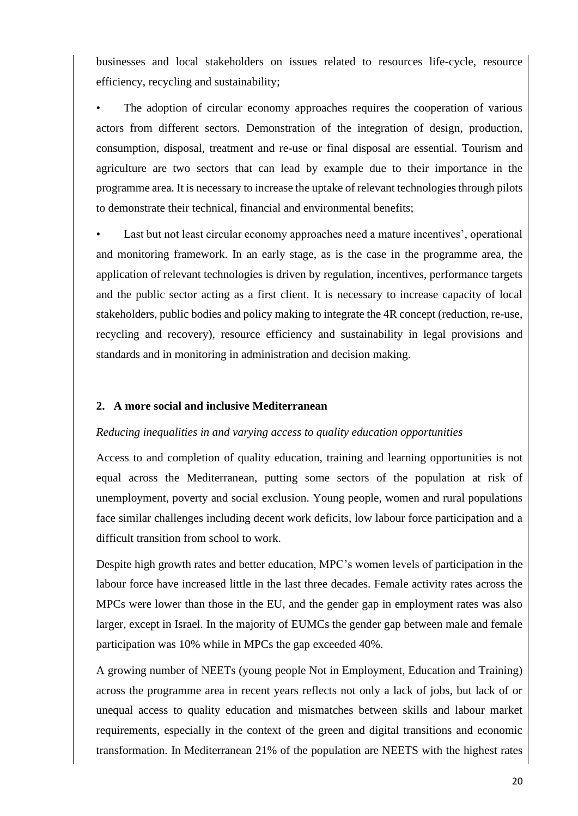businesses and local stakeholders on issues related to resources life-cycle, resource efficiency, recycling and sustainability;

The adoption of circular economy approaches requires the cooperation of various actors from different sectors. Demonstration of the integration of design, production, consumption, disposal, treatment and re-use or final disposal are essential. Tourism and agriculture are two sectors that can lead by example due to their importance in the programme area. It is necessary to increase the uptake of relevant technologies through pilots to demonstrate their technical, financial and environmental benefits;

Last but not least circular economy approaches need a mature incentives', operational and monitoring framework. In an early stage, as is the case in the programme area, the application of relevant technologies is driven by regulation, incentives, performance targets and the public sector acting as a first client. It is necessary to increase capacity of local stakeholders, public bodies and policy making to integrate the 4R concept (reduction, re-use, recycling and recovery), resource efficiency and sustainability in legal provisions and standards and in monitoring in administration and decision making.

## **2. A more social and inclusive Mediterranean**

#### *Reducing inequalities in and varying access to quality education opportunities*

Access to and completion of quality education, training and learning opportunities is not equal across the Mediterranean, putting some sectors of the population at risk of unemployment, poverty and social exclusion. Young people, women and rural populations face similar challenges including decent work deficits, low labour force participation and a difficult transition from school to work.

Despite high growth rates and better education, MPC's women levels of participation in the labour force have increased little in the last three decades. Female activity rates across the MPCs were lower than those in the EU, and the gender gap in employment rates was also larger, except in Israel. In the majority of EUMCs the gender gap between male and female participation was 10% while in MPCs the gap exceeded 40%.

A growing number of NEETs (young people Not in Employment, Education and Training) across the programme area in recent years reflects not only a lack of jobs, but lack of or unequal access to quality education and mismatches between skills and labour market requirements, especially in the context of the green and digital transitions and economic transformation. In Mediterranean 21% of the population are NEETS with the highest rates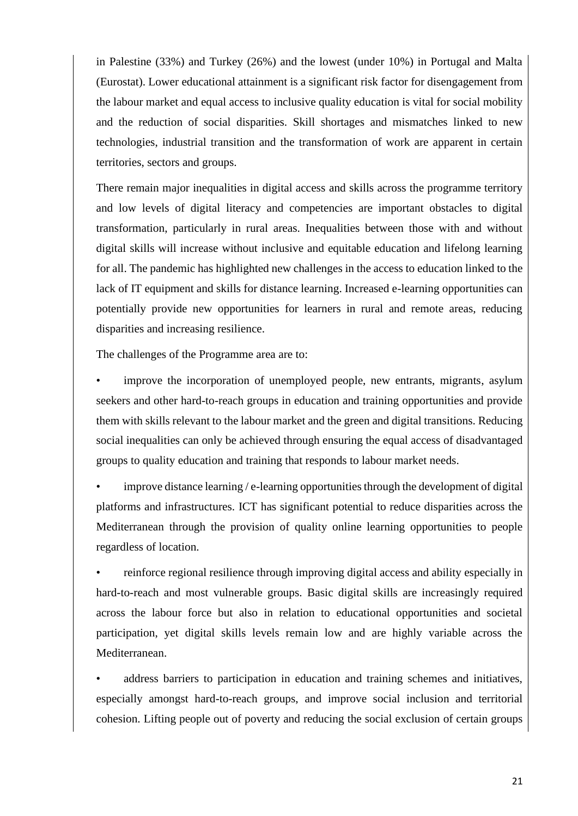in Palestine (33%) and Turkey (26%) and the lowest (under 10%) in Portugal and Malta (Eurostat). Lower educational attainment is a significant risk factor for disengagement from the labour market and equal access to inclusive quality education is vital for social mobility and the reduction of social disparities. Skill shortages and mismatches linked to new technologies, industrial transition and the transformation of work are apparent in certain territories, sectors and groups.

There remain major inequalities in digital access and skills across the programme territory and low levels of digital literacy and competencies are important obstacles to digital transformation, particularly in rural areas. Inequalities between those with and without digital skills will increase without inclusive and equitable education and lifelong learning for all. The pandemic has highlighted new challenges in the access to education linked to the lack of IT equipment and skills for distance learning. Increased e-learning opportunities can potentially provide new opportunities for learners in rural and remote areas, reducing disparities and increasing resilience.

The challenges of the Programme area are to:

improve the incorporation of unemployed people, new entrants, migrants, asylum seekers and other hard-to-reach groups in education and training opportunities and provide them with skills relevant to the labour market and the green and digital transitions. Reducing social inequalities can only be achieved through ensuring the equal access of disadvantaged groups to quality education and training that responds to labour market needs.

• improve distance learning / e-learning opportunities through the development of digital platforms and infrastructures. ICT has significant potential to reduce disparities across the Mediterranean through the provision of quality online learning opportunities to people regardless of location.

• reinforce regional resilience through improving digital access and ability especially in hard-to-reach and most vulnerable groups. Basic digital skills are increasingly required across the labour force but also in relation to educational opportunities and societal participation, yet digital skills levels remain low and are highly variable across the Mediterranean.

address barriers to participation in education and training schemes and initiatives, especially amongst hard-to-reach groups, and improve social inclusion and territorial cohesion. Lifting people out of poverty and reducing the social exclusion of certain groups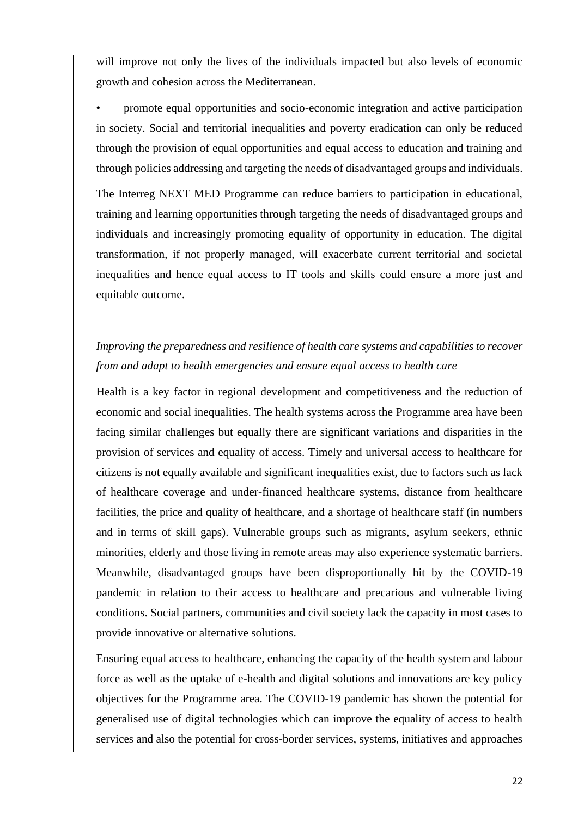will improve not only the lives of the individuals impacted but also levels of economic growth and cohesion across the Mediterranean.

• promote equal opportunities and socio-economic integration and active participation in society. Social and territorial inequalities and poverty eradication can only be reduced through the provision of equal opportunities and equal access to education and training and through policies addressing and targeting the needs of disadvantaged groups and individuals.

The Interreg NEXT MED Programme can reduce barriers to participation in educational, training and learning opportunities through targeting the needs of disadvantaged groups and individuals and increasingly promoting equality of opportunity in education. The digital transformation, if not properly managed, will exacerbate current territorial and societal inequalities and hence equal access to IT tools and skills could ensure a more just and equitable outcome.

# *Improving the preparedness and resilience of health care systems and capabilities to recover from and adapt to health emergencies and ensure equal access to health care*

Health is a key factor in regional development and competitiveness and the reduction of economic and social inequalities. The health systems across the Programme area have been facing similar challenges but equally there are significant variations and disparities in the provision of services and equality of access. Timely and universal access to healthcare for citizens is not equally available and significant inequalities exist, due to factors such as lack of healthcare coverage and under-financed healthcare systems, distance from healthcare facilities, the price and quality of healthcare, and a shortage of healthcare staff (in numbers and in terms of skill gaps). Vulnerable groups such as migrants, asylum seekers, ethnic minorities, elderly and those living in remote areas may also experience systematic barriers. Meanwhile, disadvantaged groups have been disproportionally hit by the COVID-19 pandemic in relation to their access to healthcare and precarious and vulnerable living conditions. Social partners, communities and civil society lack the capacity in most cases to provide innovative or alternative solutions.

Ensuring equal access to healthcare, enhancing the capacity of the health system and labour force as well as the uptake of e-health and digital solutions and innovations are key policy objectives for the Programme area. The COVID-19 pandemic has shown the potential for generalised use of digital technologies which can improve the equality of access to health services and also the potential for cross-border services, systems, initiatives and approaches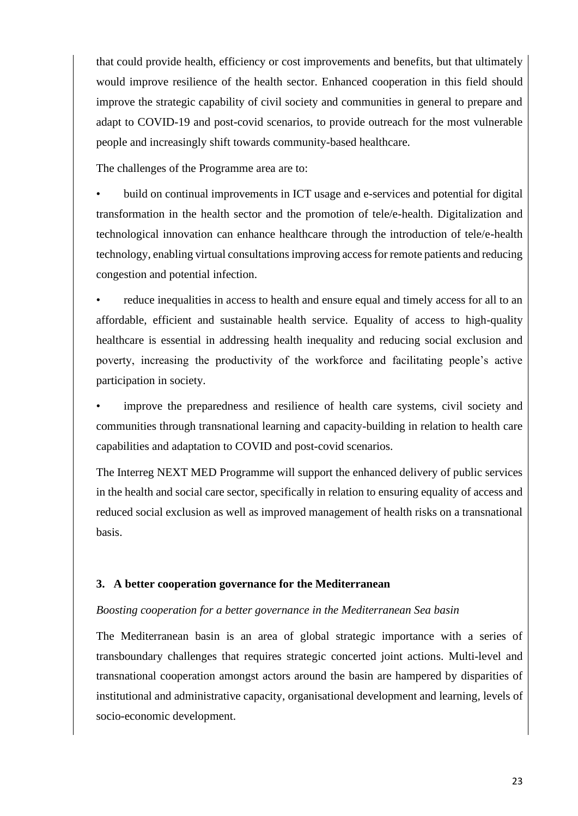that could provide health, efficiency or cost improvements and benefits, but that ultimately would improve resilience of the health sector. Enhanced cooperation in this field should improve the strategic capability of civil society and communities in general to prepare and adapt to COVID-19 and post-covid scenarios, to provide outreach for the most vulnerable people and increasingly shift towards community-based healthcare.

The challenges of the Programme area are to:

• build on continual improvements in ICT usage and e-services and potential for digital transformation in the health sector and the promotion of tele/e-health. Digitalization and technological innovation can enhance healthcare through the introduction of tele/e-health technology, enabling virtual consultations improving access for remote patients and reducing congestion and potential infection.

• reduce inequalities in access to health and ensure equal and timely access for all to an affordable, efficient and sustainable health service. Equality of access to high-quality healthcare is essential in addressing health inequality and reducing social exclusion and poverty, increasing the productivity of the workforce and facilitating people's active participation in society.

• improve the preparedness and resilience of health care systems, civil society and communities through transnational learning and capacity-building in relation to health care capabilities and adaptation to COVID and post-covid scenarios.

The Interreg NEXT MED Programme will support the enhanced delivery of public services in the health and social care sector, specifically in relation to ensuring equality of access and reduced social exclusion as well as improved management of health risks on a transnational basis.

## **3. A better cooperation governance for the Mediterranean**

#### *Boosting cooperation for a better governance in the Mediterranean Sea basin*

The Mediterranean basin is an area of global strategic importance with a series of transboundary challenges that requires strategic concerted joint actions. Multi-level and transnational cooperation amongst actors around the basin are hampered by disparities of institutional and administrative capacity, organisational development and learning, levels of socio-economic development.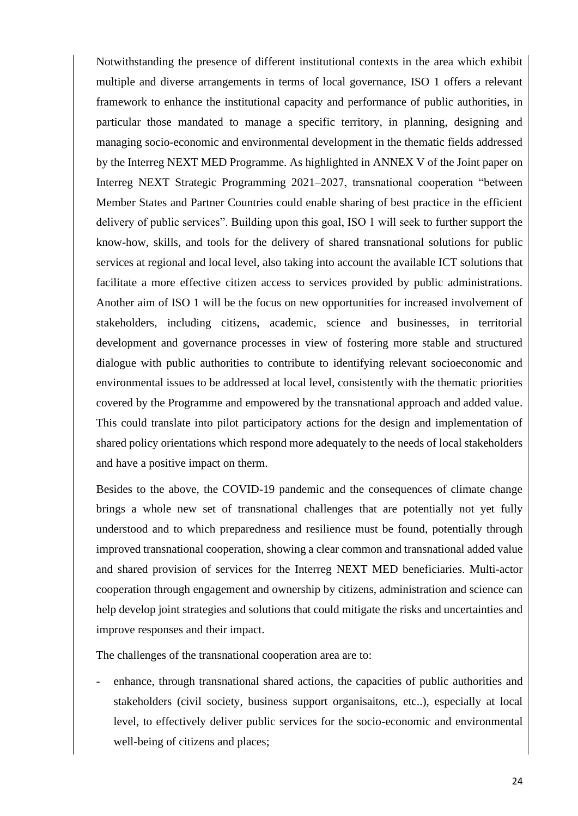Notwithstanding the presence of different institutional contexts in the area which exhibit multiple and diverse arrangements in terms of local governance, ISO 1 offers a relevant framework to enhance the institutional capacity and performance of public authorities, in particular those mandated to manage a specific territory, in planning, designing and managing socio-economic and environmental development in the thematic fields addressed by the Interreg NEXT MED Programme. As highlighted in ANNEX V of the Joint paper on Interreg NEXT Strategic Programming 2021–2027, transnational cooperation "between Member States and Partner Countries could enable sharing of best practice in the efficient delivery of public services". Building upon this goal, ISO 1 will seek to further support the know-how, skills, and tools for the delivery of shared transnational solutions for public services at regional and local level, also taking into account the available ICT solutions that facilitate a more effective citizen access to services provided by public administrations. Another aim of ISO 1 will be the focus on new opportunities for increased involvement of stakeholders, including citizens, academic, science and businesses, in territorial development and governance processes in view of fostering more stable and structured dialogue with public authorities to contribute to identifying relevant socioeconomic and environmental issues to be addressed at local level, consistently with the thematic priorities covered by the Programme and empowered by the transnational approach and added value. This could translate into pilot participatory actions for the design and implementation of shared policy orientations which respond more adequately to the needs of local stakeholders and have a positive impact on therm.

Besides to the above, the COVID-19 pandemic and the consequences of climate change brings a whole new set of transnational challenges that are potentially not yet fully understood and to which preparedness and resilience must be found, potentially through improved transnational cooperation, showing a clear common and transnational added value and shared provision of services for the Interreg NEXT MED beneficiaries. Multi-actor cooperation through engagement and ownership by citizens, administration and science can help develop joint strategies and solutions that could mitigate the risks and uncertainties and improve responses and their impact.

The challenges of the transnational cooperation area are to:

- enhance, through transnational shared actions, the capacities of public authorities and stakeholders (civil society, business support organisaitons, etc..), especially at local level, to effectively deliver public services for the socio-economic and environmental well-being of citizens and places;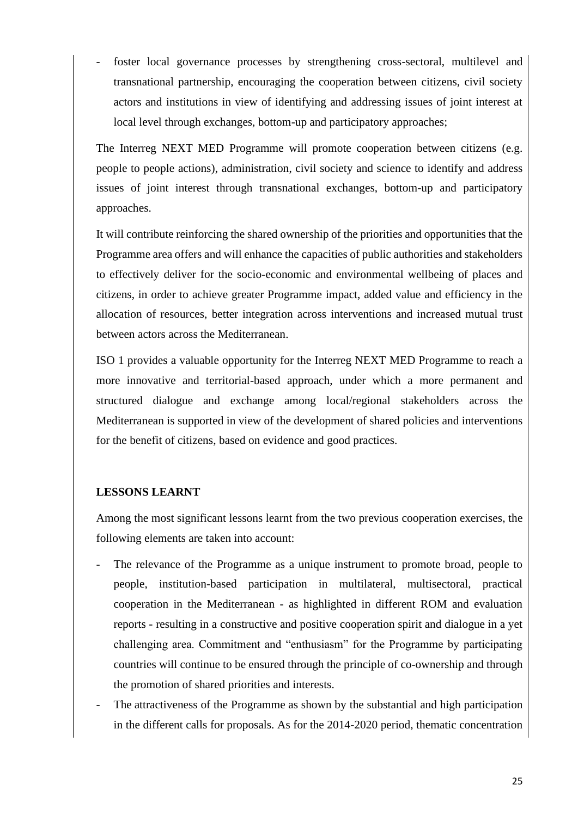foster local governance processes by strengthening cross-sectoral, multilevel and transnational partnership, encouraging the cooperation between citizens, civil society actors and institutions in view of identifying and addressing issues of joint interest at local level through exchanges, bottom-up and participatory approaches;

The Interreg NEXT MED Programme will promote cooperation between citizens (e.g. people to people actions), administration, civil society and science to identify and address issues of joint interest through transnational exchanges, bottom-up and participatory approaches.

It will contribute reinforcing the shared ownership of the priorities and opportunities that the Programme area offers and will enhance the capacities of public authorities and stakeholders to effectively deliver for the socio-economic and environmental wellbeing of places and citizens, in order to achieve greater Programme impact, added value and efficiency in the allocation of resources, better integration across interventions and increased mutual trust between actors across the Mediterranean.

ISO 1 provides a valuable opportunity for the Interreg NEXT MED Programme to reach a more innovative and territorial-based approach, under which a more permanent and structured dialogue and exchange among local/regional stakeholders across the Mediterranean is supported in view of the development of shared policies and interventions for the benefit of citizens, based on evidence and good practices.

## **LESSONS LEARNT**

Among the most significant lessons learnt from the two previous cooperation exercises, the following elements are taken into account:

- The relevance of the Programme as a unique instrument to promote broad, people to people, institution-based participation in multilateral, multisectoral, practical cooperation in the Mediterranean - as highlighted in different ROM and evaluation reports - resulting in a constructive and positive cooperation spirit and dialogue in a yet challenging area. Commitment and "enthusiasm" for the Programme by participating countries will continue to be ensured through the principle of co-ownership and through the promotion of shared priorities and interests.
- The attractiveness of the Programme as shown by the substantial and high participation in the different calls for proposals. As for the 2014-2020 period, thematic concentration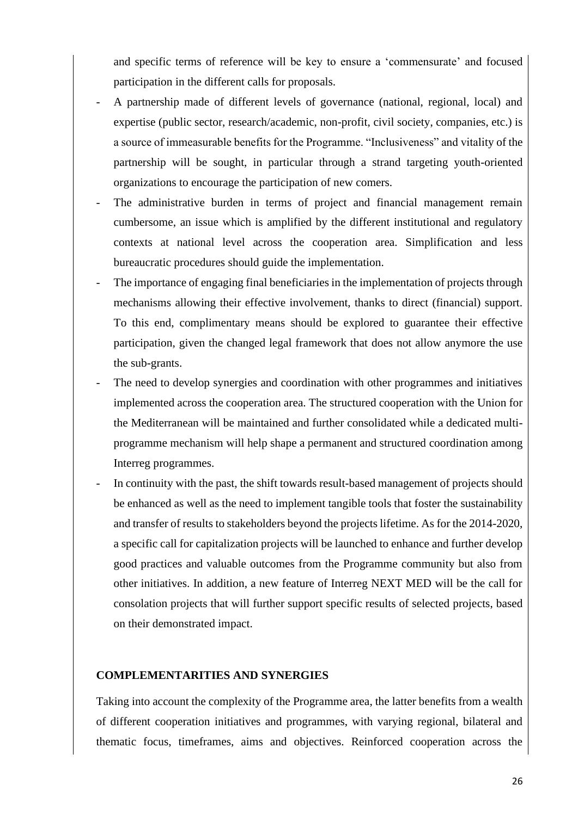and specific terms of reference will be key to ensure a 'commensurate' and focused participation in the different calls for proposals.

- A partnership made of different levels of governance (national, regional, local) and expertise (public sector, research/academic, non-profit, civil society, companies, etc.) is a source of immeasurable benefits for the Programme. "Inclusiveness" and vitality of the partnership will be sought, in particular through a strand targeting youth-oriented organizations to encourage the participation of new comers.
- The administrative burden in terms of project and financial management remain cumbersome, an issue which is amplified by the different institutional and regulatory contexts at national level across the cooperation area. Simplification and less bureaucratic procedures should guide the implementation.
- The importance of engaging final beneficiaries in the implementation of projects through mechanisms allowing their effective involvement, thanks to direct (financial) support. To this end, complimentary means should be explored to guarantee their effective participation, given the changed legal framework that does not allow anymore the use the sub-grants.
- The need to develop synergies and coordination with other programmes and initiatives implemented across the cooperation area. The structured cooperation with the Union for the Mediterranean will be maintained and further consolidated while a dedicated multiprogramme mechanism will help shape a permanent and structured coordination among Interreg programmes.
- In continuity with the past, the shift towards result-based management of projects should be enhanced as well as the need to implement tangible tools that foster the sustainability and transfer of results to stakeholders beyond the projects lifetime. As for the 2014-2020, a specific call for capitalization projects will be launched to enhance and further develop good practices and valuable outcomes from the Programme community but also from other initiatives. In addition, a new feature of Interreg NEXT MED will be the call for consolation projects that will further support specific results of selected projects, based on their demonstrated impact.

## **COMPLEMENTARITIES AND SYNERGIES**

Taking into account the complexity of the Programme area, the latter benefits from a wealth of different cooperation initiatives and programmes, with varying regional, bilateral and thematic focus, timeframes, aims and objectives. Reinforced cooperation across the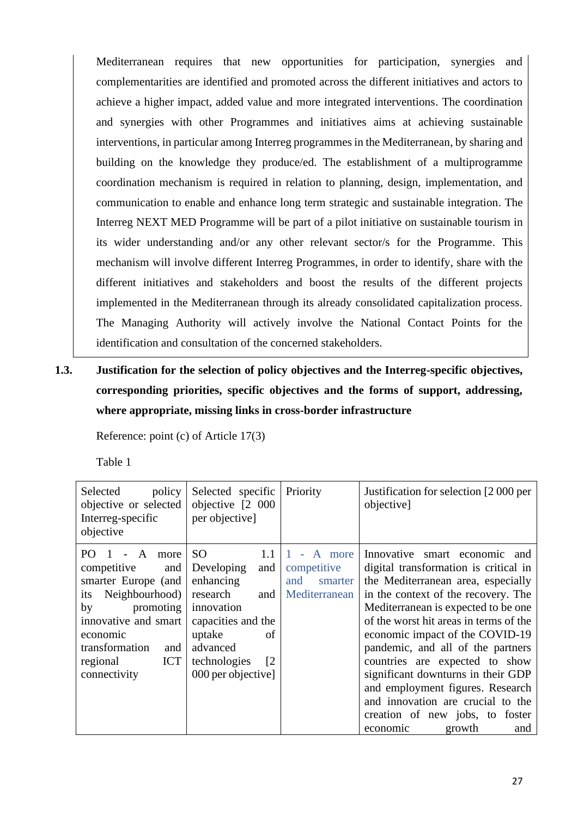Mediterranean requires that new opportunities for participation, synergies and complementarities are identified and promoted across the different initiatives and actors to achieve a higher impact, added value and more integrated interventions. The coordination and synergies with other Programmes and initiatives aims at achieving sustainable interventions, in particular among Interreg programmes in the Mediterranean, by sharing and building on the knowledge they produce/ed. The establishment of a multiprogramme coordination mechanism is required in relation to planning, design, implementation, and communication to enable and enhance long term strategic and sustainable integration. The Interreg NEXT MED Programme will be part of a pilot initiative on sustainable tourism in its wider understanding and/or any other relevant sector/s for the Programme. This mechanism will involve different Interreg Programmes, in order to identify, share with the different initiatives and stakeholders and boost the results of the different projects implemented in the Mediterranean through its already consolidated capitalization process. The Managing Authority will actively involve the National Contact Points for the identification and consultation of the concerned stakeholders.

**1.3. Justification for the selection of policy objectives and the Interreg-specific objectives, corresponding priorities, specific objectives and the forms of support, addressing, where appropriate, missing links in cross-border infrastructure**

Reference: point (c) of Article 17(3)

Table 1

| policy<br>Selected<br>objective or selected<br>Interreg-specific<br>objective                                                                                                                                                  | Selected specific<br>objective [2 000<br>per objective]                                                                                                                                                | Priority                                                 | Justification for selection [2000 per<br>objective]                                                                                                                                                                                                                                                                                                                                                                                                                                                                           |
|--------------------------------------------------------------------------------------------------------------------------------------------------------------------------------------------------------------------------------|--------------------------------------------------------------------------------------------------------------------------------------------------------------------------------------------------------|----------------------------------------------------------|-------------------------------------------------------------------------------------------------------------------------------------------------------------------------------------------------------------------------------------------------------------------------------------------------------------------------------------------------------------------------------------------------------------------------------------------------------------------------------------------------------------------------------|
| PO 1<br>$\overline{A}$<br>more<br>competitive<br>and<br>smarter Europe (and<br>Neighbourhood)<br>its<br>promoting<br>by<br>innovative and smart<br>economic<br>transformation<br>and<br><b>ICT</b><br>regional<br>connectivity | SO <sub>1</sub><br>1.1<br>Developing<br>and<br>enhancing<br>research<br>and<br>innovation<br>capacities and the<br>uptake<br>of<br>advanced<br>technologies<br>$\lceil 2 \rceil$<br>000 per objective] | A more<br>competitive<br>and<br>smarter<br>Mediterranean | Innovative smart economic and<br>digital transformation is critical in<br>the Mediterranean area, especially<br>in the context of the recovery. The<br>Mediterranean is expected to be one<br>of the worst hit areas in terms of the<br>economic impact of the COVID-19<br>pandemic, and all of the partners<br>countries are expected to show<br>significant downturns in their GDP<br>and employment figures. Research<br>and innovation are crucial to the<br>creation of new jobs, to foster<br>economic<br>growth<br>and |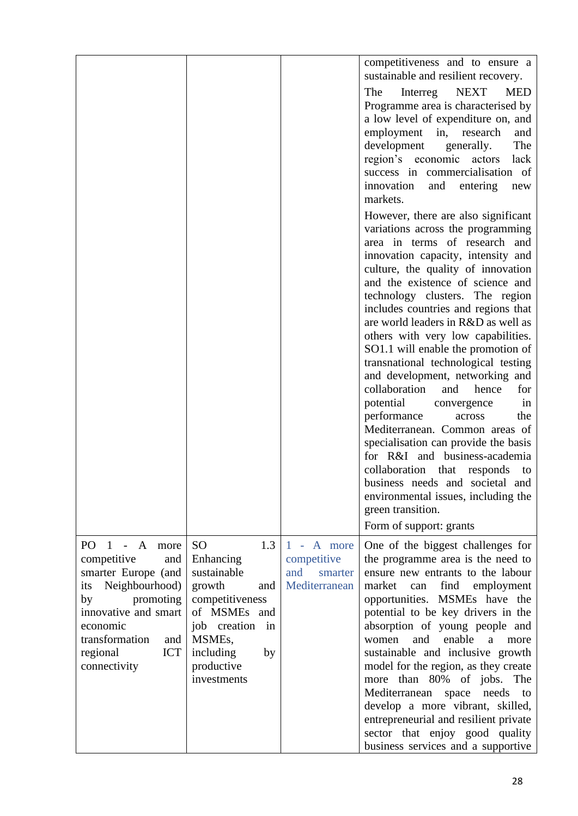|                                                                                                                                                                                                                       |                                                                                                                                                                                                   |                                                              | competitiveness and to ensure a<br>sustainable and resilient recovery.<br>NEXT<br>The<br>Interreg<br><b>MED</b><br>Programme area is characterised by<br>a low level of expenditure on, and<br>employment<br>research<br>in,<br>and<br>The<br>development<br>generally.<br>region's economic actors<br>lack<br>success in commercialisation of<br>innovation<br>and<br>entering<br>new<br>markets.<br>However, there are also significant<br>variations across the programming<br>area in terms of research and<br>innovation capacity, intensity and<br>culture, the quality of innovation<br>and the existence of science and<br>technology clusters. The region<br>includes countries and regions that<br>are world leaders in R&D as well as<br>others with very low capabilities.<br>SO1.1 will enable the promotion of<br>transnational technological testing<br>and development, networking and<br>collaboration<br>for<br>and<br>hence<br>potential<br>convergence<br>in<br>performance<br>the<br>across<br>Mediterranean. Common areas of<br>specialisation can provide the basis<br>for R&I and business-academia<br>collaboration that<br>responds<br>to<br>business needs and societal and<br>environmental issues, including the<br>green transition. |
|-----------------------------------------------------------------------------------------------------------------------------------------------------------------------------------------------------------------------|---------------------------------------------------------------------------------------------------------------------------------------------------------------------------------------------------|--------------------------------------------------------------|--------------------------------------------------------------------------------------------------------------------------------------------------------------------------------------------------------------------------------------------------------------------------------------------------------------------------------------------------------------------------------------------------------------------------------------------------------------------------------------------------------------------------------------------------------------------------------------------------------------------------------------------------------------------------------------------------------------------------------------------------------------------------------------------------------------------------------------------------------------------------------------------------------------------------------------------------------------------------------------------------------------------------------------------------------------------------------------------------------------------------------------------------------------------------------------------------------------------------------------------------------------------|
| PO<br>$1 - A$<br>more<br>competitive<br>and<br>smarter Europe (and<br>Neighbourhood)<br>its<br>promoting<br>by<br>innovative and smart<br>economic<br>transformation<br>and<br>regional<br><b>ICT</b><br>connectivity | 1.3<br><sub>SO</sub><br>Enhancing<br>sustainable<br>growth<br>and<br>competitiveness<br>of MSMEs and<br>job creation<br>in<br>MSME <sub>s</sub> ,<br>including<br>by<br>productive<br>investments | 1 - A more<br>competitive<br>and<br>smarter<br>Mediterranean | Form of support: grants<br>One of the biggest challenges for<br>the programme area is the need to<br>ensure new entrants to the labour<br>employment<br>market<br>find<br>can<br>opportunities. MSMEs have the<br>potential to be key drivers in the<br>absorption of young people and<br>enable<br>and<br>women<br>$\mathbf{a}$<br>more<br>sustainable and inclusive growth<br>model for the region, as they create<br>more than 80% of jobs. The<br>Mediterranean<br>space<br>needs<br>to<br>develop a more vibrant, skilled,<br>entrepreneurial and resilient private<br>sector that enjoy good quality<br>business services and a supportive                                                                                                                                                                                                                                                                                                                                                                                                                                                                                                                                                                                                                   |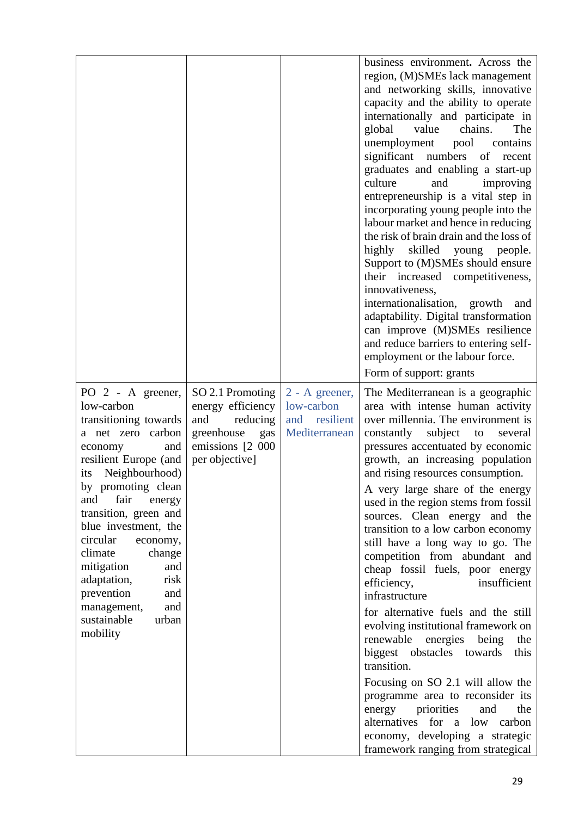|                                                                                                                                                                                                                                                                                                                                                                                                                           |                                                                                                                     |                                                                | business environment. Across the<br>region, (M)SMEs lack management<br>and networking skills, innovative<br>capacity and the ability to operate<br>internationally and participate in<br>value<br>chains.<br>global<br>The<br>unemployment<br>pool<br>contains<br>significant numbers of<br>recent<br>graduates and enabling a start-up<br>culture<br>and<br>improving<br>entrepreneurship is a vital step in<br>incorporating young people into the<br>labour market and hence in reducing<br>the risk of brain drain and the loss of<br>skilled young people.<br>highly<br>Support to (M)SMEs should ensure<br>their increased competitiveness,<br>innovativeness,<br>internationalisation, growth<br>and<br>adaptability. Digital transformation<br>can improve (M)SMEs resilience<br>and reduce barriers to entering self-<br>employment or the labour force.<br>Form of support: grants                                                                                  |
|---------------------------------------------------------------------------------------------------------------------------------------------------------------------------------------------------------------------------------------------------------------------------------------------------------------------------------------------------------------------------------------------------------------------------|---------------------------------------------------------------------------------------------------------------------|----------------------------------------------------------------|-------------------------------------------------------------------------------------------------------------------------------------------------------------------------------------------------------------------------------------------------------------------------------------------------------------------------------------------------------------------------------------------------------------------------------------------------------------------------------------------------------------------------------------------------------------------------------------------------------------------------------------------------------------------------------------------------------------------------------------------------------------------------------------------------------------------------------------------------------------------------------------------------------------------------------------------------------------------------------|
| PO 2 - A greener,<br>low-carbon<br>transitioning towards<br>a net zero carbon<br>and<br>economy<br>resilient Europe (and<br>Neighbourhood)<br>its<br>by promoting clean<br>fair<br>and<br>energy<br>transition, green and<br>blue investment, the<br>circular<br>economy,<br>climate<br>change<br>mitigation<br>and<br>adaptation,<br>risk<br>prevention<br>and<br>and<br>management,<br>sustainable<br>urban<br>mobility | SO 2.1 Promoting<br>energy efficiency<br>and<br>reducing<br>greenhouse<br>gas<br>emissions [2 000<br>per objective] | 2 - A greener,<br>low-carbon<br>and resilient<br>Mediterranean | The Mediterranean is a geographic<br>area with intense human activity<br>over millennia. The environment is<br>constantly<br>subject to<br>several<br>pressures accentuated by economic<br>growth, an increasing population<br>and rising resources consumption.<br>A very large share of the energy<br>used in the region stems from fossil<br>sources. Clean energy and the<br>transition to a low carbon economy<br>still have a long way to go. The<br>competition from abundant and<br>cheap fossil fuels, poor energy<br>insufficient<br>efficiency,<br>infrastructure<br>for alternative fuels and the still<br>evolving institutional framework on<br>renewable energies being<br>the<br>biggest obstacles towards<br>this<br>transition.<br>Focusing on SO 2.1 will allow the<br>programme area to reconsider its<br>priorities<br>energy<br>and<br>the<br>alternatives for a low<br>carbon<br>economy, developing a strategic<br>framework ranging from strategical |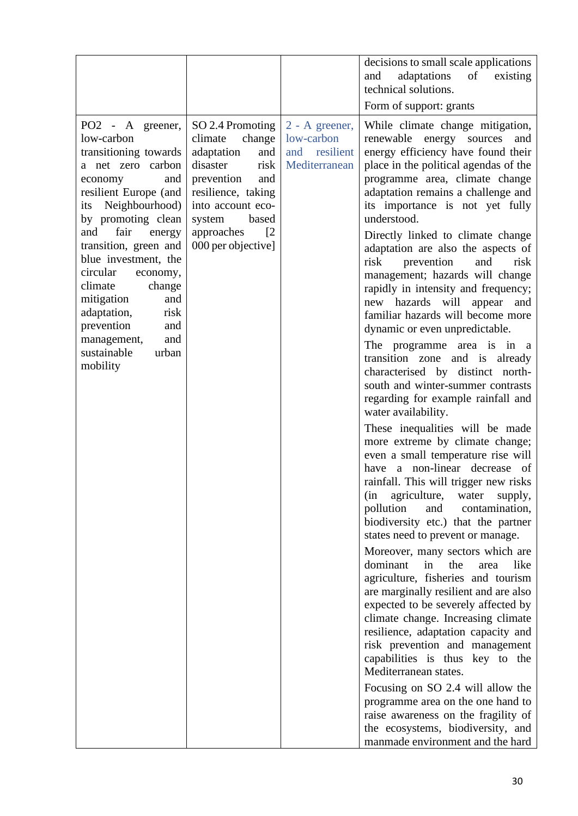|                                                                                                                                                                                                                                                                                                                                                                                                                          |                                                                                                                                                                                                                            |                                                                | decisions to small scale applications<br>adaptations<br>of<br>existing<br>and<br>technical solutions.<br>Form of support: grants                                                                                                                                                                                                                                                                                                                                                                                                                                                                                                                                                                                                                                                                                                                                                                                                                                                                                                                                                                                                                                                                                                                                                                                                                                                                                                                                                                                                                                                                                                                                                                                 |
|--------------------------------------------------------------------------------------------------------------------------------------------------------------------------------------------------------------------------------------------------------------------------------------------------------------------------------------------------------------------------------------------------------------------------|----------------------------------------------------------------------------------------------------------------------------------------------------------------------------------------------------------------------------|----------------------------------------------------------------|------------------------------------------------------------------------------------------------------------------------------------------------------------------------------------------------------------------------------------------------------------------------------------------------------------------------------------------------------------------------------------------------------------------------------------------------------------------------------------------------------------------------------------------------------------------------------------------------------------------------------------------------------------------------------------------------------------------------------------------------------------------------------------------------------------------------------------------------------------------------------------------------------------------------------------------------------------------------------------------------------------------------------------------------------------------------------------------------------------------------------------------------------------------------------------------------------------------------------------------------------------------------------------------------------------------------------------------------------------------------------------------------------------------------------------------------------------------------------------------------------------------------------------------------------------------------------------------------------------------------------------------------------------------------------------------------------------------|
| PO2 - A greener,<br>low-carbon<br>transitioning towards<br>a net zero carbon<br>and<br>economy<br>resilient Europe (and<br>Neighbourhood)<br>its<br>by promoting clean<br>fair<br>and<br>energy<br>transition, green and<br>blue investment, the<br>circular<br>economy,<br>climate<br>change<br>mitigation<br>and<br>adaptation,<br>risk<br>prevention<br>and<br>management,<br>and<br>sustainable<br>urban<br>mobility | SO 2.4 Promoting<br>climate<br>change<br>adaptation<br>and<br>disaster<br>risk<br>prevention<br>and<br>resilience, taking<br>into account eco-<br>based<br>system<br>approaches<br>$\lceil 2 \rceil$<br>000 per objective] | 2 - A greener,<br>low-carbon<br>and resilient<br>Mediterranean | While climate change mitigation,<br>renewable energy sources<br>and<br>energy efficiency have found their<br>place in the political agendas of the<br>programme area, climate change<br>adaptation remains a challenge and<br>its importance is not yet fully<br>understood.<br>Directly linked to climate change<br>adaptation are also the aspects of<br>risk<br>prevention<br>and<br>risk<br>management; hazards will change<br>rapidly in intensity and frequency;<br>new hazards will appear<br>and<br>familiar hazards will become more<br>dynamic or even unpredictable.<br>The programme area is in a<br>transition zone and is already<br>characterised by distinct north-<br>south and winter-summer contrasts<br>regarding for example rainfall and<br>water availability.<br>These inequalities will be made<br>more extreme by climate change;<br>even a small temperature rise will<br>have a non-linear decrease of<br>rainfall. This will trigger new risks<br>agriculture,<br>(in<br>water<br>supply,<br>pollution<br>and<br>contamination,<br>biodiversity etc.) that the partner<br>states need to prevent or manage.<br>Moreover, many sectors which are<br>dominant<br>in<br>the<br>like<br>area<br>agriculture, fisheries and tourism<br>are marginally resilient and are also<br>expected to be severely affected by<br>climate change. Increasing climate<br>resilience, adaptation capacity and<br>risk prevention and management<br>capabilities is thus key to the<br>Mediterranean states.<br>Focusing on SO 2.4 will allow the<br>programme area on the one hand to<br>raise awareness on the fragility of<br>the ecosystems, biodiversity, and<br>manmade environment and the hard |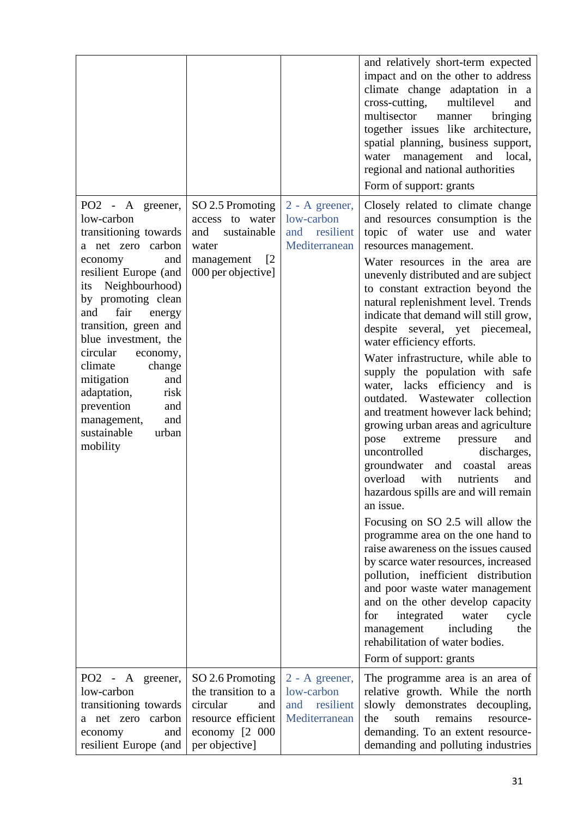|                                                                                                                                                                                                                                                                                                                                                                                                                          |                                                                                                                             |                                                                | and relatively short-term expected<br>impact and on the other to address<br>climate change adaptation in a<br>cross-cutting,<br>multilevel<br>and<br>multisector<br>bringing<br>manner<br>together issues like architecture,<br>spatial planning, business support,<br>water management and local,<br>regional and national authorities<br>Form of support: grants                                                                                                                                                                                                                                                                                                                                                                                                                                                                                                                                                                                                                                                                                                                                                                                                                                                                                  |
|--------------------------------------------------------------------------------------------------------------------------------------------------------------------------------------------------------------------------------------------------------------------------------------------------------------------------------------------------------------------------------------------------------------------------|-----------------------------------------------------------------------------------------------------------------------------|----------------------------------------------------------------|-----------------------------------------------------------------------------------------------------------------------------------------------------------------------------------------------------------------------------------------------------------------------------------------------------------------------------------------------------------------------------------------------------------------------------------------------------------------------------------------------------------------------------------------------------------------------------------------------------------------------------------------------------------------------------------------------------------------------------------------------------------------------------------------------------------------------------------------------------------------------------------------------------------------------------------------------------------------------------------------------------------------------------------------------------------------------------------------------------------------------------------------------------------------------------------------------------------------------------------------------------|
| PO2 - A greener,<br>low-carbon<br>transitioning towards<br>a net zero carbon<br>and<br>economy<br>resilient Europe (and<br>Neighbourhood)<br>its<br>by promoting clean<br>fair<br>and<br>energy<br>transition, green and<br>blue investment, the<br>circular<br>economy,<br>climate<br>change<br>mitigation<br>and<br>adaptation,<br>risk<br>prevention<br>and<br>management,<br>and<br>sustainable<br>urban<br>mobility | SO 2.5 Promoting<br>access to water<br>and<br>sustainable<br>water<br>management<br>$\lceil 2 \rceil$<br>000 per objective] | 2 - A greener,<br>low-carbon<br>and resilient<br>Mediterranean | Closely related to climate change<br>and resources consumption is the<br>topic of water use and water<br>resources management.<br>Water resources in the area are<br>unevenly distributed and are subject<br>to constant extraction beyond the<br>natural replenishment level. Trends<br>indicate that demand will still grow,<br>despite several, yet piecemeal,<br>water efficiency efforts.<br>Water infrastructure, while able to<br>supply the population with safe<br>water, lacks efficiency and is<br>outdated. Wastewater collection<br>and treatment however lack behind;<br>growing urban areas and agriculture<br>extreme<br>pressure<br>and<br>pose<br>uncontrolled<br>discharges,<br>groundwater<br>and coastal<br>areas<br>overload<br>with<br>nutrients<br>and<br>hazardous spills are and will remain<br>an issue.<br>Focusing on SO 2.5 will allow the<br>programme area on the one hand to<br>raise awareness on the issues caused<br>by scarce water resources, increased<br>pollution, inefficient distribution<br>and poor waste water management<br>and on the other develop capacity<br>integrated<br>for<br>water<br>cycle<br>including<br>the<br>management<br>rehabilitation of water bodies.<br>Form of support: grants |
| PO2 - A greener,<br>low-carbon<br>transitioning towards<br>a net zero carbon<br>economy<br>and<br>resilient Europe (and                                                                                                                                                                                                                                                                                                  | SO 2.6 Promoting<br>the transition to a<br>circular<br>and<br>resource efficient<br>economy [2 000<br>per objective]        | 2 - A greener,<br>low-carbon<br>and resilient<br>Mediterranean | The programme area is an area of<br>relative growth. While the north<br>slowly demonstrates decoupling,<br>the<br>south<br>remains<br>resource-<br>demanding. To an extent resource-<br>demanding and polluting industries                                                                                                                                                                                                                                                                                                                                                                                                                                                                                                                                                                                                                                                                                                                                                                                                                                                                                                                                                                                                                          |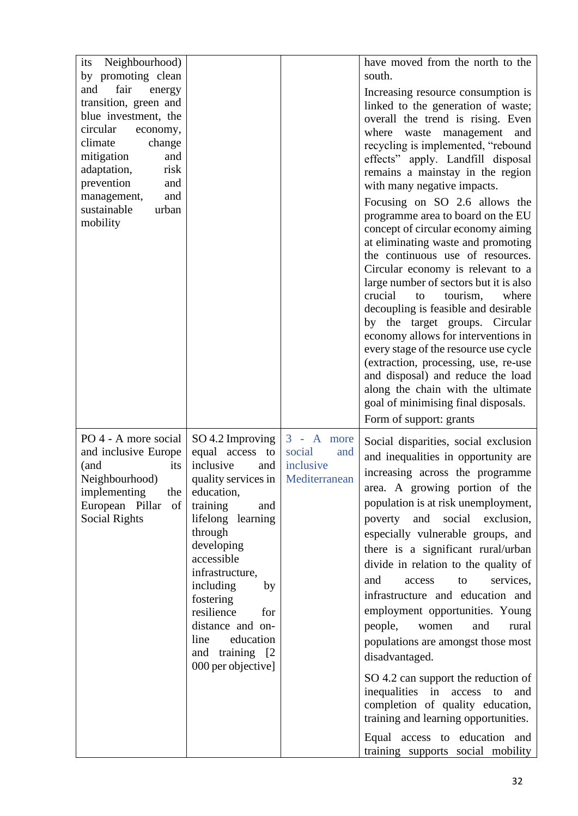| Neighbourhood)<br>its<br>by promoting clean<br>fair<br>and<br>energy<br>transition, green and<br>blue investment, the<br>circular<br>economy,<br>climate<br>change<br>mitigation<br>and<br>adaptation,<br>risk<br>prevention<br>and<br>and<br>management,<br>sustainable<br>urban<br>mobility |                                                                                                                                                                                                                                                                                                                                           |                                                             | have moved from the north to the<br>south.<br>Increasing resource consumption is<br>linked to the generation of waste;<br>overall the trend is rising. Even<br>waste management<br>where<br>and<br>recycling is implemented, "rebound<br>effects" apply. Landfill disposal<br>remains a mainstay in the region<br>with many negative impacts.<br>Focusing on SO 2.6 allows the<br>programme area to board on the EU<br>concept of circular economy aiming<br>at eliminating waste and promoting<br>the continuous use of resources.<br>Circular economy is relevant to a<br>large number of sectors but it is also<br>crucial<br>tourism,<br>where<br>to<br>decoupling is feasible and desirable<br>by the target groups. Circular<br>economy allows for interventions in<br>every stage of the resource use cycle<br>(extraction, processing, use, re-use<br>and disposal) and reduce the load<br>along the chain with the ultimate<br>goal of minimising final disposals.<br>Form of support: grants |
|-----------------------------------------------------------------------------------------------------------------------------------------------------------------------------------------------------------------------------------------------------------------------------------------------|-------------------------------------------------------------------------------------------------------------------------------------------------------------------------------------------------------------------------------------------------------------------------------------------------------------------------------------------|-------------------------------------------------------------|--------------------------------------------------------------------------------------------------------------------------------------------------------------------------------------------------------------------------------------------------------------------------------------------------------------------------------------------------------------------------------------------------------------------------------------------------------------------------------------------------------------------------------------------------------------------------------------------------------------------------------------------------------------------------------------------------------------------------------------------------------------------------------------------------------------------------------------------------------------------------------------------------------------------------------------------------------------------------------------------------------|
| PO 4 - A more social<br>and inclusive Europe<br>its<br>(and<br>Neighbourhood)<br>implementing<br>the<br>European Pillar<br>of<br><b>Social Rights</b>                                                                                                                                         | SO 4.2 Improving<br>equal access to<br>inclusive<br>and<br>quality services in<br>education,<br>training<br>and<br>lifelong<br>learning<br>through<br>developing<br>accessible<br>infrastructure,<br>including<br>by<br>fostering<br>resilience<br>for<br>distance and on-<br>line<br>education<br>and training [2]<br>000 per objective] | $3 - A$ more<br>social<br>and<br>inclusive<br>Mediterranean | Social disparities, social exclusion<br>and inequalities in opportunity are<br>increasing across the programme<br>area. A growing portion of the<br>population is at risk unemployment,<br>poverty<br>and social exclusion,<br>especially vulnerable groups, and<br>there is a significant rural/urban<br>divide in relation to the quality of<br>and<br>access<br>to<br>services,<br>infrastructure and education and<br>employment opportunities. Young<br>people,<br>and<br>women<br>rural<br>populations are amongst those most<br>disadvantaged.<br>SO 4.2 can support the reduction of<br>inequalities in<br>access<br>to<br>and<br>completion of quality education,<br>training and learning opportunities.<br>Equal access to education and<br>training supports social mobility                                                                                                                                                                                                               |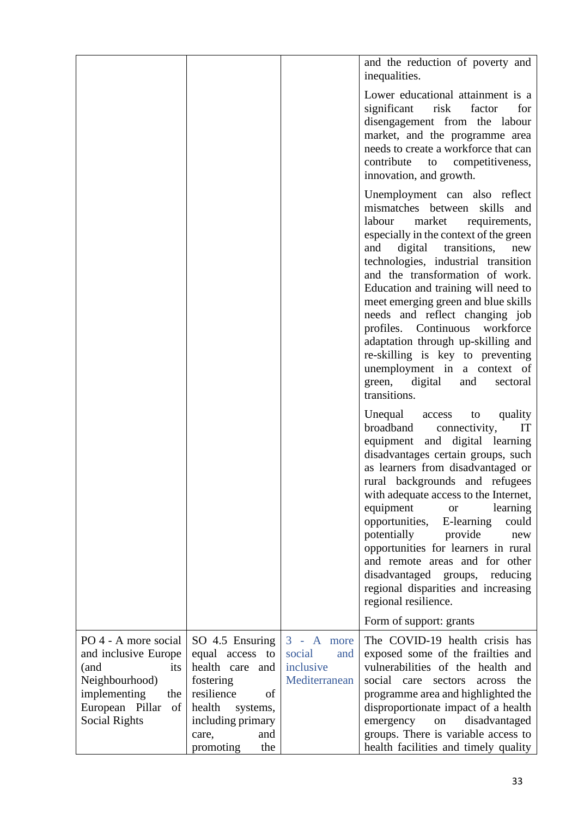|                                                                                                                                                |                                                                                                                                                      |                                                                | and the reduction of poverty and<br>inequalities.                                                                                                                                                                                                                                                                                                                                                                                                                                                                                                                                          |
|------------------------------------------------------------------------------------------------------------------------------------------------|------------------------------------------------------------------------------------------------------------------------------------------------------|----------------------------------------------------------------|--------------------------------------------------------------------------------------------------------------------------------------------------------------------------------------------------------------------------------------------------------------------------------------------------------------------------------------------------------------------------------------------------------------------------------------------------------------------------------------------------------------------------------------------------------------------------------------------|
|                                                                                                                                                |                                                                                                                                                      |                                                                | Lower educational attainment is a<br>for<br>significant<br>risk<br>factor<br>disengagement from the labour<br>market, and the programme area<br>needs to create a workforce that can<br>contribute<br>competitiveness,<br>to<br>innovation, and growth.                                                                                                                                                                                                                                                                                                                                    |
|                                                                                                                                                |                                                                                                                                                      |                                                                | Unemployment can also reflect<br>mismatches between<br>skills<br>and<br>labour<br>market<br>requirements,<br>especially in the context of the green<br>digital<br>transitions,<br>and<br>new<br>technologies, industrial transition<br>and the transformation of work.<br>Education and training will need to<br>meet emerging green and blue skills<br>needs and reflect changing job<br>profiles. Continuous<br>workforce<br>adaptation through up-skilling and<br>re-skilling is key to preventing<br>unemployment in a context of<br>green, digital<br>and<br>sectoral<br>transitions. |
|                                                                                                                                                |                                                                                                                                                      |                                                                | Unequal<br>quality<br>access to<br>broadband<br>IT<br>connectivity,<br>equipment and digital learning<br>disadvantages certain groups, such<br>as learners from disadvantaged or<br>rural backgrounds and refugees<br>with adequate access to the Internet,<br>equipment<br>learning<br><b>or</b><br>opportunities,<br>E-learning<br>could<br>potentially<br>provide<br>new<br>opportunities for learners in rural<br>and remote areas and for other<br>disadvantaged groups,<br>reducing<br>regional disparities and increasing<br>regional resilience.<br>Form of support: grants        |
|                                                                                                                                                |                                                                                                                                                      |                                                                |                                                                                                                                                                                                                                                                                                                                                                                                                                                                                                                                                                                            |
| PO 4 - A more social<br>and inclusive Europe<br>(and<br>its<br>Neighbourhood)<br>implementing<br>the<br>European Pillar<br>of<br>Social Rights | SO 4.5 Ensuring<br>equal access to<br>health care<br>and<br>fostering<br>resilience<br>of<br>health<br>systems,<br>including primary<br>and<br>care, | $3 -$<br>A more<br>social<br>and<br>inclusive<br>Mediterranean | The COVID-19 health crisis has<br>exposed some of the frailties and<br>vulnerabilities of the health and<br>social care<br>the<br>sectors<br>across<br>programme area and highlighted the<br>disproportionate impact of a health<br>disadvantaged<br>emergency<br>${\rm on}$<br>groups. There is variable access to                                                                                                                                                                                                                                                                        |
|                                                                                                                                                | the<br>promoting                                                                                                                                     |                                                                | health facilities and timely quality                                                                                                                                                                                                                                                                                                                                                                                                                                                                                                                                                       |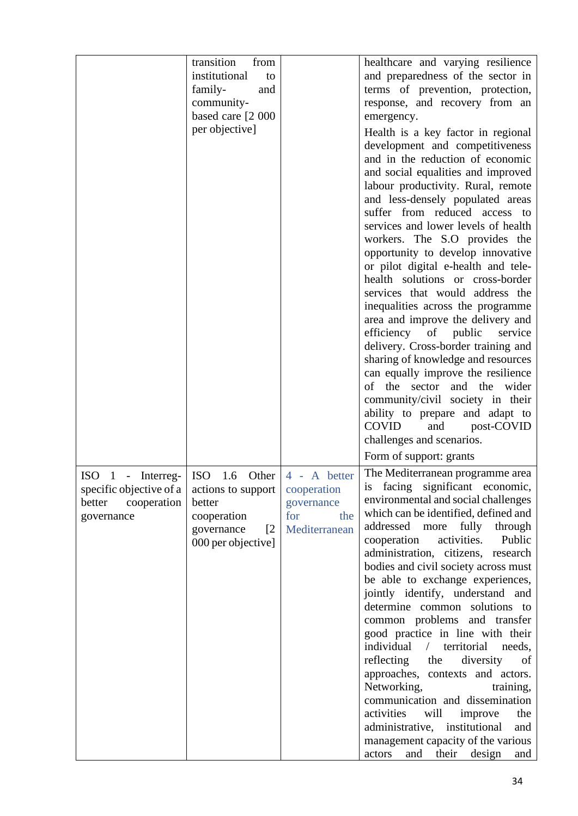|                                                                                     | transition<br>from<br>institutional<br>to<br>family-<br>and<br>community-<br>based care [2 000<br>per objective]                   |                                                                          | healthcare and varying resilience<br>and preparedness of the sector in<br>terms of prevention, protection,<br>response, and recovery from an<br>emergency.<br>Health is a key factor in regional<br>development and competitiveness<br>and in the reduction of economic<br>and social equalities and improved<br>labour productivity. Rural, remote<br>and less-densely populated areas<br>suffer from reduced access to<br>services and lower levels of health<br>workers. The S.O provides the<br>opportunity to develop innovative<br>or pilot digital e-health and tele-<br>health solutions or cross-border<br>services that would address the<br>inequalities across the programme<br>area and improve the delivery and<br>efficiency of<br>public<br>service<br>delivery. Cross-border training and<br>sharing of knowledge and resources<br>can equally improve the resilience<br>of the sector and the wider<br>community/civil society in their<br>ability to prepare and adapt to |
|-------------------------------------------------------------------------------------|------------------------------------------------------------------------------------------------------------------------------------|--------------------------------------------------------------------------|----------------------------------------------------------------------------------------------------------------------------------------------------------------------------------------------------------------------------------------------------------------------------------------------------------------------------------------------------------------------------------------------------------------------------------------------------------------------------------------------------------------------------------------------------------------------------------------------------------------------------------------------------------------------------------------------------------------------------------------------------------------------------------------------------------------------------------------------------------------------------------------------------------------------------------------------------------------------------------------------|
|                                                                                     |                                                                                                                                    |                                                                          | COVID<br>and<br>post-COVID                                                                                                                                                                                                                                                                                                                                                                                                                                                                                                                                                                                                                                                                                                                                                                                                                                                                                                                                                                   |
|                                                                                     |                                                                                                                                    |                                                                          | challenges and scenarios.                                                                                                                                                                                                                                                                                                                                                                                                                                                                                                                                                                                                                                                                                                                                                                                                                                                                                                                                                                    |
|                                                                                     |                                                                                                                                    |                                                                          | Form of support: grants                                                                                                                                                                                                                                                                                                                                                                                                                                                                                                                                                                                                                                                                                                                                                                                                                                                                                                                                                                      |
| ISO 1 - Interreg-<br>specific objective of a<br>better<br>cooperation<br>governance | <b>ISO</b><br>1.6<br>Other<br>actions to support<br>better<br>cooperation<br>governance<br>$\lceil 2 \rceil$<br>000 per objective] | 4 - A better<br>cooperation<br>governance<br>for<br>the<br>Mediterranean | The Mediterranean programme area<br>is facing significant economic,<br>environmental and social challenges<br>which can be identified, defined and<br>addressed more fully<br>through<br>activities.<br>Public<br>cooperation<br>administration, citizens, research<br>bodies and civil society across must<br>be able to exchange experiences,<br>jointly identify, understand and<br>determine common solutions to<br>common problems and transfer<br>good practice in line with their<br>individual<br>/ territorial<br>needs,<br>reflecting<br>the<br>diversity<br>of<br>approaches, contexts and actors.<br>Networking,<br>training,<br>communication and dissemination<br>activities<br>will<br>improve<br>the<br>administrative, institutional<br>and<br>management capacity of the various<br>and<br>their<br>design<br>actors<br>and                                                                                                                                                |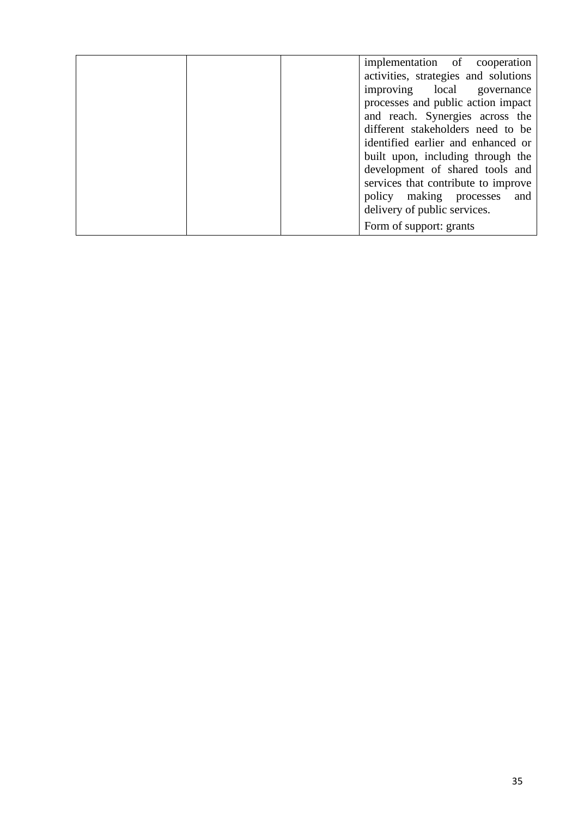| implementation of cooperation<br>activities, strategies and solutions |
|-----------------------------------------------------------------------|
| improving local<br>governance                                         |
| processes and public action impact                                    |
| and reach. Synergies across the<br>different stakeholders need to be  |
|                                                                       |
| identified earlier and enhanced or                                    |
| built upon, including through the                                     |
| development of shared tools and                                       |
| services that contribute to improve                                   |
| policy making processes<br>and                                        |
| delivery of public services.                                          |
| Form of support: grants                                               |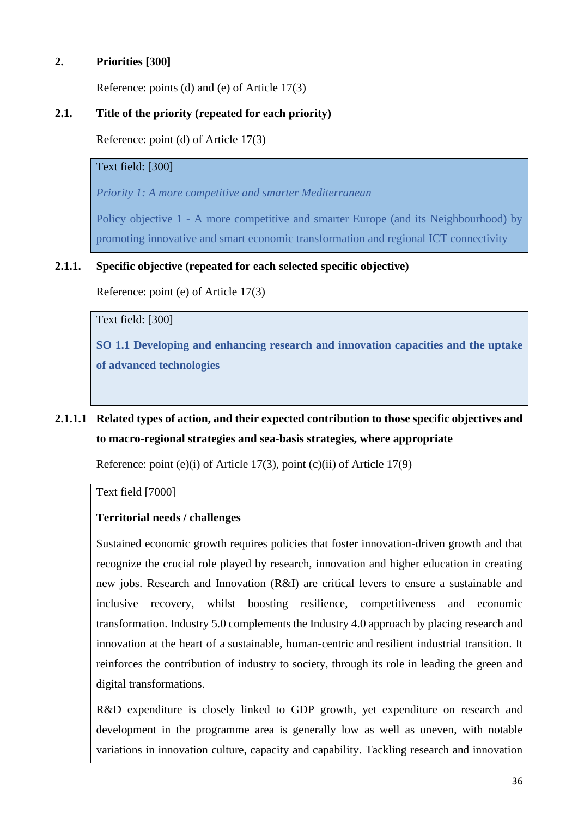## **2. Priorities [300]**

Reference: points (d) and (e) of Article 17(3)

## **2.1. Title of the priority (repeated for each priority)**

Reference: point (d) of Article 17(3)

## Text field: [300]

*Priority 1: A more competitive and smarter Mediterranean*

Policy objective 1 - A more competitive and smarter Europe (and its Neighbourhood) by promoting innovative and smart economic transformation and regional ICT connectivity

## **2.1.1. Specific objective (repeated for each selected specific objective)**

Reference: point (e) of Article 17(3)

Text field: [300]

**SO 1.1 Developing and enhancing research and innovation capacities and the uptake of advanced technologies**

# **2.1.1.1 Related types of action, and their expected contribution to those specific objectives and to macro-regional strategies and sea-basis strategies, where appropriate**

Reference: point (e)(i) of Article 17(3), point (c)(ii) of Article 17(9)

Text field [7000]

## **Territorial needs / challenges**

Sustained economic growth requires policies that foster innovation-driven growth and that recognize the crucial role played by research, innovation and higher education in creating new jobs. Research and Innovation (R&I) are critical levers to ensure a sustainable and inclusive recovery, whilst boosting resilience, competitiveness and economic transformation. Industry 5.0 complements the Industry 4.0 approach by placing research and innovation at the heart of a sustainable, human-centric and resilient industrial transition. It reinforces the contribution of industry to society, through its role in leading the green and digital transformations.

R&D expenditure is closely linked to GDP growth, yet expenditure on research and development in the programme area is generally low as well as uneven, with notable variations in innovation culture, capacity and capability. Tackling research and innovation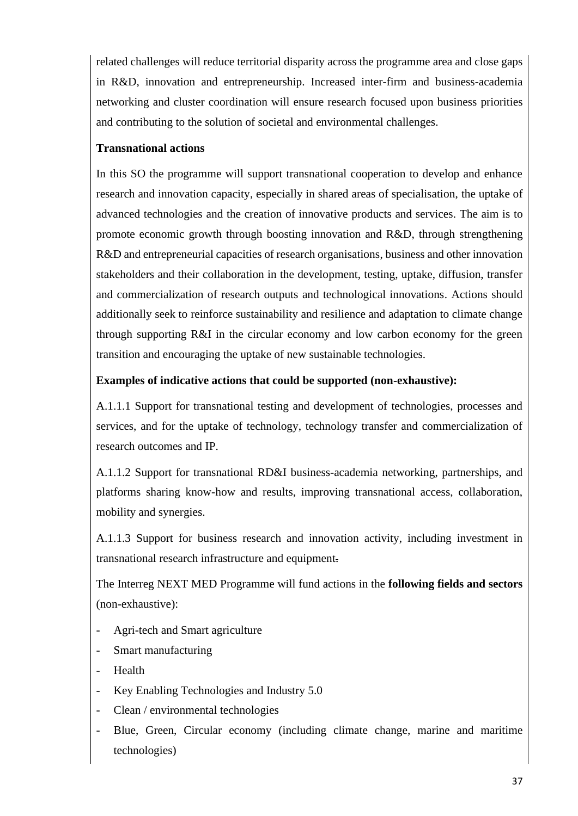related challenges will reduce territorial disparity across the programme area and close gaps in R&D, innovation and entrepreneurship. Increased inter-firm and business-academia networking and cluster coordination will ensure research focused upon business priorities and contributing to the solution of societal and environmental challenges.

# **Transnational actions**

In this SO the programme will support transnational cooperation to develop and enhance research and innovation capacity, especially in shared areas of specialisation, the uptake of advanced technologies and the creation of innovative products and services. The aim is to promote economic growth through boosting innovation and R&D, through strengthening R&D and entrepreneurial capacities of research organisations, business and other innovation stakeholders and their collaboration in the development, testing, uptake, diffusion, transfer and commercialization of research outputs and technological innovations. Actions should additionally seek to reinforce sustainability and resilience and adaptation to climate change through supporting R&I in the circular economy and low carbon economy for the green transition and encouraging the uptake of new sustainable technologies.

# **Examples of indicative actions that could be supported (non-exhaustive):**

A.1.1.1 Support for transnational testing and development of technologies, processes and services, and for the uptake of technology, technology transfer and commercialization of research outcomes and IP.

A.1.1.2 Support for transnational RD&I business-academia networking, partnerships, and platforms sharing know-how and results, improving transnational access, collaboration, mobility and synergies.

A.1.1.3 Support for business research and innovation activity, including investment in transnational research infrastructure and equipment.

The Interreg NEXT MED Programme will fund actions in the **following fields and sectors** (non-exhaustive):

- Agri-tech and Smart agriculture
- Smart manufacturing
- **Health**
- Key Enabling Technologies and Industry 5.0
- Clean / environmental technologies
- Blue, Green, Circular economy (including climate change, marine and maritime technologies)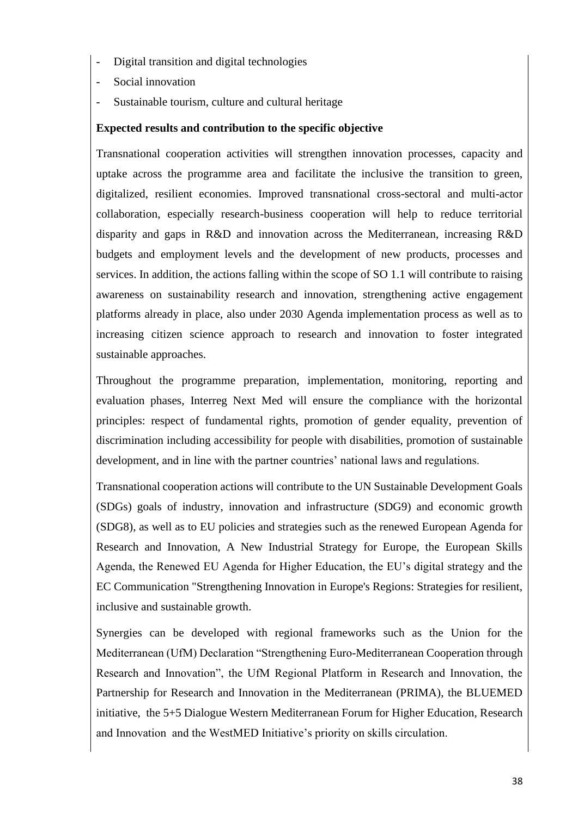- Digital transition and digital technologies
- Social innovation
- Sustainable tourism, culture and cultural heritage

### **Expected results and contribution to the specific objective**

Transnational cooperation activities will strengthen innovation processes, capacity and uptake across the programme area and facilitate the inclusive the transition to green, digitalized, resilient economies. Improved transnational cross-sectoral and multi-actor collaboration, especially research-business cooperation will help to reduce territorial disparity and gaps in R&D and innovation across the Mediterranean, increasing R&D budgets and employment levels and the development of new products, processes and services. In addition, the actions falling within the scope of SO 1.1 will contribute to raising awareness on sustainability research and innovation, strengthening active engagement platforms already in place, also under 2030 Agenda implementation process as well as to increasing citizen science approach to research and innovation to foster integrated sustainable approaches.

Throughout the programme preparation, implementation, monitoring, reporting and evaluation phases, Interreg Next Med will ensure the compliance with the horizontal principles: respect of fundamental rights, promotion of gender equality, prevention of discrimination including accessibility for people with disabilities, promotion of sustainable development, and in line with the partner countries' national laws and regulations.

Transnational cooperation actions will contribute to the UN Sustainable Development Goals (SDGs) goals of industry, innovation and infrastructure (SDG9) and economic growth (SDG8), as well as to EU policies and strategies such as the renewed European Agenda for Research and Innovation, A New Industrial Strategy for Europe, the European Skills Agenda, the Renewed EU Agenda for Higher Education, the EU's digital strategy and the EC Communication "Strengthening Innovation in Europe's Regions: Strategies for resilient, inclusive and sustainable growth.

Synergies can be developed with regional frameworks such as the Union for the Mediterranean (UfM) Declaration "Strengthening Euro-Mediterranean Cooperation through Research and Innovation", the UfM Regional Platform in Research and Innovation, the Partnership for Research and Innovation in the Mediterranean (PRIMA), the BLUEMED initiative, the 5+5 Dialogue Western Mediterranean Forum for Higher Education, Research and Innovation and the WestMED Initiative's priority on skills circulation.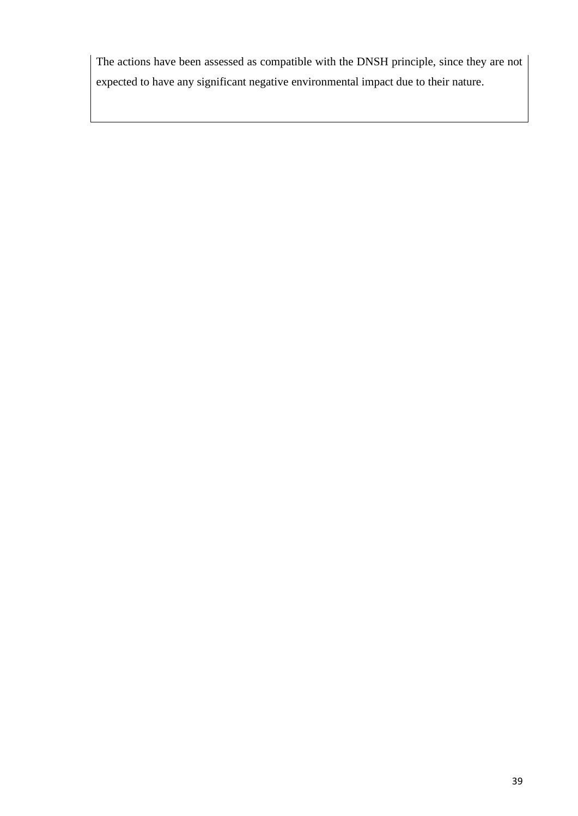The actions have been assessed as compatible with the DNSH principle, since they are not expected to have any significant negative environmental impact due to their nature.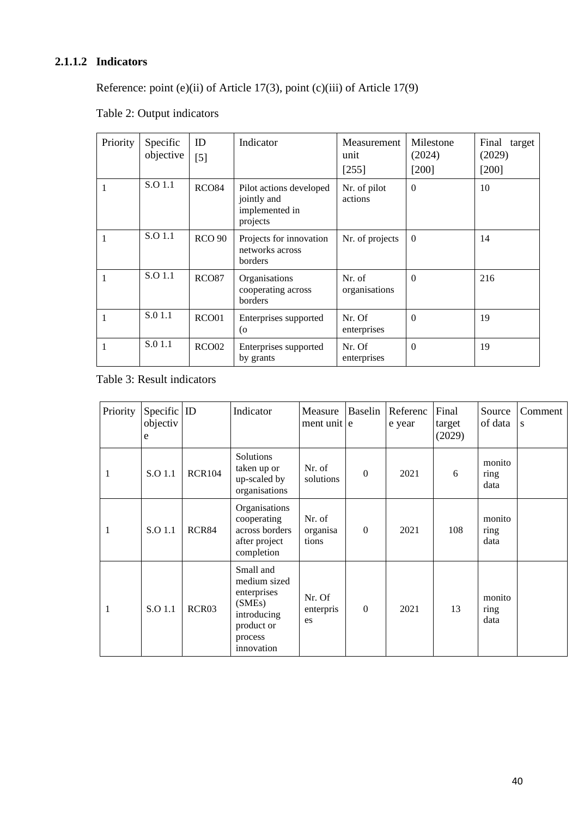# **2.1.1.2 Indicators**

Reference: point (e)(ii) of Article 17(3), point (c)(iii) of Article 17(9)

| Priority | Specific<br>objective | ID<br>$[5]$       | Indicator                                                            | Measurement<br>unit<br>[255] | Milestone<br>(2024)<br>$[200]$ | Final target<br>(2029)<br>$[200]$ |
|----------|-----------------------|-------------------|----------------------------------------------------------------------|------------------------------|--------------------------------|-----------------------------------|
|          | S.O 1.1               | <b>RCO84</b>      | Pilot actions developed<br>jointly and<br>implemented in<br>projects | Nr. of pilot<br>actions      | $\overline{0}$                 | 10                                |
| 1        | S.O 1.1               | <b>RCO 90</b>     | Projects for innovation<br>networks across<br>borders                | Nr. of projects              | $\overline{0}$                 | 14                                |
|          | S.O 1.1               | <b>RCO87</b>      | Organisations<br>cooperating across<br>borders                       | Nr. of<br>organisations      | $\overline{0}$                 | 216                               |
|          | S.0 1.1               | RCO01             | Enterprises supported<br>(o                                          | Nr. Of<br>enterprises        | $\Omega$                       | 19                                |
|          | S.0 1.1               | RCO <sub>02</sub> | Enterprises supported<br>by grants                                   | Nr. Of<br>enterprises        | $\overline{0}$                 | 19                                |

# Table 2: Output indicators

### Table 3: Result indicators

| Priority     | Specific $ $ ID<br>objectiv<br>e |                   | Indicator                                                                                                | Measure<br>ment unit e      | <b>Baselin</b> | Referenc<br>e year | Final<br>target<br>(2029) | Source<br>of data      | Comment<br>${\bf S}$ |
|--------------|----------------------------------|-------------------|----------------------------------------------------------------------------------------------------------|-----------------------------|----------------|--------------------|---------------------------|------------------------|----------------------|
| 1            | S.O 1.1                          | <b>RCR104</b>     | Solutions<br>taken up or<br>up-scaled by<br>organisations                                                | Nr. of<br>solutions         | $\theta$       | 2021               | 6                         | monito<br>ring<br>data |                      |
| $\mathbf{1}$ | S.O 1.1                          | RCR84             | Organisations<br>cooperating<br>across borders<br>after project<br>completion                            | Nr. of<br>organisa<br>tions | $\theta$       | 2021               | 108                       | monito<br>ring<br>data |                      |
| $\mathbf{1}$ | S.O 1.1                          | RCR <sub>03</sub> | Small and<br>medium sized<br>enterprises<br>(SMEs)<br>introducing<br>product or<br>process<br>innovation | Nr. Of<br>enterpris<br>es   | $\theta$       | 2021               | 13                        | monito<br>ring<br>data |                      |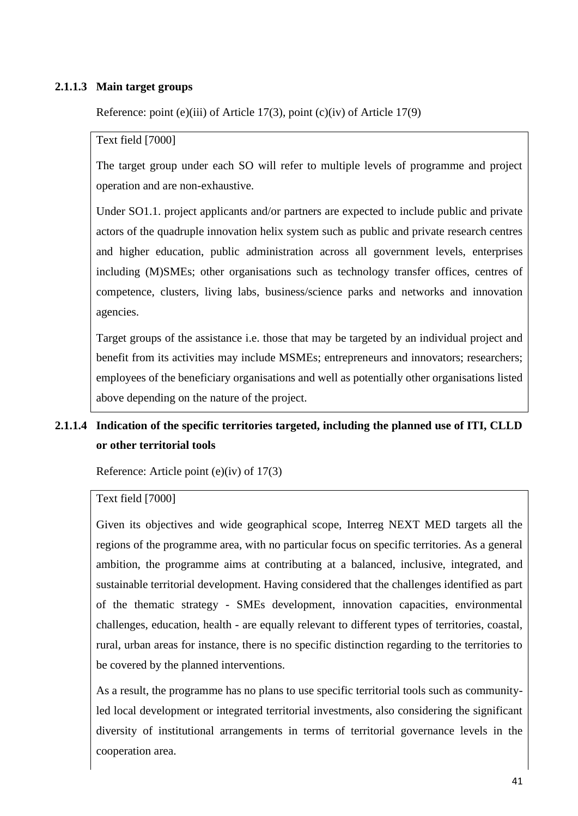#### **2.1.1.3 Main target groups**

Reference: point (e)(iii) of Article 17(3), point (c)(iv) of Article 17(9)

#### Text field [7000]

The target group under each SO will refer to multiple levels of programme and project operation and are non-exhaustive.

Under SO1.1. project applicants and/or partners are expected to include public and private actors of the quadruple innovation helix system such as public and private research centres and higher education, public administration across all government levels, enterprises including (M)SMEs; other organisations such as technology transfer offices, centres of competence, clusters, living labs, business/science parks and networks and innovation agencies.

Target groups of the assistance i.e. those that may be targeted by an individual project and benefit from its activities may include MSMEs; entrepreneurs and innovators; researchers; employees of the beneficiary organisations and well as potentially other organisations listed above depending on the nature of the project.

# **2.1.1.4 Indication of the specific territories targeted, including the planned use of ITI, CLLD or other territorial tools**

Reference: Article point (e)(iv) of 17(3)

#### Text field [7000]

Given its objectives and wide geographical scope, Interreg NEXT MED targets all the regions of the programme area, with no particular focus on specific territories. As a general ambition, the programme aims at contributing at a balanced, inclusive, integrated, and sustainable territorial development. Having considered that the challenges identified as part of the thematic strategy - SMEs development, innovation capacities, environmental challenges, education, health - are equally relevant to different types of territories, coastal, rural, urban areas for instance, there is no specific distinction regarding to the territories to be covered by the planned interventions.

As a result, the programme has no plans to use specific territorial tools such as communityled local development or integrated territorial investments, also considering the significant diversity of institutional arrangements in terms of territorial governance levels in the cooperation area.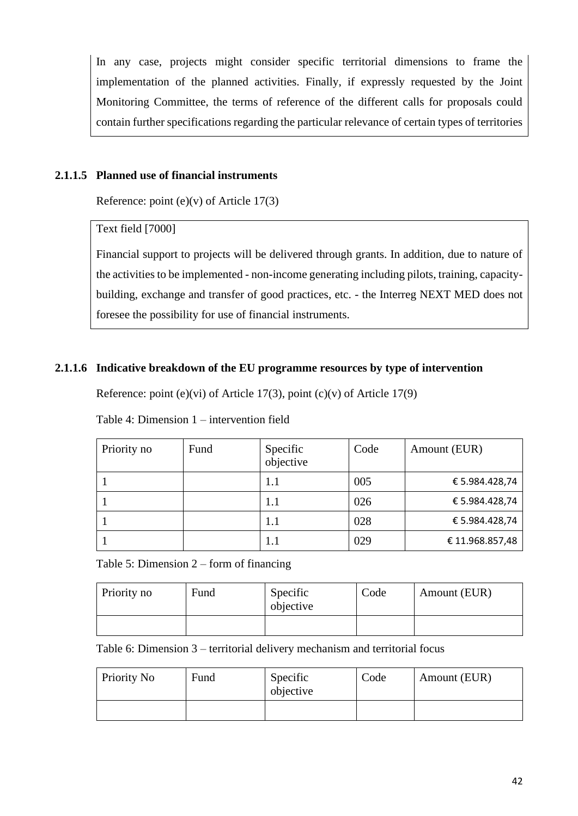In any case, projects might consider specific territorial dimensions to frame the implementation of the planned activities. Finally, if expressly requested by the Joint Monitoring Committee, the terms of reference of the different calls for proposals could contain further specifications regarding the particular relevance of certain types of territories

# **2.1.1.5 Planned use of financial instruments**

Reference: point  $(e)(v)$  of Article 17(3)

### Text field [7000]

Financial support to projects will be delivered through grants. In addition, due to nature of the activities to be implemented - non-income generating including pilots, training, capacitybuilding, exchange and transfer of good practices, etc. - the Interreg NEXT MED does not foresee the possibility for use of financial instruments.

# **2.1.1.6 Indicative breakdown of the EU programme resources by type of intervention**

Reference: point (e)(vi) of Article 17(3), point (c)(v) of Article 17(9)

Table 4: Dimension 1 – intervention field

| Priority no | Fund | Specific<br>objective | Code | Amount (EUR)   |
|-------------|------|-----------------------|------|----------------|
|             |      | 1.1                   | 005  | € 5.984.428,74 |
|             |      | 1.1                   | 026  | € 5.984.428,74 |
|             |      | 1.1                   | 028  | € 5.984.428,74 |
|             |      | 1.1                   | 029  | €11.968.857,48 |

Table 5: Dimension 2 – form of financing

| Priority no | Fund | Specific<br>objective | Code | Amount (EUR) |
|-------------|------|-----------------------|------|--------------|
|             |      |                       |      |              |

Table 6: Dimension 3 – territorial delivery mechanism and territorial focus

| Priority No | Fund | Specific<br>objective | Code | Amount (EUR) |
|-------------|------|-----------------------|------|--------------|
|             |      |                       |      |              |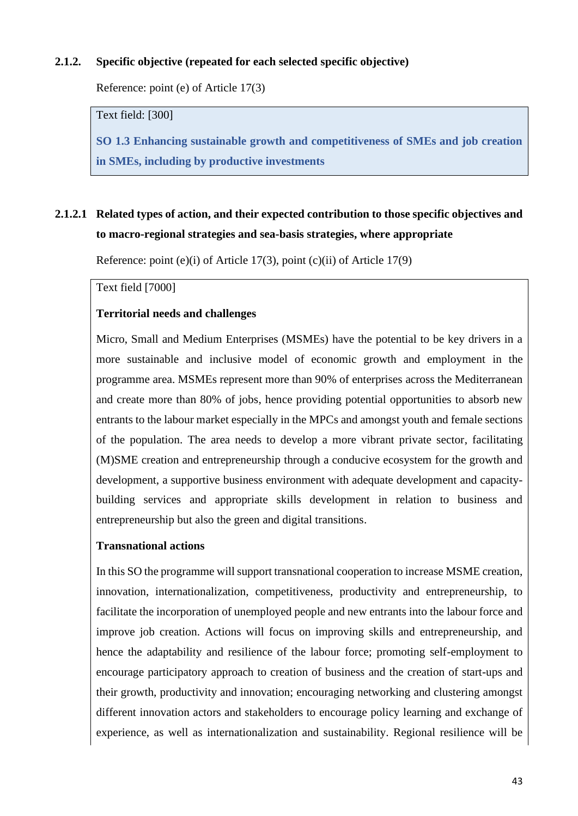### **2.1.2. Specific objective (repeated for each selected specific objective)**

Reference: point (e) of Article 17(3)

Text field: [300]

**SO 1.3 Enhancing sustainable growth and competitiveness of SMEs and job creation in SMEs, including by productive investments**

# **2.1.2.1 Related types of action, and their expected contribution to those specific objectives and to macro-regional strategies and sea-basis strategies, where appropriate**

Reference: point (e)(i) of Article 17(3), point (c)(ii) of Article 17(9)

Text field [7000]

### **Territorial needs and challenges**

Micro, Small and Medium Enterprises (MSMEs) have the potential to be key drivers in a more sustainable and inclusive model of economic growth and employment in the programme area. MSMEs represent more than 90% of enterprises across the Mediterranean and create more than 80% of jobs, hence providing potential opportunities to absorb new entrants to the labour market especially in the MPCs and amongst youth and female sections of the population. The area needs to develop a more vibrant private sector, facilitating (M)SME creation and entrepreneurship through a conducive ecosystem for the growth and development, a supportive business environment with adequate development and capacitybuilding services and appropriate skills development in relation to business and entrepreneurship but also the green and digital transitions.

#### **Transnational actions**

In this SO the programme will support transnational cooperation to increase MSME creation, innovation, internationalization, competitiveness, productivity and entrepreneurship, to facilitate the incorporation of unemployed people and new entrants into the labour force and improve job creation. Actions will focus on improving skills and entrepreneurship, and hence the adaptability and resilience of the labour force; promoting self-employment to encourage participatory approach to creation of business and the creation of start-ups and their growth, productivity and innovation; encouraging networking and clustering amongst different innovation actors and stakeholders to encourage policy learning and exchange of experience, as well as internationalization and sustainability. Regional resilience will be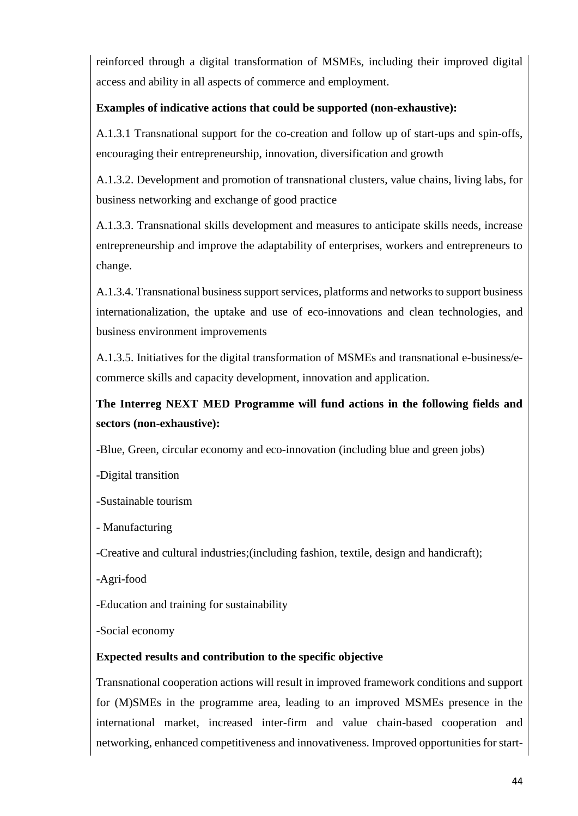reinforced through a digital transformation of MSMEs, including their improved digital access and ability in all aspects of commerce and employment.

# **Examples of indicative actions that could be supported (non-exhaustive):**

A.1.3.1 Transnational support for the co-creation and follow up of start-ups and spin-offs, encouraging their entrepreneurship, innovation, diversification and growth

A.1.3.2. Development and promotion of transnational clusters, value chains, living labs, for business networking and exchange of good practice

A.1.3.3. Transnational skills development and measures to anticipate skills needs, increase entrepreneurship and improve the adaptability of enterprises, workers and entrepreneurs to change.

A.1.3.4. Transnational business support services, platforms and networks to support business internationalization, the uptake and use of eco-innovations and clean technologies, and business environment improvements

A.1.3.5. Initiatives for the digital transformation of MSMEs and transnational e-business/ecommerce skills and capacity development, innovation and application.

# **The Interreg NEXT MED Programme will fund actions in the following fields and sectors (non-exhaustive):**

-Blue, Green, circular economy and eco-innovation (including blue and green jobs)

-Digital transition

-Sustainable tourism

- Manufacturing

-Creative and cultural industries;(including fashion, textile, design and handicraft);

-Agri-food

-Education and training for sustainability

-Social economy

# **Expected results and contribution to the specific objective**

Transnational cooperation actions will result in improved framework conditions and support for (M)SMEs in the programme area, leading to an improved MSMEs presence in the international market, increased inter-firm and value chain-based cooperation and networking, enhanced competitiveness and innovativeness. Improved opportunities for start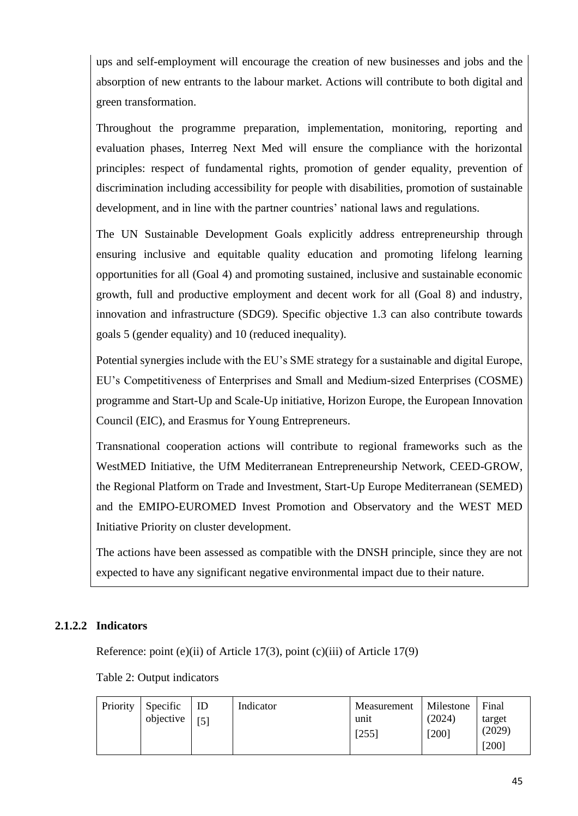ups and self-employment will encourage the creation of new businesses and jobs and the absorption of new entrants to the labour market. Actions will contribute to both digital and green transformation.

Throughout the programme preparation, implementation, monitoring, reporting and evaluation phases, Interreg Next Med will ensure the compliance with the horizontal principles: respect of fundamental rights, promotion of gender equality, prevention of discrimination including accessibility for people with disabilities, promotion of sustainable development, and in line with the partner countries' national laws and regulations.

The UN Sustainable Development Goals explicitly address entrepreneurship through ensuring inclusive and equitable quality education and promoting lifelong learning opportunities for all (Goal 4) and promoting sustained, inclusive and sustainable economic growth, full and productive employment and decent work for all (Goal 8) and industry, innovation and infrastructure (SDG9). Specific objective 1.3 can also contribute towards goals 5 (gender equality) and 10 (reduced inequality).

Potential synergies include with the EU's SME strategy for a sustainable and digital Europe, EU's Competitiveness of Enterprises and Small and Medium-sized Enterprises (COSME) programme and Start-Up and Scale-Up initiative, Horizon Europe, the European Innovation Council (EIC), and Erasmus for Young Entrepreneurs.

Transnational cooperation actions will contribute to regional frameworks such as the WestMED Initiative, the UfM Mediterranean Entrepreneurship Network, CEED-GROW, the Regional Platform on Trade and Investment, Start-Up Europe Mediterranean (SEMED) and the EMIPO-EUROMED Invest Promotion and Observatory and the WEST MED Initiative Priority on cluster development.

The actions have been assessed as compatible with the DNSH principle, since they are not expected to have any significant negative environmental impact due to their nature.

# **2.1.2.2 Indicators**

Reference: point (e)(ii) of Article 17(3), point (c)(iii) of Article 17(9)

Table 2: Output indicators

| Priority | Specific<br>objective | ID<br>[5] | Indicator | Measurement<br>unit<br>[255] | Milestone<br>(2024)<br>$1200$ ] | Final<br>target<br>(2029)<br>$[200]$ |
|----------|-----------------------|-----------|-----------|------------------------------|---------------------------------|--------------------------------------|
|----------|-----------------------|-----------|-----------|------------------------------|---------------------------------|--------------------------------------|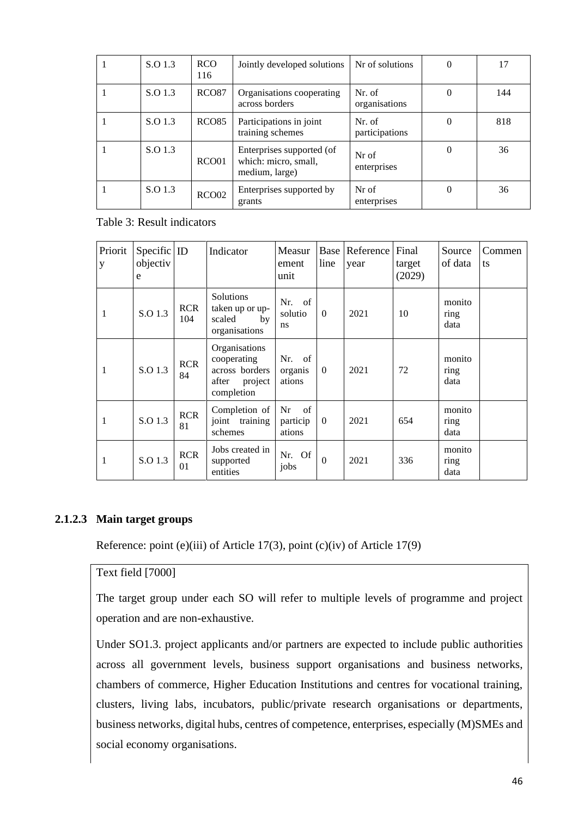| S.O 1.3 | <b>RCO</b><br>116 | Jointly developed solutions                                         | Nr of solutions          | 0        | 17  |
|---------|-------------------|---------------------------------------------------------------------|--------------------------|----------|-----|
| S.O 1.3 | RCO <sub>87</sub> | Organisations cooperating<br>across borders                         | Nr. of<br>organisations  | $\Omega$ | 144 |
| S.O 1.3 | RCO <sub>85</sub> | Participations in joint<br>training schemes                         | Nr. of<br>participations | $\Omega$ | 818 |
| S.O 1.3 | RCO01             | Enterprises supported (of<br>which: micro, small,<br>medium, large) | Nr of<br>enterprises     | $\Omega$ | 36  |
| S.O 1.3 | RCO02             | Enterprises supported by<br>grants                                  | Nr of<br>enterprises     | 0        | 36  |

Table 3: Result indicators

| Priorit<br>y | $Specific$ ID<br>objectiv<br>e |                   | Indicator                                                                        | Measur<br>ement<br>unit        | line           | Base Reference<br>year | Final<br>target<br>(2029) | Source<br>of data      | Commen<br>ts |
|--------------|--------------------------------|-------------------|----------------------------------------------------------------------------------|--------------------------------|----------------|------------------------|---------------------------|------------------------|--------------|
| 1            | S.O 1.3                        | <b>RCR</b><br>104 | <b>Solutions</b><br>taken up or up-<br>scaled<br>by<br>organisations             | Nr. of<br>solutio<br>ns        | $\theta$       | 2021                   | 10                        | monito<br>ring<br>data |              |
| 1            | S.O 1.3                        | <b>RCR</b><br>84  | Organisations<br>cooperating<br>across borders<br>after<br>project<br>completion | Nr. of<br>organis<br>ations    | $\theta$       | 2021                   | 72                        | monito<br>ring<br>data |              |
| 1            | S.O 1.3                        | <b>RCR</b><br>81  | Completion of<br>joint training<br>schemes                                       | Nr<br>of<br>particip<br>ations | $\theta$       | 2021                   | 654                       | monito<br>ring<br>data |              |
| 1            | S.O 1.3                        | <b>RCR</b><br>01  | Jobs created in<br>supported<br>entities                                         | Nr. Of<br>jobs                 | $\overline{0}$ | 2021                   | 336                       | monito<br>ring<br>data |              |

#### **2.1.2.3 Main target groups**

Reference: point (e)(iii) of Article 17(3), point (c)(iv) of Article 17(9)

#### Text field [7000]

The target group under each SO will refer to multiple levels of programme and project operation and are non-exhaustive.

Under SO1.3. project applicants and/or partners are expected to include public authorities across all government levels, business support organisations and business networks, chambers of commerce, Higher Education Institutions and centres for vocational training, clusters, living labs, incubators, public/private research organisations or departments, business networks, digital hubs, centres of competence, enterprises, especially (M)SMEs and social economy organisations.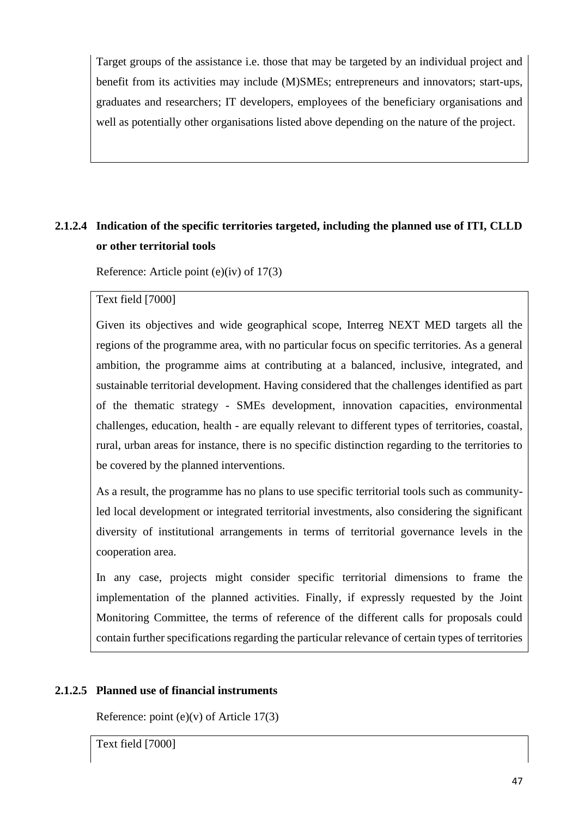Target groups of the assistance i.e. those that may be targeted by an individual project and benefit from its activities may include (M)SMEs; entrepreneurs and innovators; start-ups, graduates and researchers; IT developers, employees of the beneficiary organisations and well as potentially other organisations listed above depending on the nature of the project.

# **2.1.2.4 Indication of the specific territories targeted, including the planned use of ITI, CLLD or other territorial tools**

Reference: Article point (e)(iv) of 17(3)

Text field [7000]

Given its objectives and wide geographical scope, Interreg NEXT MED targets all the regions of the programme area, with no particular focus on specific territories. As a general ambition, the programme aims at contributing at a balanced, inclusive, integrated, and sustainable territorial development. Having considered that the challenges identified as part of the thematic strategy - SMEs development, innovation capacities, environmental challenges, education, health - are equally relevant to different types of territories, coastal, rural, urban areas for instance, there is no specific distinction regarding to the territories to be covered by the planned interventions.

As a result, the programme has no plans to use specific territorial tools such as communityled local development or integrated territorial investments, also considering the significant diversity of institutional arrangements in terms of territorial governance levels in the cooperation area.

In any case, projects might consider specific territorial dimensions to frame the implementation of the planned activities. Finally, if expressly requested by the Joint Monitoring Committee, the terms of reference of the different calls for proposals could contain further specifications regarding the particular relevance of certain types of territories

# **2.1.2.5 Planned use of financial instruments**

Reference: point  $(e)(v)$  of Article 17(3)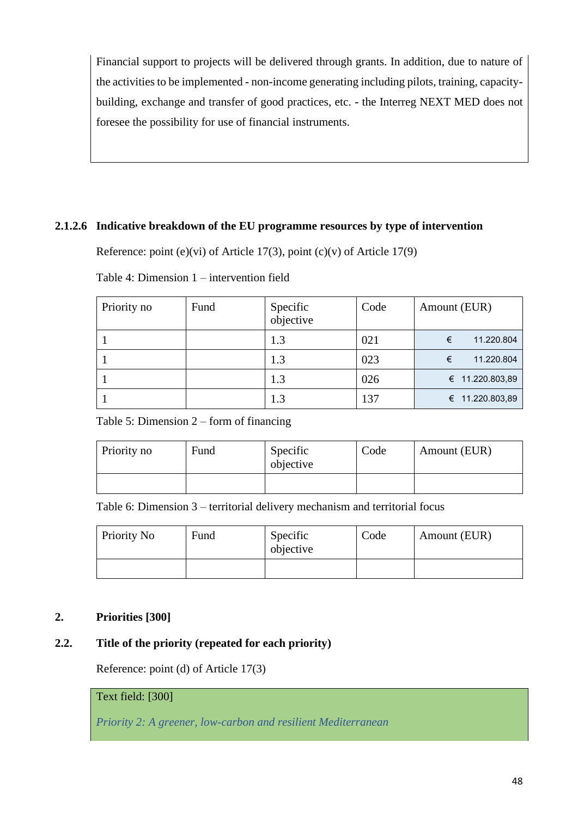Financial support to projects will be delivered through grants. In addition, due to nature of the activities to be implemented - non-income generating including pilots, training, capacitybuilding, exchange and transfer of good practices, etc. - the Interreg NEXT MED does not foresee the possibility for use of financial instruments.

### **2.1.2.6 Indicative breakdown of the EU programme resources by type of intervention**

Reference: point (e)(vi) of Article 17(3), point (c)(v) of Article 17(9)

| Priority no | Fund | Specific<br>objective | Code | Amount (EUR)    |
|-------------|------|-----------------------|------|-----------------|
|             |      | 1.3                   | 021  | 11.220.804<br>€ |
|             |      |                       | 023  | 11.220.804<br>€ |

Table 4: Dimension 1 – intervention field

Table 5: Dimension 2 – form of financing

| Priority no | Fund | Specific<br>objective | Code | Amount (EUR) |
|-------------|------|-----------------------|------|--------------|
|             |      |                       |      |              |

1  $1.3$   $0.26$   $\epsilon$  11.220.803,89 1 1.3 1.3 1.37 € 11.220.803,89

Table 6: Dimension 3 – territorial delivery mechanism and territorial focus

| Priority No | Fund | Specific<br>objective | Code | Amount (EUR) |
|-------------|------|-----------------------|------|--------------|
|             |      |                       |      |              |

# **2. Priorities [300]**

# **2.2. Title of the priority (repeated for each priority)**

Reference: point (d) of Article 17(3)

# Text field: [300]

*Priority 2: A greener, low-carbon and resilient Mediterranean*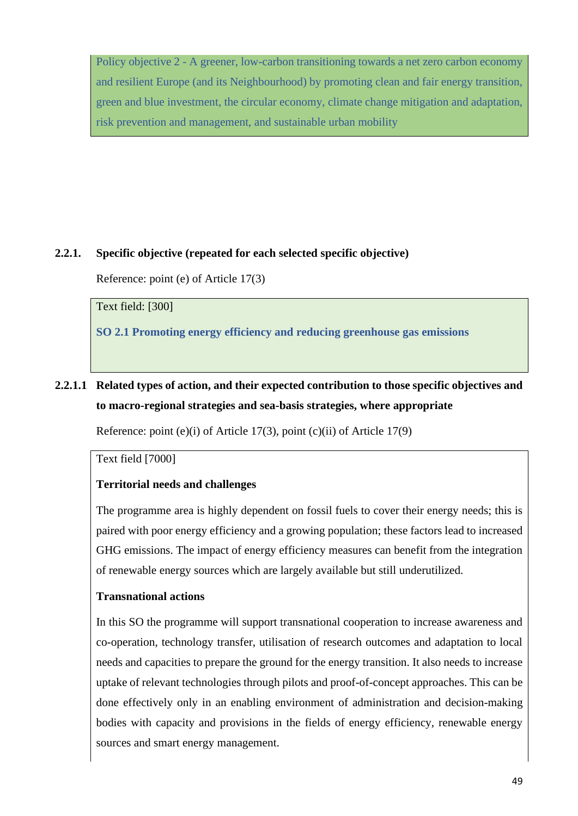Policy objective 2 - A greener, low-carbon transitioning towards a net zero carbon economy and resilient Europe (and its Neighbourhood) by promoting clean and fair energy transition, green and blue investment, the circular economy, climate change mitigation and adaptation, risk prevention and management, and sustainable urban mobility

### **2.2.1. Specific objective (repeated for each selected specific objective)**

Reference: point (e) of Article 17(3)

Text field: [300]

**SO 2.1 Promoting energy efficiency and reducing greenhouse gas emissions**

# **2.2.1.1 Related types of action, and their expected contribution to those specific objectives and to macro-regional strategies and sea-basis strategies, where appropriate**

Reference: point (e)(i) of Article 17(3), point (c)(ii) of Article 17(9)

Text field [7000]

# **Territorial needs and challenges**

The programme area is highly dependent on fossil fuels to cover their energy needs; this is paired with poor energy efficiency and a growing population; these factors lead to increased GHG emissions. The impact of energy efficiency measures can benefit from the integration of renewable energy sources which are largely available but still underutilized.

#### **Transnational actions**

In this SO the programme will support transnational cooperation to increase awareness and co-operation, technology transfer, utilisation of research outcomes and adaptation to local needs and capacities to prepare the ground for the energy transition. It also needs to increase uptake of relevant technologies through pilots and proof-of-concept approaches. This can be done effectively only in an enabling environment of administration and decision-making bodies with capacity and provisions in the fields of energy efficiency, renewable energy sources and smart energy management.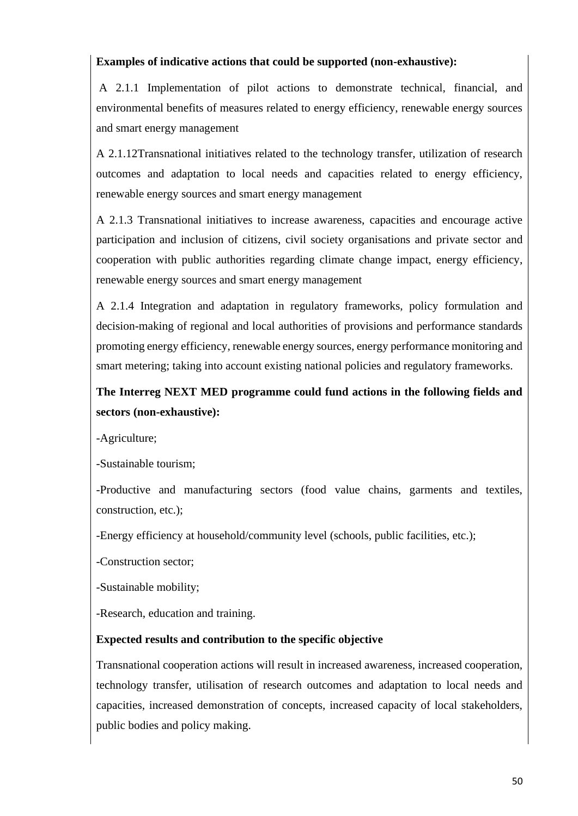# **Examples of indicative actions that could be supported (non-exhaustive):**

A 2.1.1 Implementation of pilot actions to demonstrate technical, financial, and environmental benefits of measures related to energy efficiency, renewable energy sources and smart energy management

A 2.1.12Transnational initiatives related to the technology transfer, utilization of research outcomes and adaptation to local needs and capacities related to energy efficiency, renewable energy sources and smart energy management

A 2.1.3 Transnational initiatives to increase awareness, capacities and encourage active participation and inclusion of citizens, civil society organisations and private sector and cooperation with public authorities regarding climate change impact, energy efficiency, renewable energy sources and smart energy management

A 2.1.4 Integration and adaptation in regulatory frameworks, policy formulation and decision-making of regional and local authorities of provisions and performance standards promoting energy efficiency, renewable energy sources, energy performance monitoring and smart metering; taking into account existing national policies and regulatory frameworks.

# **The Interreg NEXT MED programme could fund actions in the following fields and sectors (non-exhaustive):**

-Agriculture;

-Sustainable tourism;

-Productive and manufacturing sectors (food value chains, garments and textiles, construction, etc.);

-Energy efficiency at household/community level (schools, public facilities, etc.);

-Construction sector;

-Sustainable mobility;

-Research, education and training.

#### **Expected results and contribution to the specific objective**

Transnational cooperation actions will result in increased awareness, increased cooperation, technology transfer, utilisation of research outcomes and adaptation to local needs and capacities, increased demonstration of concepts, increased capacity of local stakeholders, public bodies and policy making.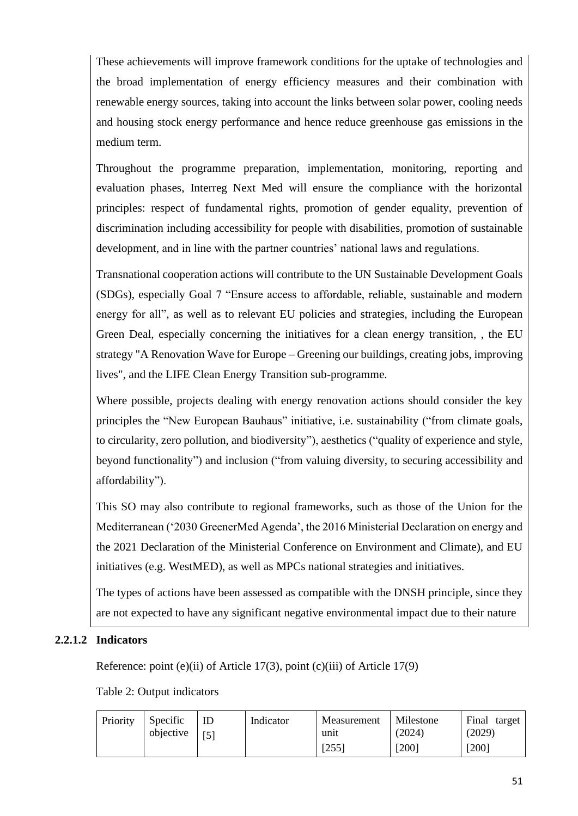These achievements will improve framework conditions for the uptake of technologies and the broad implementation of energy efficiency measures and their combination with renewable energy sources, taking into account the links between solar power, cooling needs and housing stock energy performance and hence reduce greenhouse gas emissions in the medium term.

Throughout the programme preparation, implementation, monitoring, reporting and evaluation phases, Interreg Next Med will ensure the compliance with the horizontal principles: respect of fundamental rights, promotion of gender equality, prevention of discrimination including accessibility for people with disabilities, promotion of sustainable development, and in line with the partner countries' national laws and regulations.

Transnational cooperation actions will contribute to the UN Sustainable Development Goals (SDGs), especially Goal 7 "Ensure access to affordable, reliable, sustainable and modern energy for all", as well as to relevant EU policies and strategies, including the European Green Deal, especially concerning the initiatives for a clean energy transition, , the EU strategy "A Renovation Wave for Europe – Greening our buildings, creating jobs, improving lives", and the LIFE Clean Energy Transition sub-programme.

Where possible, projects dealing with energy renovation actions should consider the key principles the "New European Bauhaus" initiative, i.e. sustainability ("from climate goals, to circularity, zero pollution, and biodiversity"), aesthetics ("quality of experience and style, beyond functionality") and inclusion ("from valuing diversity, to securing accessibility and affordability").

This SO may also contribute to regional frameworks, such as those of the Union for the Mediterranean ('2030 GreenerMed Agenda', the 2016 Ministerial Declaration on energy and the 2021 Declaration of the Ministerial Conference on Environment and Climate), and EU initiatives (e.g. WestMED), as well as MPCs national strategies and initiatives.

The types of actions have been assessed as compatible with the DNSH principle, since they are not expected to have any significant negative environmental impact due to their nature

# **2.2.1.2 Indicators**

Reference: point (e)(ii) of Article 17(3), point (c)(iii) of Article 17(9)

Table 2: Output indicators

| Priority | Specific<br>objective | ID<br>$\sqrt{51}$ | Indicator | Measurement<br>unit | Milestone<br>(2024) | Final target<br>(2029) |
|----------|-----------------------|-------------------|-----------|---------------------|---------------------|------------------------|
|          |                       |                   |           | [255]               | $[200]$             | $[200]$                |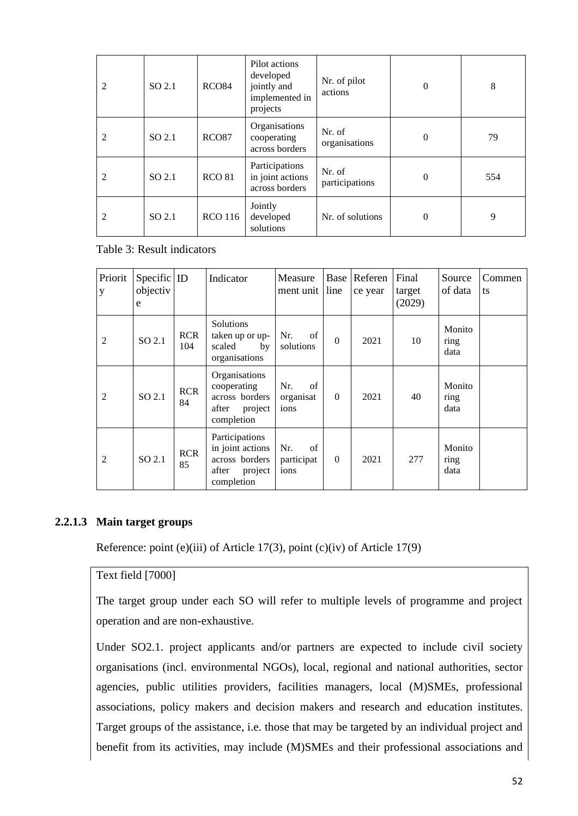| 2                           | SO 2.1 | RCO <sub>84</sub> | Pilot actions<br>developed<br>jointly and<br>implemented in<br>projects | Nr. of pilot<br>actions  | $\boldsymbol{0}$ | 8   |
|-----------------------------|--------|-------------------|-------------------------------------------------------------------------|--------------------------|------------------|-----|
| $\mathfrak{D}$              | SO 2.1 | RCO <sub>87</sub> | Organisations<br>cooperating<br>across borders                          | Nr. of<br>organisations  | $\theta$         | 79  |
| $\mathfrak{D}$              | SO 2.1 | <b>RCO 81</b>     | Participations<br>in joint actions<br>across borders                    | Nr. of<br>participations | $\Omega$         | 554 |
| $\mathcal{D}_{\mathcal{L}}$ | SO 2.1 | <b>RCO</b> 116    | Jointly<br>developed<br>solutions                                       | Nr. of solutions         | $\theta$         | 9   |

Table 3: Result indicators

| Priorit<br>y   | Specific ID<br>objectiv<br>e |                   | Indicator                                                                              | Measure<br>ment unit line       | Base     | Referen<br>ce year | Final<br>target<br>(2029) | Source<br>of data      | Commen<br>ts |
|----------------|------------------------------|-------------------|----------------------------------------------------------------------------------------|---------------------------------|----------|--------------------|---------------------------|------------------------|--------------|
| 2              | SO 2.1                       | <b>RCR</b><br>104 | <b>Solutions</b><br>taken up or up-<br>scaled<br>by<br>organisations                   | Nr.<br>of<br>solutions          | $\Omega$ | 2021               | 10                        | Monito<br>ring<br>data |              |
| $\overline{2}$ | SO 2.1                       | <b>RCR</b><br>84  | Organisations<br>cooperating<br>across borders<br>after<br>project<br>completion       | of<br>Nr.<br>organisat<br>ions  | $\theta$ | 2021               | 40                        | Monito<br>ring<br>data |              |
| $\mathfrak{D}$ | SO 2.1                       | <b>RCR</b><br>85  | Participations<br>in joint actions<br>across borders<br>after<br>project<br>completion | Nr.<br>of<br>participat<br>ions | $\theta$ | 2021               | 277                       | Monito<br>ring<br>data |              |

#### **2.2.1.3 Main target groups**

Reference: point (e)(iii) of Article 17(3), point (c)(iv) of Article 17(9)

#### Text field [7000]

The target group under each SO will refer to multiple levels of programme and project operation and are non-exhaustive.

Under SO2.1. project applicants and/or partners are expected to include civil society organisations (incl. environmental NGOs), local, regional and national authorities, sector agencies, public utilities providers, facilities managers, local (M)SMEs, professional associations, policy makers and decision makers and research and education institutes. Target groups of the assistance, i.e. those that may be targeted by an individual project and benefit from its activities, may include (M)SMEs and their professional associations and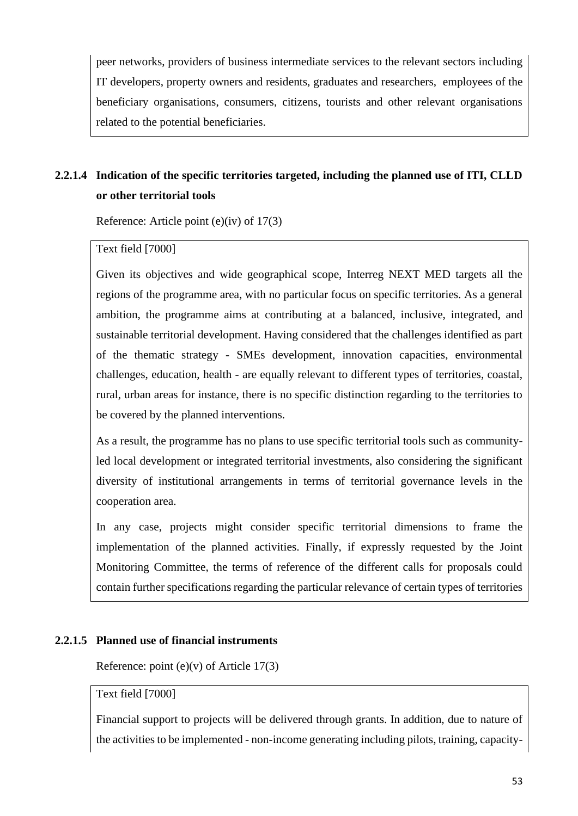peer networks, providers of business intermediate services to the relevant sectors including IT developers, property owners and residents, graduates and researchers, employees of the beneficiary organisations, consumers, citizens, tourists and other relevant organisations related to the potential beneficiaries.

# **2.2.1.4 Indication of the specific territories targeted, including the planned use of ITI, CLLD or other territorial tools**

Reference: Article point (e)(iv) of 17(3)

### Text field [7000]

Given its objectives and wide geographical scope, Interreg NEXT MED targets all the regions of the programme area, with no particular focus on specific territories. As a general ambition, the programme aims at contributing at a balanced, inclusive, integrated, and sustainable territorial development. Having considered that the challenges identified as part of the thematic strategy - SMEs development, innovation capacities, environmental challenges, education, health - are equally relevant to different types of territories, coastal, rural, urban areas for instance, there is no specific distinction regarding to the territories to be covered by the planned interventions.

As a result, the programme has no plans to use specific territorial tools such as communityled local development or integrated territorial investments, also considering the significant diversity of institutional arrangements in terms of territorial governance levels in the cooperation area.

In any case, projects might consider specific territorial dimensions to frame the implementation of the planned activities. Finally, if expressly requested by the Joint Monitoring Committee, the terms of reference of the different calls for proposals could contain further specifications regarding the particular relevance of certain types of territories

#### **2.2.1.5 Planned use of financial instruments**

Reference: point (e)(v) of Article 17(3)

### Text field [7000]

Financial support to projects will be delivered through grants. In addition, due to nature of the activities to be implemented - non-income generating including pilots, training, capacity-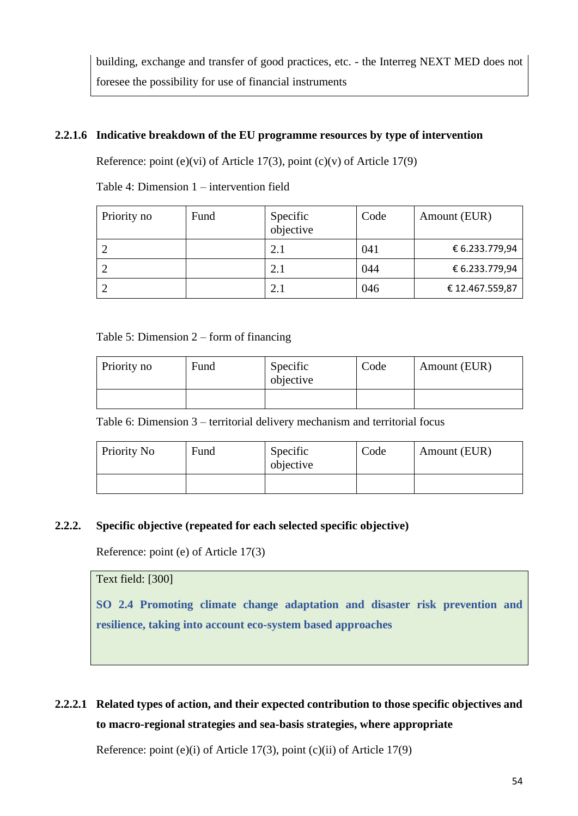building, exchange and transfer of good practices, etc. - the Interreg NEXT MED does not foresee the possibility for use of financial instruments

# **2.2.1.6 Indicative breakdown of the EU programme resources by type of intervention**

Reference: point (e)(vi) of Article 17(3), point (c)(v) of Article 17(9)

Table 4: Dimension 1 – intervention field

| Priority no | Fund | Specific<br>objective | Code | Amount (EUR)   |
|-------------|------|-----------------------|------|----------------|
|             |      | 2.1                   | 041  | € 6.233.779,94 |
|             |      | 2.1                   | 044  | € 6.233.779,94 |
|             |      | 2.1                   | 046  | €12.467.559,87 |

#### Table 5: Dimension 2 – form of financing

| Priority no | Fund | Specific<br>objective | Code | Amount (EUR) |
|-------------|------|-----------------------|------|--------------|
|             |      |                       |      |              |

Table 6: Dimension 3 – territorial delivery mechanism and territorial focus

| Priority No | Fund | Specific<br>objective | Code | Amount (EUR) |
|-------------|------|-----------------------|------|--------------|
|             |      |                       |      |              |

#### **2.2.2. Specific objective (repeated for each selected specific objective)**

Reference: point (e) of Article 17(3)

Text field: [300]

**SO 2.4 Promoting climate change adaptation and disaster risk prevention and resilience, taking into account eco-system based approaches**

# **2.2.2.1 Related types of action, and their expected contribution to those specific objectives and to macro-regional strategies and sea-basis strategies, where appropriate**

Reference: point (e)(i) of Article 17(3), point (c)(ii) of Article 17(9)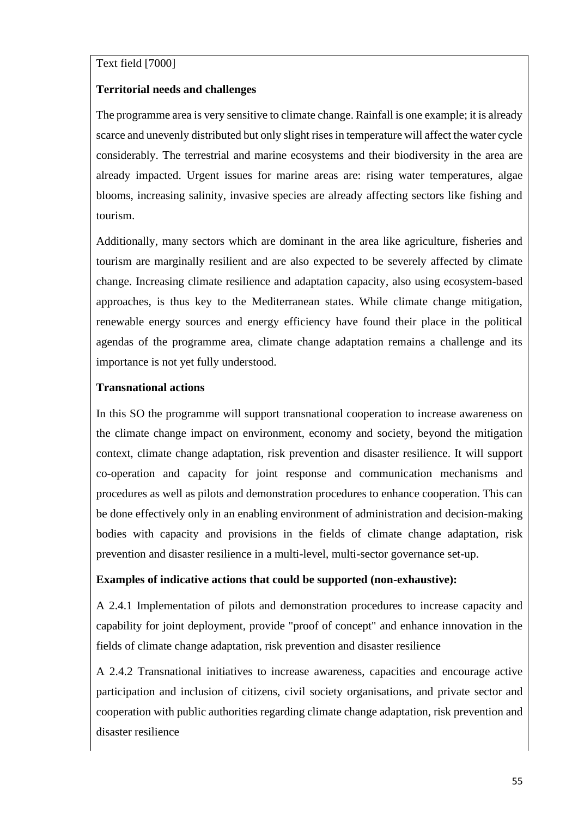#### Text field [7000]

#### **Territorial needs and challenges**

The programme area is very sensitive to climate change. Rainfall is one example; it is already scarce and unevenly distributed but only slight rises in temperature will affect the water cycle considerably. The terrestrial and marine ecosystems and their biodiversity in the area are already impacted. Urgent issues for marine areas are: rising water temperatures, algae blooms, increasing salinity, invasive species are already affecting sectors like fishing and tourism.

Additionally, many sectors which are dominant in the area like agriculture, fisheries and tourism are marginally resilient and are also expected to be severely affected by climate change. Increasing climate resilience and adaptation capacity, also using ecosystem-based approaches, is thus key to the Mediterranean states. While climate change mitigation, renewable energy sources and energy efficiency have found their place in the political agendas of the programme area, climate change adaptation remains a challenge and its importance is not yet fully understood.

#### **Transnational actions**

In this SO the programme will support transnational cooperation to increase awareness on the climate change impact on environment, economy and society, beyond the mitigation context, climate change adaptation, risk prevention and disaster resilience. It will support co-operation and capacity for joint response and communication mechanisms and procedures as well as pilots and demonstration procedures to enhance cooperation. This can be done effectively only in an enabling environment of administration and decision-making bodies with capacity and provisions in the fields of climate change adaptation, risk prevention and disaster resilience in a multi-level, multi-sector governance set-up.

#### **Examples of indicative actions that could be supported (non-exhaustive):**

A 2.4.1 Implementation of pilots and demonstration procedures to increase capacity and capability for joint deployment, provide "proof of concept" and enhance innovation in the fields of climate change adaptation, risk prevention and disaster resilience

A 2.4.2 Transnational initiatives to increase awareness, capacities and encourage active participation and inclusion of citizens, civil society organisations, and private sector and cooperation with public authorities regarding climate change adaptation, risk prevention and disaster resilience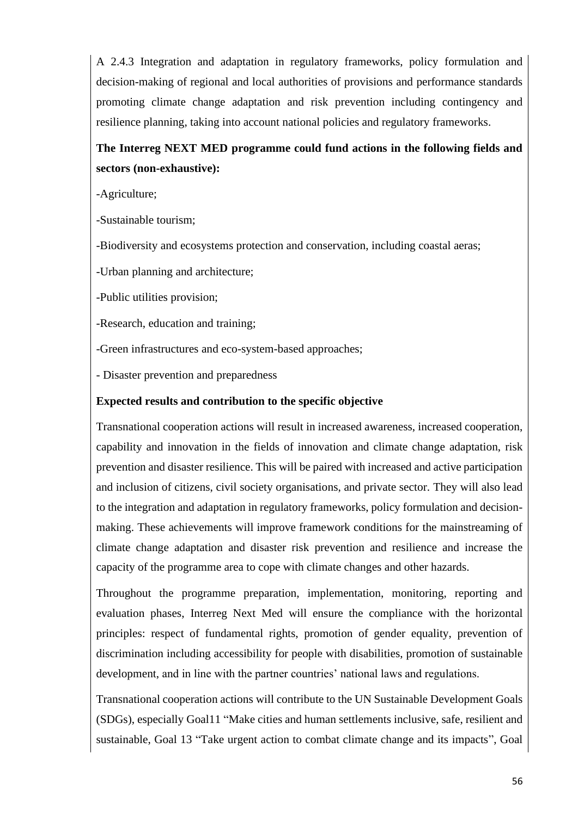A 2.4.3 Integration and adaptation in regulatory frameworks, policy formulation and decision-making of regional and local authorities of provisions and performance standards promoting climate change adaptation and risk prevention including contingency and resilience planning, taking into account national policies and regulatory frameworks.

# **The Interreg NEXT MED programme could fund actions in the following fields and sectors (non-exhaustive):**

-Agriculture;

-Sustainable tourism;

-Biodiversity and ecosystems protection and conservation, including coastal aeras;

-Urban planning and architecture;

-Public utilities provision;

-Research, education and training;

-Green infrastructures and eco-system-based approaches;

- Disaster prevention and preparedness

#### **Expected results and contribution to the specific objective**

Transnational cooperation actions will result in increased awareness, increased cooperation, capability and innovation in the fields of innovation and climate change adaptation, risk prevention and disaster resilience. This will be paired with increased and active participation and inclusion of citizens, civil society organisations, and private sector. They will also lead to the integration and adaptation in regulatory frameworks, policy formulation and decisionmaking. These achievements will improve framework conditions for the mainstreaming of climate change adaptation and disaster risk prevention and resilience and increase the capacity of the programme area to cope with climate changes and other hazards.

Throughout the programme preparation, implementation, monitoring, reporting and evaluation phases, Interreg Next Med will ensure the compliance with the horizontal principles: respect of fundamental rights, promotion of gender equality, prevention of discrimination including accessibility for people with disabilities, promotion of sustainable development, and in line with the partner countries' national laws and regulations.

Transnational cooperation actions will contribute to the UN Sustainable Development Goals (SDGs), especially Goal11 "Make cities and human settlements inclusive, safe, resilient and sustainable, Goal 13 "Take urgent action to combat climate change and its impacts", Goal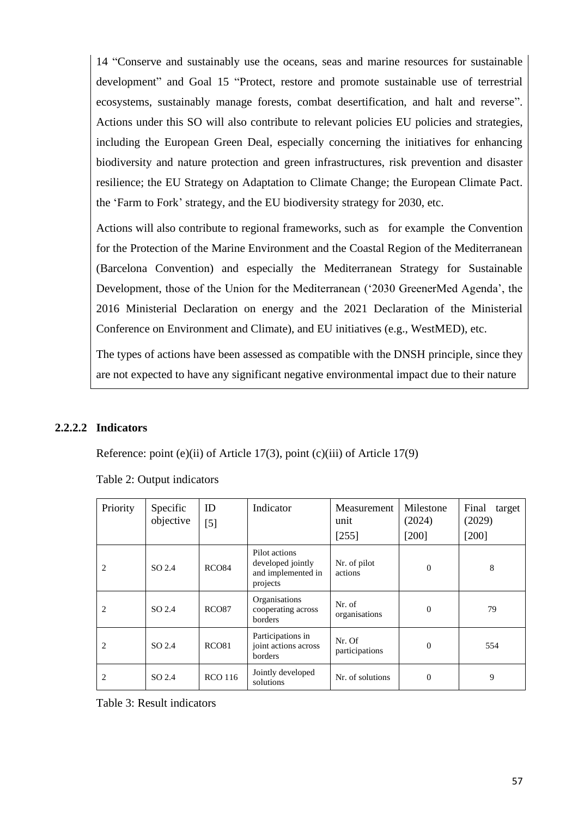14 "Conserve and sustainably use the oceans, seas and marine resources for sustainable development" and Goal 15 "Protect, restore and promote sustainable use of terrestrial ecosystems, sustainably manage forests, combat desertification, and halt and reverse". Actions under this SO will also contribute to relevant policies EU policies and strategies, including the European Green Deal, especially concerning the initiatives for enhancing biodiversity and nature protection and green infrastructures, risk prevention and disaster resilience; the EU Strategy on Adaptation to Climate Change; the European Climate Pact. the 'Farm to Fork' strategy, and the EU biodiversity strategy for 2030, etc.

Actions will also contribute to regional frameworks, such as for example the Convention for the Protection of the Marine Environment and the Coastal Region of the Mediterranean (Barcelona Convention) and especially the Mediterranean Strategy for Sustainable Development, those of the Union for the Mediterranean ('2030 GreenerMed Agenda', the 2016 Ministerial Declaration on energy and the 2021 Declaration of the Ministerial Conference on Environment and Climate), and EU initiatives (e.g., WestMED), etc.

The types of actions have been assessed as compatible with the DNSH principle, since they are not expected to have any significant negative environmental impact due to their nature

#### **2.2.2.2 Indicators**

Reference: point (e)(ii) of Article 17(3), point (c)(iii) of Article 17(9)

| Priority | Specific<br>objective | ID<br>$[5]$       | Indicator                                                            | Measurement<br>unit<br>[255] | Milestone<br>(2024)<br>$[200]$ | Final<br>target<br>(2029)<br>$[200]$ |
|----------|-----------------------|-------------------|----------------------------------------------------------------------|------------------------------|--------------------------------|--------------------------------------|
|          | SO 2.4                | RCO <sub>84</sub> | Pilot actions<br>developed jointly<br>and implemented in<br>projects | Nr. of pilot<br>actions      | $\theta$                       | 8                                    |
| 2        | SO 2.4                | RCO <sub>87</sub> | Organisations<br>cooperating across<br>borders                       | Nr. of<br>organisations      | $\theta$                       | 79                                   |
| 2        | SO 2.4                | RCO <sub>81</sub> | Participations in<br>joint actions across<br>borders                 | Nr. Of<br>participations     | $\theta$                       | 554                                  |
| 2        | SO 2.4                | <b>RCO 116</b>    | Jointly developed<br>solutions                                       | Nr. of solutions             | $\Omega$                       | 9                                    |

Table 2: Output indicators

Table 3: Result indicators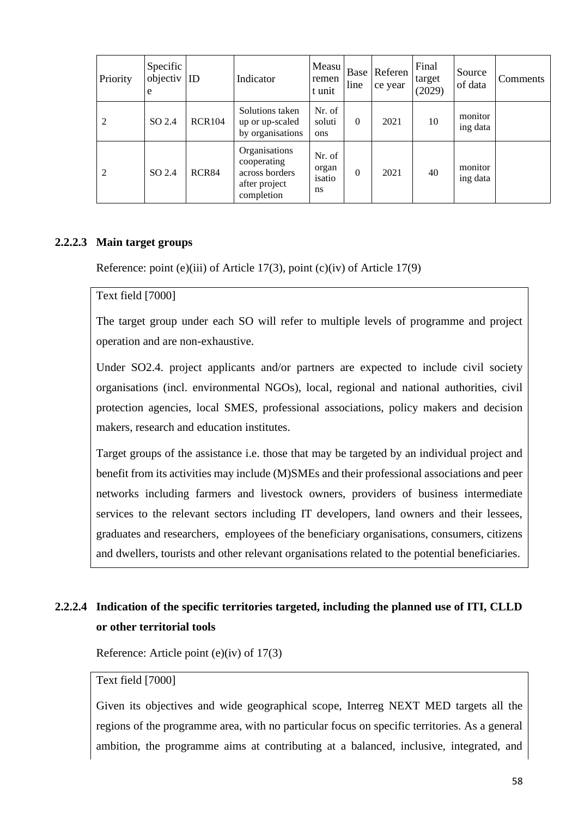| Priority | Specific<br>objectiv<br>e | ID            | Indicator                                                                     | Measu<br>remen<br>t unit        | Base<br>line | Referen<br>ce year | Final<br>target<br>(2029) | Source<br>of data   | Comments |
|----------|---------------------------|---------------|-------------------------------------------------------------------------------|---------------------------------|--------------|--------------------|---------------------------|---------------------|----------|
| 2        | SO 2.4                    | <b>RCR104</b> | Solutions taken<br>up or up-scaled<br>by organisations                        | Nr. of<br>soluti<br>ons         | $\Omega$     | 2021               | 10                        | monitor<br>ing data |          |
| 2        | SO 2.4                    | RCR84         | Organisations<br>cooperating<br>across borders<br>after project<br>completion | Nr. of<br>organ<br>isatio<br>ns | $\Omega$     | 2021               | 40                        | monitor<br>ing data |          |

#### **2.2.2.3 Main target groups**

Reference: point (e)(iii) of Article 17(3), point (c)(iv) of Article 17(9)

# Text field [7000]

The target group under each SO will refer to multiple levels of programme and project operation and are non-exhaustive.

Under SO2.4. project applicants and/or partners are expected to include civil society organisations (incl. environmental NGOs), local, regional and national authorities, civil protection agencies, local SMES, professional associations, policy makers and decision makers, research and education institutes.

Target groups of the assistance i.e. those that may be targeted by an individual project and benefit from its activities may include (M)SMEs and their professional associations and peer networks including farmers and livestock owners, providers of business intermediate services to the relevant sectors including IT developers, land owners and their lessees, graduates and researchers, employees of the beneficiary organisations, consumers, citizens and dwellers, tourists and other relevant organisations related to the potential beneficiaries.

# **2.2.2.4 Indication of the specific territories targeted, including the planned use of ITI, CLLD or other territorial tools**

Reference: Article point (e)(iv) of 17(3)

#### Text field [7000]

Given its objectives and wide geographical scope, Interreg NEXT MED targets all the regions of the programme area, with no particular focus on specific territories. As a general ambition, the programme aims at contributing at a balanced, inclusive, integrated, and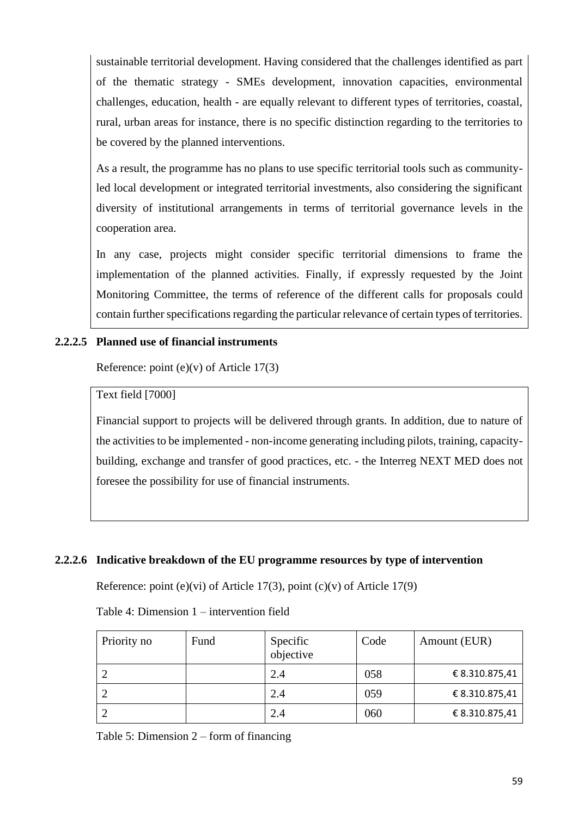sustainable territorial development. Having considered that the challenges identified as part of the thematic strategy - SMEs development, innovation capacities, environmental challenges, education, health - are equally relevant to different types of territories, coastal, rural, urban areas for instance, there is no specific distinction regarding to the territories to be covered by the planned interventions.

As a result, the programme has no plans to use specific territorial tools such as communityled local development or integrated territorial investments, also considering the significant diversity of institutional arrangements in terms of territorial governance levels in the cooperation area.

In any case, projects might consider specific territorial dimensions to frame the implementation of the planned activities. Finally, if expressly requested by the Joint Monitoring Committee, the terms of reference of the different calls for proposals could contain further specifications regarding the particular relevance of certain types of territories.

### **2.2.2.5 Planned use of financial instruments**

Reference: point (e)(v) of Article 17(3)

Text field [7000]

Financial support to projects will be delivered through grants. In addition, due to nature of the activities to be implemented - non-income generating including pilots, training, capacitybuilding, exchange and transfer of good practices, etc. - the Interreg NEXT MED does not foresee the possibility for use of financial instruments.

#### **2.2.2.6 Indicative breakdown of the EU programme resources by type of intervention**

Reference: point (e)(vi) of Article 17(3), point (c)(v) of Article 17(9)

Table 4: Dimension 1 – intervention field

| Priority no | Fund | Specific<br>objective | Code | Amount (EUR)   |
|-------------|------|-----------------------|------|----------------|
|             |      | 2.4                   | 058  | € 8.310.875,41 |
|             |      | 2.4                   | 059  | € 8.310.875,41 |
|             |      | 2.4                   | 060  | € 8.310.875,41 |

Table 5: Dimension 2 – form of financing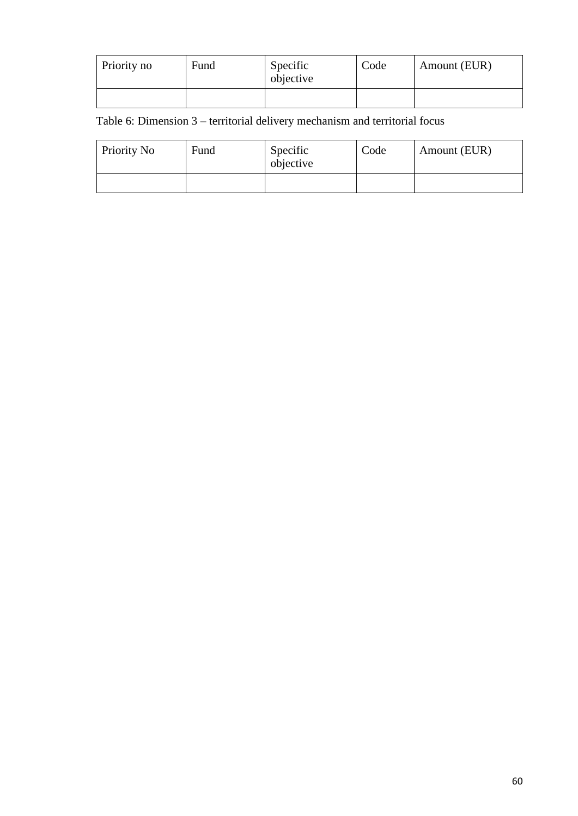| Priority no | Fund | Specific<br>objective | Code | Amount (EUR) |
|-------------|------|-----------------------|------|--------------|
|             |      |                       |      |              |

Table 6: Dimension 3 – territorial delivery mechanism and territorial focus

| Priority No | Fund | Specific<br>objective | Code | Amount (EUR) |
|-------------|------|-----------------------|------|--------------|
|             |      |                       |      |              |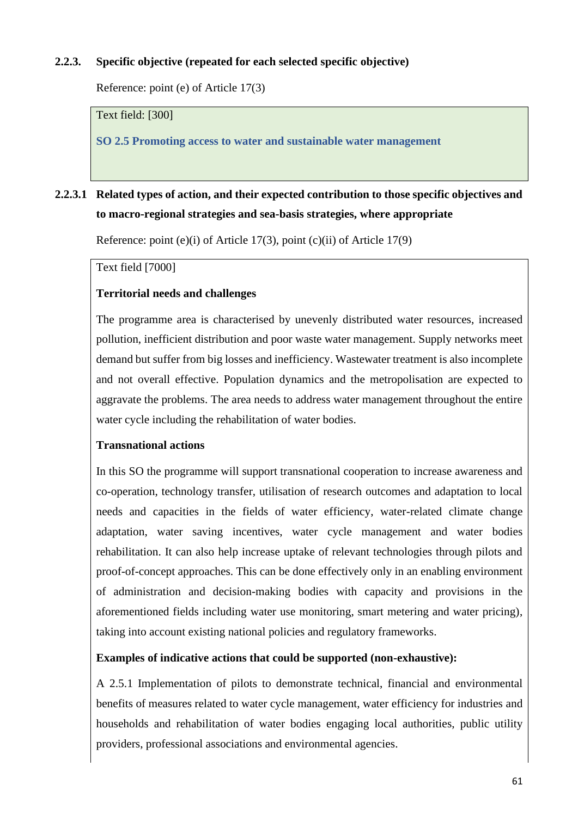# **2.2.3. Specific objective (repeated for each selected specific objective)**

Reference: point (e) of Article 17(3)

Text field: [300]

**SO 2.5 Promoting access to water and sustainable water management**

# **2.2.3.1 Related types of action, and their expected contribution to those specific objectives and to macro-regional strategies and sea-basis strategies, where appropriate**

Reference: point (e)(i) of Article 17(3), point (c)(ii) of Article 17(9)

Text field [7000]

### **Territorial needs and challenges**

The programme area is characterised by unevenly distributed water resources, increased pollution, inefficient distribution and poor waste water management. Supply networks meet demand but suffer from big losses and inefficiency. Wastewater treatment is also incomplete and not overall effective. Population dynamics and the metropolisation are expected to aggravate the problems. The area needs to address water management throughout the entire water cycle including the rehabilitation of water bodies.

#### **Transnational actions**

In this SO the programme will support transnational cooperation to increase awareness and co-operation, technology transfer, utilisation of research outcomes and adaptation to local needs and capacities in the fields of water efficiency, water-related climate change adaptation, water saving incentives, water cycle management and water bodies rehabilitation. It can also help increase uptake of relevant technologies through pilots and proof-of-concept approaches. This can be done effectively only in an enabling environment of administration and decision-making bodies with capacity and provisions in the aforementioned fields including water use monitoring, smart metering and water pricing), taking into account existing national policies and regulatory frameworks.

#### **Examples of indicative actions that could be supported (non-exhaustive):**

A 2.5.1 Implementation of pilots to demonstrate technical, financial and environmental benefits of measures related to water cycle management, water efficiency for industries and households and rehabilitation of water bodies engaging local authorities, public utility providers, professional associations and environmental agencies.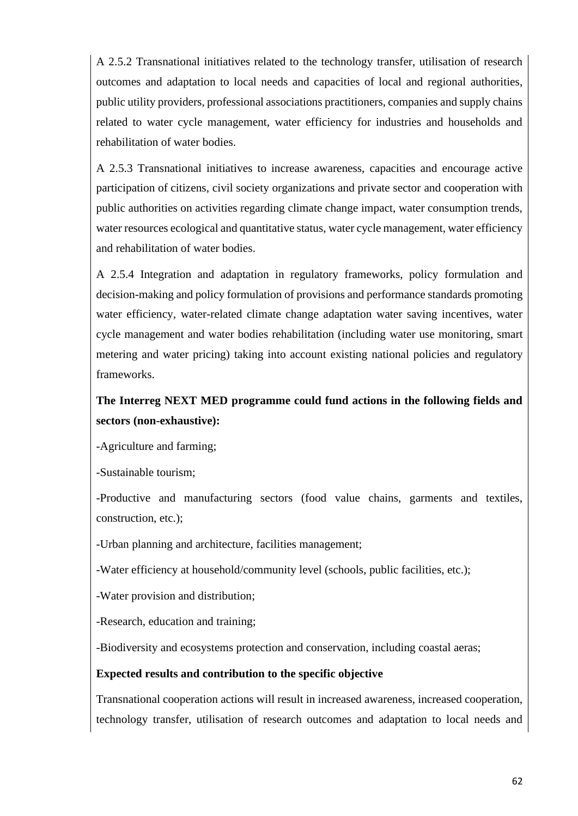A 2.5.2 Transnational initiatives related to the technology transfer, utilisation of research outcomes and adaptation to local needs and capacities of local and regional authorities, public utility providers, professional associations practitioners, companies and supply chains related to water cycle management, water efficiency for industries and households and rehabilitation of water bodies.

A 2.5.3 Transnational initiatives to increase awareness, capacities and encourage active participation of citizens, civil society organizations and private sector and cooperation with public authorities on activities regarding climate change impact, water consumption trends, water resources ecological and quantitative status, water cycle management, water efficiency and rehabilitation of water bodies.

A 2.5.4 Integration and adaptation in regulatory frameworks, policy formulation and decision-making and policy formulation of provisions and performance standards promoting water efficiency, water-related climate change adaptation water saving incentives, water cycle management and water bodies rehabilitation (including water use monitoring, smart metering and water pricing) taking into account existing national policies and regulatory frameworks.

# **The Interreg NEXT MED programme could fund actions in the following fields and sectors (non-exhaustive):**

-Agriculture and farming;

-Sustainable tourism;

-Productive and manufacturing sectors (food value chains, garments and textiles, construction, etc.);

-Urban planning and architecture, facilities management;

-Water efficiency at household/community level (schools, public facilities, etc.);

-Water provision and distribution;

-Research, education and training;

-Biodiversity and ecosystems protection and conservation, including coastal aeras;

#### **Expected results and contribution to the specific objective**

Transnational cooperation actions will result in increased awareness, increased cooperation, technology transfer, utilisation of research outcomes and adaptation to local needs and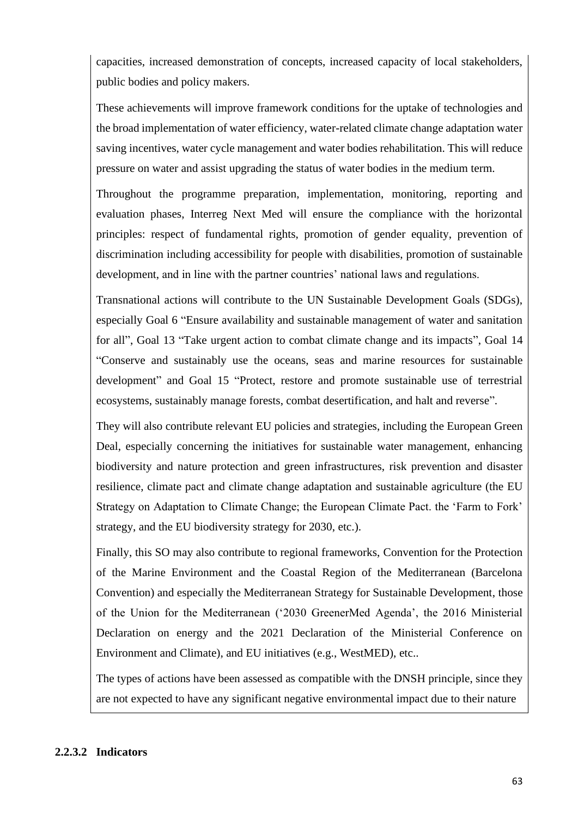capacities, increased demonstration of concepts, increased capacity of local stakeholders, public bodies and policy makers.

These achievements will improve framework conditions for the uptake of technologies and the broad implementation of water efficiency, water-related climate change adaptation water saving incentives, water cycle management and water bodies rehabilitation. This will reduce pressure on water and assist upgrading the status of water bodies in the medium term.

Throughout the programme preparation, implementation, monitoring, reporting and evaluation phases, Interreg Next Med will ensure the compliance with the horizontal principles: respect of fundamental rights, promotion of gender equality, prevention of discrimination including accessibility for people with disabilities, promotion of sustainable development, and in line with the partner countries' national laws and regulations.

Transnational actions will contribute to the UN Sustainable Development Goals (SDGs), especially Goal 6 "Ensure availability and sustainable management of water and sanitation for all", Goal 13 "Take urgent action to combat climate change and its impacts", Goal 14 "Conserve and sustainably use the oceans, seas and marine resources for sustainable development" and Goal 15 "Protect, restore and promote sustainable use of terrestrial ecosystems, sustainably manage forests, combat desertification, and halt and reverse".

They will also contribute relevant EU policies and strategies, including the European Green Deal, especially concerning the initiatives for sustainable water management, enhancing biodiversity and nature protection and green infrastructures, risk prevention and disaster resilience, climate pact and climate change adaptation and sustainable agriculture (the EU Strategy on Adaptation to Climate Change; the European Climate Pact. the 'Farm to Fork' strategy, and the EU biodiversity strategy for 2030, etc.).

Finally, this SO may also contribute to regional frameworks, Convention for the Protection of the Marine Environment and the Coastal Region of the Mediterranean (Barcelona Convention) and especially the Mediterranean Strategy for Sustainable Development, those of the Union for the Mediterranean ('2030 GreenerMed Agenda', the 2016 Ministerial Declaration on energy and the 2021 Declaration of the Ministerial Conference on Environment and Climate), and EU initiatives (e.g., WestMED), etc..

The types of actions have been assessed as compatible with the DNSH principle, since they are not expected to have any significant negative environmental impact due to their nature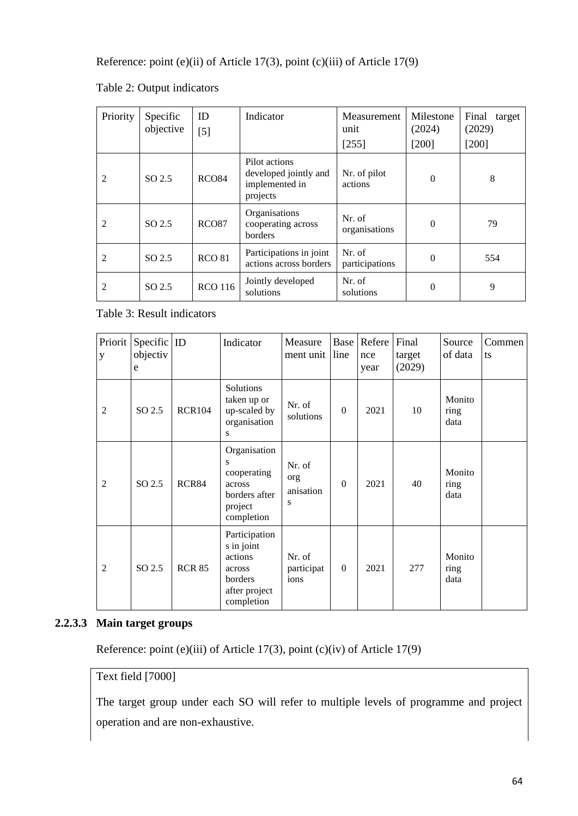Reference: point (e)(ii) of Article 17(3), point (c)(iii) of Article 17(9)

| Priority       | Specific<br>objective | ID<br>$[5]$       | Indicator                                                            | Measurement<br>unit<br>[255] | Milestone<br>(2024)<br>$[200]$ | Final<br>target<br>(2029)<br>$[200]$ |
|----------------|-----------------------|-------------------|----------------------------------------------------------------------|------------------------------|--------------------------------|--------------------------------------|
| $\mathfrak{D}$ | SO <sub>2.5</sub>     | <b>RCO84</b>      | Pilot actions<br>developed jointly and<br>implemented in<br>projects | Nr. of pilot<br>actions      | $\Omega$                       | 8                                    |
| 2              | SO 2.5                | RCO <sub>87</sub> | Organisations<br>cooperating across<br>borders                       | Nr. of<br>organisations      | $\Omega$                       | 79                                   |
| 2              | SO 2.5                | <b>RCO 81</b>     | Participations in joint<br>actions across borders                    | Nr. of<br>participations     | $\Omega$                       | 554                                  |
| 2              | SO 2.5                | <b>RCO 116</b>    | Jointly developed<br>solutions                                       | Nr. of<br>solutions          | $\Omega$                       | 9                                    |

Table 2: Output indicators

Table 3: Result indicators

| Priorit<br>y   | Specific $ $ ID<br>objectiv<br>e |               | Indicator                                                                                  | Measure<br>ment unit            | line     | <b>Base</b> Refere<br>nce<br>year | Final<br>target<br>(2029) | Source<br>of data      | Commen<br>ts |
|----------------|----------------------------------|---------------|--------------------------------------------------------------------------------------------|---------------------------------|----------|-----------------------------------|---------------------------|------------------------|--------------|
| $\overline{2}$ | $SO\,2.5$                        | <b>RCR104</b> | Solutions<br>taken up or<br>up-scaled by<br>organisation<br>S                              | Nr. of<br>solutions             | $\Omega$ | 2021                              | 10                        | Monito<br>ring<br>data |              |
| $\overline{2}$ | SO 2.5                           | RCR84         | Organisation<br>S<br>cooperating<br>across<br>borders after<br>project<br>completion       | Nr. of<br>org<br>anisation<br>S | $\Omega$ | 2021                              | 40                        | Monito<br>ring<br>data |              |
| $\overline{2}$ | SO 2.5                           | <b>RCR 85</b> | Participation<br>s in joint<br>actions<br>across<br>borders<br>after project<br>completion | Nr. of<br>participat<br>ions    | $\Omega$ | 2021                              | 277                       | Monito<br>ring<br>data |              |

#### **2.2.3.3 Main target groups**

Reference: point (e)(iii) of Article 17(3), point (c)(iv) of Article 17(9)

# Text field [7000]

The target group under each SO will refer to multiple levels of programme and project operation and are non-exhaustive.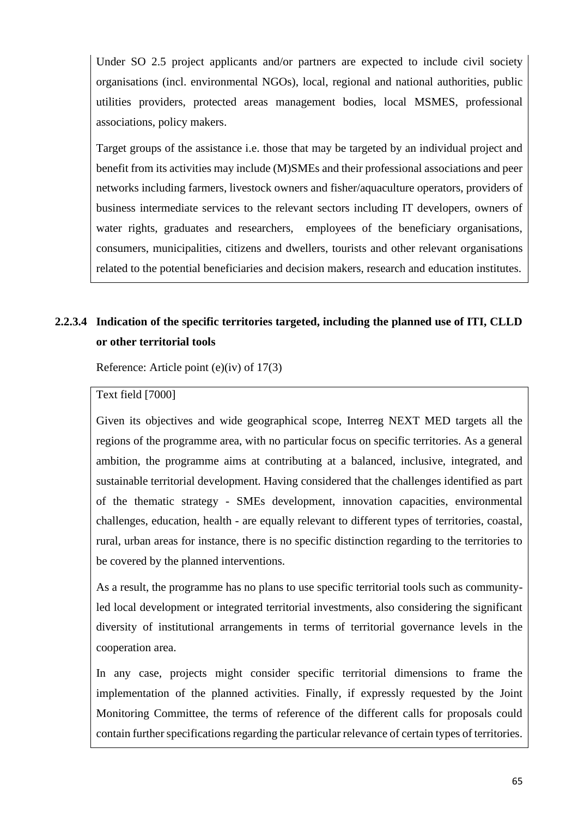Under SO 2.5 project applicants and/or partners are expected to include civil society organisations (incl. environmental NGOs), local, regional and national authorities, public utilities providers, protected areas management bodies, local MSMES, professional associations, policy makers.

Target groups of the assistance i.e. those that may be targeted by an individual project and benefit from its activities may include (M)SMEs and their professional associations and peer networks including farmers, livestock owners and fisher/aquaculture operators, providers of business intermediate services to the relevant sectors including IT developers, owners of water rights, graduates and researchers, employees of the beneficiary organisations, consumers, municipalities, citizens and dwellers, tourists and other relevant organisations related to the potential beneficiaries and decision makers, research and education institutes.

# **2.2.3.4 Indication of the specific territories targeted, including the planned use of ITI, CLLD or other territorial tools**

Reference: Article point (e)(iv) of 17(3)

#### Text field [7000]

Given its objectives and wide geographical scope, Interreg NEXT MED targets all the regions of the programme area, with no particular focus on specific territories. As a general ambition, the programme aims at contributing at a balanced, inclusive, integrated, and sustainable territorial development. Having considered that the challenges identified as part of the thematic strategy - SMEs development, innovation capacities, environmental challenges, education, health - are equally relevant to different types of territories, coastal, rural, urban areas for instance, there is no specific distinction regarding to the territories to be covered by the planned interventions.

As a result, the programme has no plans to use specific territorial tools such as communityled local development or integrated territorial investments, also considering the significant diversity of institutional arrangements in terms of territorial governance levels in the cooperation area.

In any case, projects might consider specific territorial dimensions to frame the implementation of the planned activities. Finally, if expressly requested by the Joint Monitoring Committee, the terms of reference of the different calls for proposals could contain further specifications regarding the particular relevance of certain types of territories.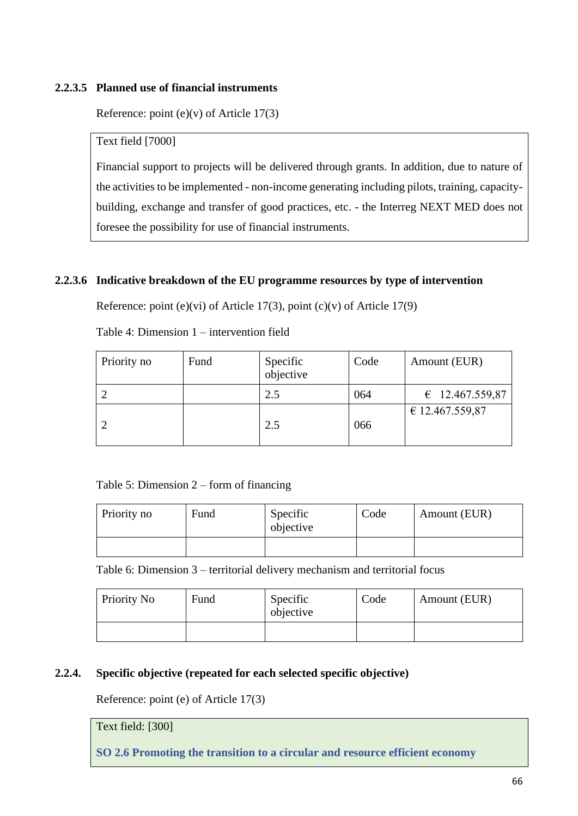#### **2.2.3.5 Planned use of financial instruments**

Reference: point (e)(v) of Article 17(3)

Text field [7000]

Financial support to projects will be delivered through grants. In addition, due to nature of the activities to be implemented - non-income generating including pilots, training, capacitybuilding, exchange and transfer of good practices, etc. - the Interreg NEXT MED does not foresee the possibility for use of financial instruments.

### **2.2.3.6 Indicative breakdown of the EU programme resources by type of intervention**

Reference: point (e)(vi) of Article 17(3), point (c)(v) of Article 17(9)

Table 4: Dimension 1 – intervention field

| Priority no | Fund | Specific<br>objective | Code | Amount (EUR)             |
|-------------|------|-----------------------|------|--------------------------|
|             |      | 2.5                   | 064  | $\epsilon$ 12.467.559,87 |
|             |      | 2.5                   | 066  | € 12.467.559,87          |

#### Table 5: Dimension 2 – form of financing

| Priority no | Fund | Specific<br>objective | Code | Amount (EUR) |
|-------------|------|-----------------------|------|--------------|
|             |      |                       |      |              |

Table 6: Dimension 3 – territorial delivery mechanism and territorial focus

| Priority No | Fund | Specific<br>objective | Code | Amount (EUR) |
|-------------|------|-----------------------|------|--------------|
|             |      |                       |      |              |

#### **2.2.4. Specific objective (repeated for each selected specific objective)**

Reference: point (e) of Article 17(3)

Text field: [300]

**SO 2.6 Promoting the transition to a circular and resource efficient economy**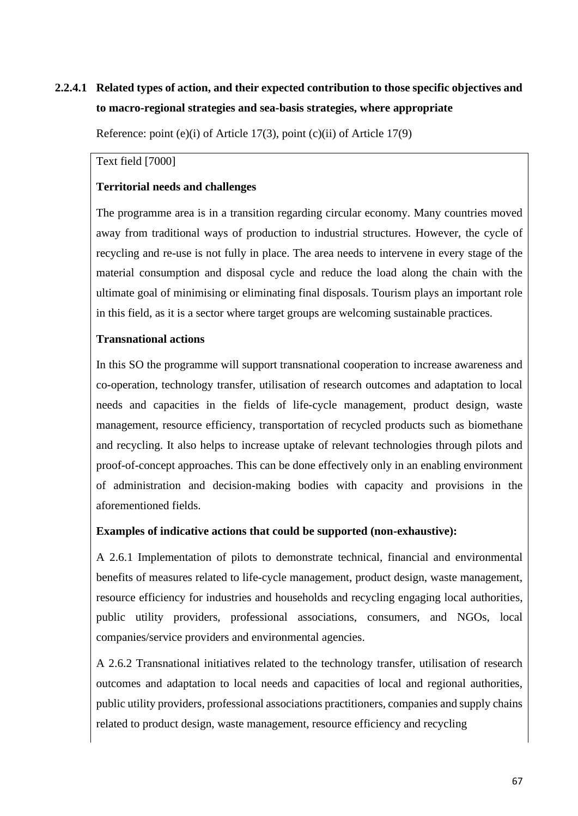# **2.2.4.1 Related types of action, and their expected contribution to those specific objectives and to macro-regional strategies and sea-basis strategies, where appropriate**

Reference: point (e)(i) of Article 17(3), point (c)(ii) of Article 17(9)

#### Text field [7000]

### **Territorial needs and challenges**

The programme area is in a transition regarding circular economy. Many countries moved away from traditional ways of production to industrial structures. However, the cycle of recycling and re-use is not fully in place. The area needs to intervene in every stage of the material consumption and disposal cycle and reduce the load along the chain with the ultimate goal of minimising or eliminating final disposals. Tourism plays an important role in this field, as it is a sector where target groups are welcoming sustainable practices.

#### **Transnational actions**

In this SO the programme will support transnational cooperation to increase awareness and co-operation, technology transfer, utilisation of research outcomes and adaptation to local needs and capacities in the fields of life-cycle management, product design, waste management, resource efficiency, transportation of recycled products such as biomethane and recycling. It also helps to increase uptake of relevant technologies through pilots and proof-of-concept approaches. This can be done effectively only in an enabling environment of administration and decision-making bodies with capacity and provisions in the aforementioned fields.

#### **Examples of indicative actions that could be supported (non-exhaustive):**

A 2.6.1 Implementation of pilots to demonstrate technical, financial and environmental benefits of measures related to life-cycle management, product design, waste management, resource efficiency for industries and households and recycling engaging local authorities, public utility providers, professional associations, consumers, and NGOs, local companies/service providers and environmental agencies.

A 2.6.2 Transnational initiatives related to the technology transfer, utilisation of research outcomes and adaptation to local needs and capacities of local and regional authorities, public utility providers, professional associations practitioners, companies and supply chains related to product design, waste management, resource efficiency and recycling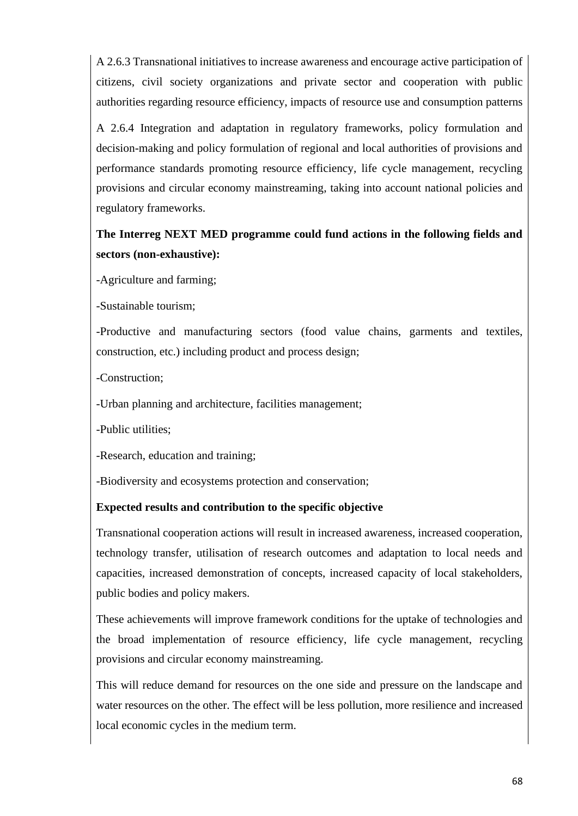A 2.6.3 Transnational initiatives to increase awareness and encourage active participation of citizens, civil society organizations and private sector and cooperation with public authorities regarding resource efficiency, impacts of resource use and consumption patterns

A 2.6.4 Integration and adaptation in regulatory frameworks, policy formulation and decision-making and policy formulation of regional and local authorities of provisions and performance standards promoting resource efficiency, life cycle management, recycling provisions and circular economy mainstreaming, taking into account national policies and regulatory frameworks.

# **The Interreg NEXT MED programme could fund actions in the following fields and sectors (non-exhaustive):**

-Agriculture and farming;

-Sustainable tourism;

-Productive and manufacturing sectors (food value chains, garments and textiles, construction, etc.) including product and process design;

-Construction;

-Urban planning and architecture, facilities management;

-Public utilities;

-Research, education and training;

-Biodiversity and ecosystems protection and conservation;

#### **Expected results and contribution to the specific objective**

Transnational cooperation actions will result in increased awareness, increased cooperation, technology transfer, utilisation of research outcomes and adaptation to local needs and capacities, increased demonstration of concepts, increased capacity of local stakeholders, public bodies and policy makers.

These achievements will improve framework conditions for the uptake of technologies and the broad implementation of resource efficiency, life cycle management, recycling provisions and circular economy mainstreaming.

This will reduce demand for resources on the one side and pressure on the landscape and water resources on the other. The effect will be less pollution, more resilience and increased local economic cycles in the medium term.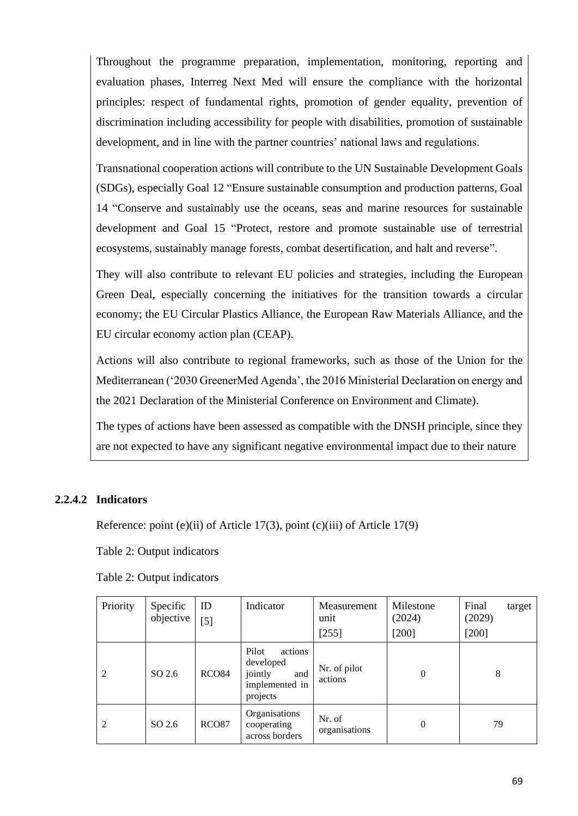Throughout the programme preparation, implementation, monitoring, reporting and evaluation phases, Interreg Next Med will ensure the compliance with the horizontal principles: respect of fundamental rights, promotion of gender equality, prevention of discrimination including accessibility for people with disabilities, promotion of sustainable development, and in line with the partner countries' national laws and regulations.

Transnational cooperation actions will contribute to the UN Sustainable Development Goals (SDGs), especially Goal 12 "Ensure sustainable consumption and production patterns, Goal 14 "Conserve and sustainably use the oceans, seas and marine resources for sustainable development and Goal 15 "Protect, restore and promote sustainable use of terrestrial ecosystems, sustainably manage forests, combat desertification, and halt and reverse".

They will also contribute to relevant EU policies and strategies, including the European Green Deal, especially concerning the initiatives for the transition towards a circular economy; the EU Circular Plastics Alliance, the European Raw Materials Alliance, and the EU circular economy action plan (CEAP).

Actions will also contribute to regional frameworks, such as those of the Union for the Mediterranean ('2030 GreenerMed Agenda', the 2016 Ministerial Declaration on energy and the 2021 Declaration of the Ministerial Conference on Environment and Climate).

The types of actions have been assessed as compatible with the DNSH principle, since they are not expected to have any significant negative environmental impact due to their nature

# **2.2.4.2 Indicators**

Reference: point (e)(ii) of Article 17(3), point (c)(iii) of Article 17(9)

Table 2: Output indicators

|  |  | Table 2: Output indicators |
|--|--|----------------------------|
|--|--|----------------------------|

| Priority | Specific<br>objective | ID<br>$[5]$       | Indicator                                                                     | Measurement<br>unit<br>$[255]$ | Milestone<br>(2024)<br>$[200]$ | Final<br>target<br>(2029)<br>$[200]$ |
|----------|-----------------------|-------------------|-------------------------------------------------------------------------------|--------------------------------|--------------------------------|--------------------------------------|
| 2        | SO 2.6                | <b>RCO84</b>      | Pilot<br>actions<br>developed<br>jointly<br>and<br>implemented in<br>projects | Nr. of pilot<br>actions        | $\overline{0}$                 | 8                                    |
| 2        | SO 2.6                | RCO <sub>87</sub> | Organisations<br>cooperating<br>across borders                                | Nr. of<br>organisations        | $\overline{0}$                 | 79                                   |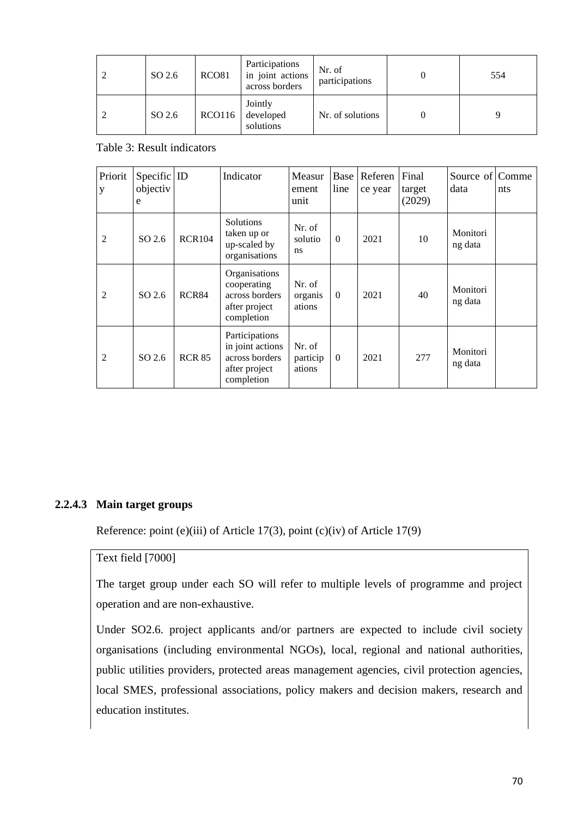| SO 2.6 | RCO <sub>81</sub> | Participations<br>in joint actions<br>across borders | Nr. of<br>participations | 554 |
|--------|-------------------|------------------------------------------------------|--------------------------|-----|
| SO 2.6 | <b>RCO116</b>     | Jointly<br>developed<br>solutions                    | Nr. of solutions         |     |

#### Table 3: Result indicators

| Priorit<br>$\mathbf{y}$ | Specific $ $ ID<br>objectiv<br>e |               | Indicator                                                                           | Measur<br>ement<br>unit      | Base<br>line   | Referen<br>ce year | Final<br>target<br>(2029) | Source of Comme<br>data | nts |
|-------------------------|----------------------------------|---------------|-------------------------------------------------------------------------------------|------------------------------|----------------|--------------------|---------------------------|-------------------------|-----|
| 2                       | SO 2.6                           | <b>RCR104</b> | Solutions<br>taken up or<br>up-scaled by<br>organisations                           | Nr. of<br>solutio<br>ns      | $\overline{0}$ | 2021               | 10                        | Monitori<br>ng data     |     |
| 2                       | SO 2.6                           | RCR84         | Organisations<br>cooperating<br>across borders<br>after project<br>completion       | Nr. of<br>organis<br>ations  | $\overline{0}$ | 2021               | 40                        | Monitori<br>ng data     |     |
| $\overline{2}$          | SO 2.6                           | <b>RCR 85</b> | Participations<br>in joint actions<br>across borders<br>after project<br>completion | Nr. of<br>particip<br>ations | $\overline{0}$ | 2021               | 277                       | Monitori<br>ng data     |     |

#### **2.2.4.3 Main target groups**

Reference: point (e)(iii) of Article 17(3), point (c)(iv) of Article 17(9)

# Text field [7000]

The target group under each SO will refer to multiple levels of programme and project operation and are non-exhaustive.

Under SO2.6. project applicants and/or partners are expected to include civil society organisations (including environmental NGOs), local, regional and national authorities, public utilities providers, protected areas management agencies, civil protection agencies, local SMES, professional associations, policy makers and decision makers, research and education institutes.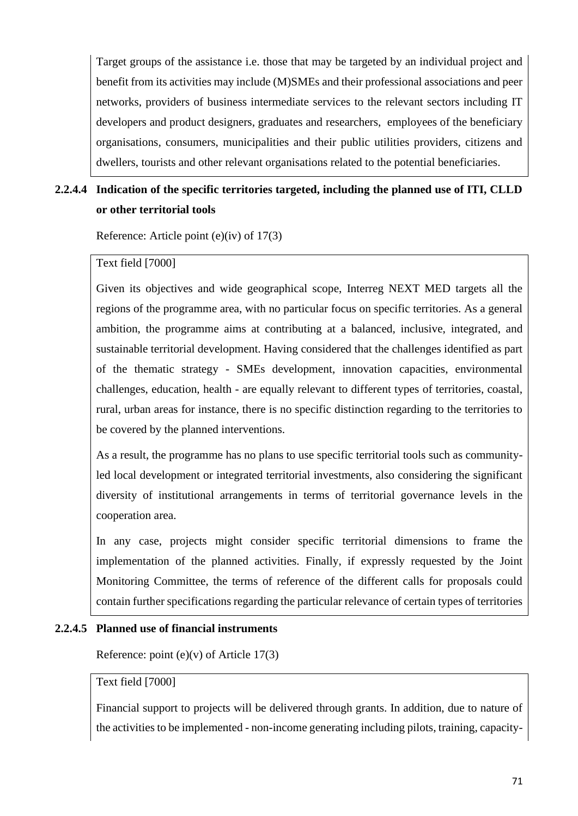Target groups of the assistance i.e. those that may be targeted by an individual project and benefit from its activities may include (M)SMEs and their professional associations and peer networks, providers of business intermediate services to the relevant sectors including IT developers and product designers, graduates and researchers, employees of the beneficiary organisations, consumers, municipalities and their public utilities providers, citizens and dwellers, tourists and other relevant organisations related to the potential beneficiaries.

# **2.2.4.4 Indication of the specific territories targeted, including the planned use of ITI, CLLD or other territorial tools**

Reference: Article point (e)(iv) of 17(3)

#### Text field [7000]

Given its objectives and wide geographical scope, Interreg NEXT MED targets all the regions of the programme area, with no particular focus on specific territories. As a general ambition, the programme aims at contributing at a balanced, inclusive, integrated, and sustainable territorial development. Having considered that the challenges identified as part of the thematic strategy - SMEs development, innovation capacities, environmental challenges, education, health - are equally relevant to different types of territories, coastal, rural, urban areas for instance, there is no specific distinction regarding to the territories to be covered by the planned interventions.

As a result, the programme has no plans to use specific territorial tools such as communityled local development or integrated territorial investments, also considering the significant diversity of institutional arrangements in terms of territorial governance levels in the cooperation area.

In any case, projects might consider specific territorial dimensions to frame the implementation of the planned activities. Finally, if expressly requested by the Joint Monitoring Committee, the terms of reference of the different calls for proposals could contain further specifications regarding the particular relevance of certain types of territories

#### **2.2.4.5 Planned use of financial instruments**

Reference: point  $(e)(v)$  of Article 17(3)

#### Text field [7000]

Financial support to projects will be delivered through grants. In addition, due to nature of the activities to be implemented - non-income generating including pilots, training, capacity-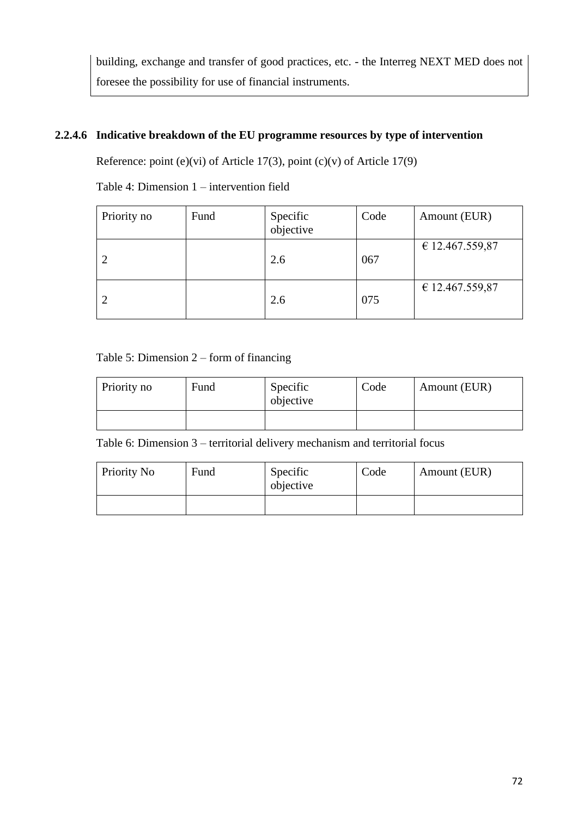building, exchange and transfer of good practices, etc. - the Interreg NEXT MED does not foresee the possibility for use of financial instruments.

# **2.2.4.6 Indicative breakdown of the EU programme resources by type of intervention**

Reference: point (e)(vi) of Article 17(3), point (c)(v) of Article 17(9)

Table 4: Dimension 1 – intervention field

| Priority no | Fund | Specific<br>objective | Code | Amount (EUR)    |
|-------------|------|-----------------------|------|-----------------|
|             |      | 2.6                   | 067  | € 12.467.559,87 |
|             |      | 2.6                   | 075  | € 12.467.559,87 |

Table 5: Dimension 2 – form of financing

| Priority no | Fund | Specific<br>objective | Code | Amount (EUR) |
|-------------|------|-----------------------|------|--------------|
|             |      |                       |      |              |

Table 6: Dimension 3 – territorial delivery mechanism and territorial focus

| Priority No | Fund | Specific<br>objective | Code | Amount (EUR) |
|-------------|------|-----------------------|------|--------------|
|             |      |                       |      |              |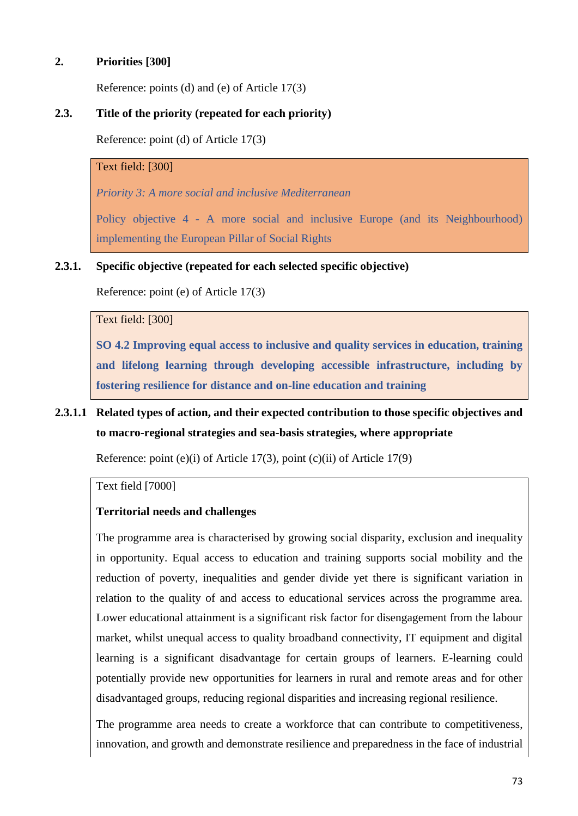## **2. Priorities [300]**

Reference: points (d) and (e) of Article 17(3)

## **2.3. Title of the priority (repeated for each priority)**

Reference: point (d) of Article 17(3)

#### Text field: [300]

*Priority 3: A more social and inclusive Mediterranean*

Policy objective 4 - A more social and inclusive Europe (and its Neighbourhood) implementing the European Pillar of Social Rights

### **2.3.1. Specific objective (repeated for each selected specific objective)**

Reference: point (e) of Article 17(3)

#### Text field: [300]

**SO 4.2 Improving equal access to inclusive and quality services in education, training and lifelong learning through developing accessible infrastructure, including by fostering resilience for distance and on-line education and training**

## **2.3.1.1 Related types of action, and their expected contribution to those specific objectives and to macro-regional strategies and sea-basis strategies, where appropriate**

Reference: point (e)(i) of Article 17(3), point (c)(ii) of Article 17(9)

#### Text field [7000]

### **Territorial needs and challenges**

The programme area is characterised by growing social disparity, exclusion and inequality in opportunity. Equal access to education and training supports social mobility and the reduction of poverty, inequalities and gender divide yet there is significant variation in relation to the quality of and access to educational services across the programme area. Lower educational attainment is a significant risk factor for disengagement from the labour market, whilst unequal access to quality broadband connectivity, IT equipment and digital learning is a significant disadvantage for certain groups of learners. E-learning could potentially provide new opportunities for learners in rural and remote areas and for other disadvantaged groups, reducing regional disparities and increasing regional resilience.

The programme area needs to create a workforce that can contribute to competitiveness, innovation, and growth and demonstrate resilience and preparedness in the face of industrial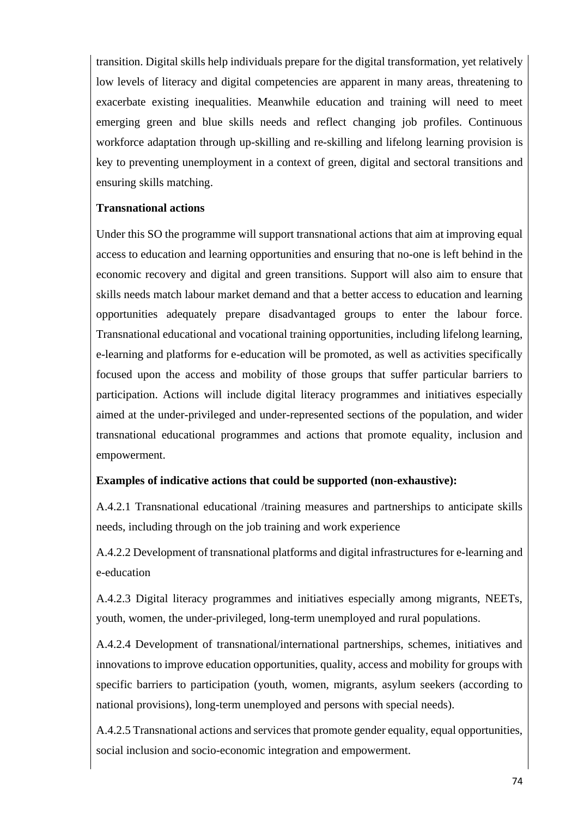transition. Digital skills help individuals prepare for the digital transformation, yet relatively low levels of literacy and digital competencies are apparent in many areas, threatening to exacerbate existing inequalities. Meanwhile education and training will need to meet emerging green and blue skills needs and reflect changing job profiles. Continuous workforce adaptation through up-skilling and re-skilling and lifelong learning provision is key to preventing unemployment in a context of green, digital and sectoral transitions and ensuring skills matching.

## **Transnational actions**

Under this SO the programme will support transnational actions that aim at improving equal access to education and learning opportunities and ensuring that no-one is left behind in the economic recovery and digital and green transitions. Support will also aim to ensure that skills needs match labour market demand and that a better access to education and learning opportunities adequately prepare disadvantaged groups to enter the labour force. Transnational educational and vocational training opportunities, including lifelong learning, e-learning and platforms for e-education will be promoted, as well as activities specifically focused upon the access and mobility of those groups that suffer particular barriers to participation. Actions will include digital literacy programmes and initiatives especially aimed at the under-privileged and under-represented sections of the population, and wider transnational educational programmes and actions that promote equality, inclusion and empowerment.

### **Examples of indicative actions that could be supported (non-exhaustive):**

A.4.2.1 Transnational educational /training measures and partnerships to anticipate skills needs, including through on the job training and work experience

A.4.2.2 Development of transnational platforms and digital infrastructures for e-learning and e-education

A.4.2.3 Digital literacy programmes and initiatives especially among migrants, NEETs, youth, women, the under-privileged, long-term unemployed and rural populations.

A.4.2.4 Development of transnational/international partnerships, schemes, initiatives and innovations to improve education opportunities, quality, access and mobility for groups with specific barriers to participation (youth, women, migrants, asylum seekers (according to national provisions), long-term unemployed and persons with special needs).

A.4.2.5 Transnational actions and services that promote gender equality, equal opportunities, social inclusion and socio-economic integration and empowerment.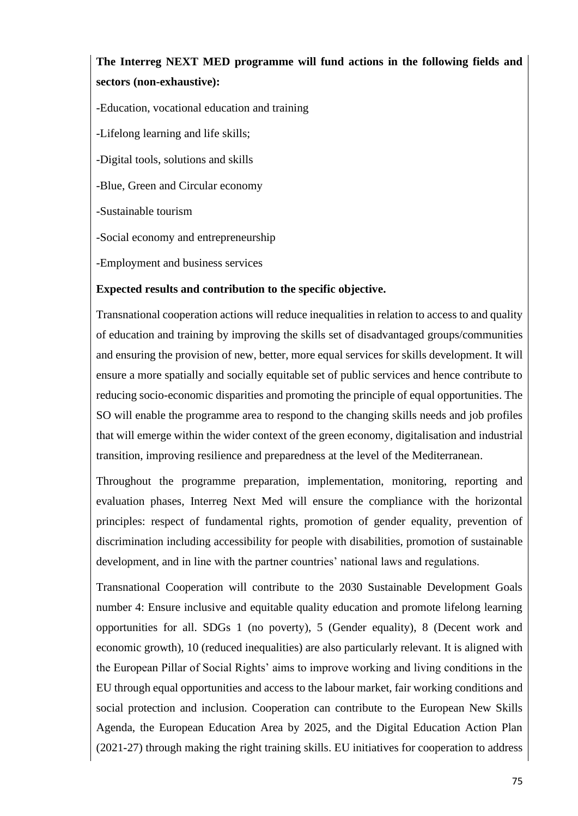## **The Interreg NEXT MED programme will fund actions in the following fields and sectors (non-exhaustive):**

-Education, vocational education and training -Lifelong learning and life skills; -Digital tools, solutions and skills -Blue, Green and Circular economy -Sustainable tourism -Social economy and entrepreneurship -Employment and business services

## **Expected results and contribution to the specific objective.**

Transnational cooperation actions will reduce inequalities in relation to access to and quality of education and training by improving the skills set of disadvantaged groups/communities and ensuring the provision of new, better, more equal services for skills development. It will ensure a more spatially and socially equitable set of public services and hence contribute to reducing socio-economic disparities and promoting the principle of equal opportunities. The SO will enable the programme area to respond to the changing skills needs and job profiles that will emerge within the wider context of the green economy, digitalisation and industrial transition, improving resilience and preparedness at the level of the Mediterranean.

Throughout the programme preparation, implementation, monitoring, reporting and evaluation phases, Interreg Next Med will ensure the compliance with the horizontal principles: respect of fundamental rights, promotion of gender equality, prevention of discrimination including accessibility for people with disabilities, promotion of sustainable development, and in line with the partner countries' national laws and regulations.

Transnational Cooperation will contribute to the 2030 Sustainable Development Goals number 4: Ensure inclusive and equitable quality education and promote lifelong learning opportunities for all. SDGs 1 (no poverty), 5 (Gender equality), 8 (Decent work and economic growth), 10 (reduced inequalities) are also particularly relevant. It is aligned with the European Pillar of Social Rights' aims to improve working and living conditions in the EU through equal opportunities and access to the labour market, fair working conditions and social protection and inclusion. Cooperation can contribute to the European New Skills Agenda, the European Education Area by 2025, and the Digital Education Action Plan (2021-27) through making the right training skills. EU initiatives for cooperation to address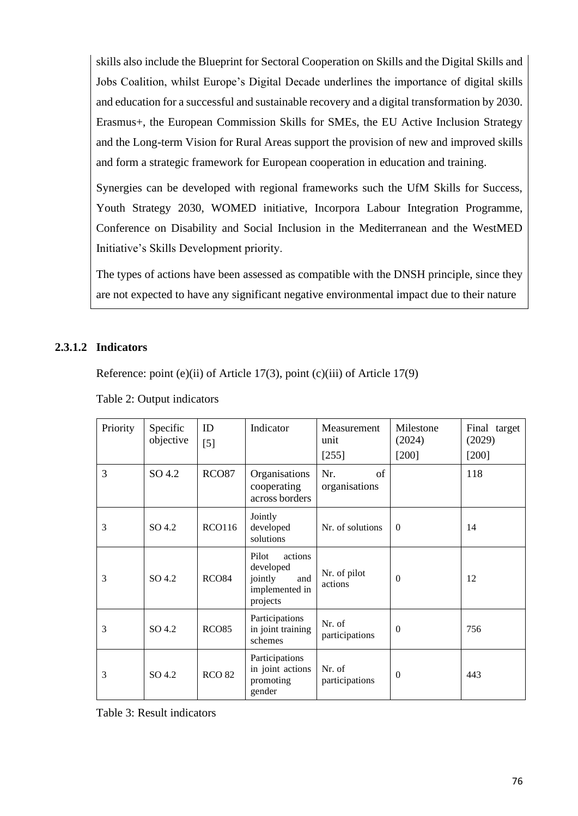skills also include the Blueprint for Sectoral Cooperation on Skills and the Digital Skills and Jobs Coalition, whilst Europe's Digital Decade underlines the importance of digital skills and education for a successful and sustainable recovery and a digital transformation by 2030. Erasmus+, the European Commission Skills for SMEs, the EU Active Inclusion Strategy and the Long-term Vision for Rural Areas support the provision of new and improved skills and form a strategic framework for European cooperation in education and training.

Synergies can be developed with regional frameworks such the UfM Skills for Success, Youth Strategy 2030, WOMED initiative, Incorpora Labour Integration Programme, Conference on Disability and Social Inclusion in the Mediterranean and the WestMED Initiative's Skills Development priority.

The types of actions have been assessed as compatible with the DNSH principle, since they are not expected to have any significant negative environmental impact due to their nature

### **2.3.1.2 Indicators**

Reference: point (e)(ii) of Article 17(3), point (c)(iii) of Article 17(9)

| Priority | Specific<br>objective | ID<br>$[5]$       | Indicator                                                                     | Measurement<br>unit<br>$[255]$ | Milestone<br>(2024)<br>[200] | Final target<br>(2029)<br>$[200]$ |
|----------|-----------------------|-------------------|-------------------------------------------------------------------------------|--------------------------------|------------------------------|-----------------------------------|
| 3        | SO 4.2                | <b>RCO87</b>      | Organisations<br>cooperating<br>across borders                                | Nr.<br>of<br>organisations     |                              | 118                               |
| 3        | SO 4.2                | <b>RCO116</b>     | Jointly<br>developed<br>solutions                                             | Nr. of solutions               | $\Omega$                     | 14                                |
| 3        | SO 4.2                | RCO <sub>84</sub> | Pilot<br>actions<br>developed<br>jointly<br>and<br>implemented in<br>projects | Nr. of pilot<br>actions        | $\theta$                     | 12                                |
| 3        | SO 4.2                | <b>RCO85</b>      | Participations<br>in joint training<br>schemes                                | Nr. of<br>participations       | $\theta$                     | 756                               |
| 3        | SO 4.2                | <b>RCO 82</b>     | Participations<br>in joint actions<br>promoting<br>gender                     | Nr. of<br>participations       | $\mathbf{0}$                 | 443                               |

Table 2: Output indicators

Table 3: Result indicators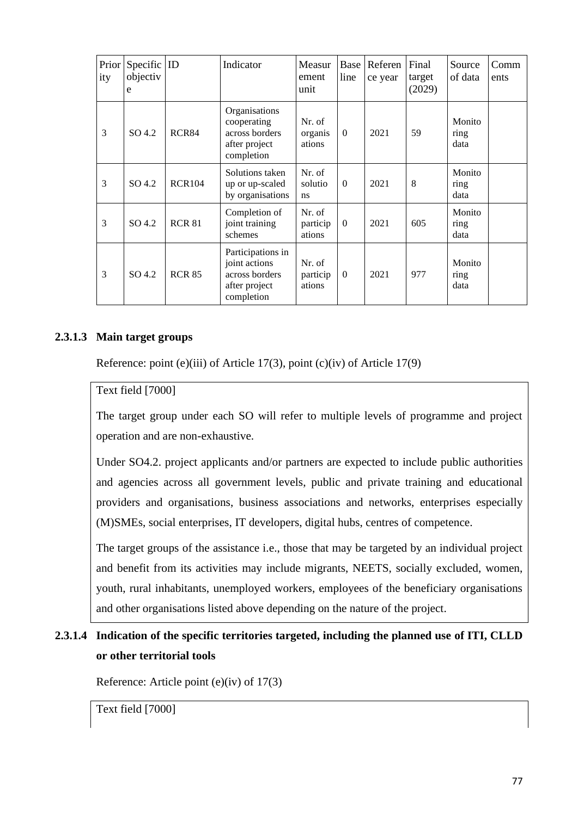| Prior<br>ity | Specific $ ID$<br>objectiv<br>e |               | Indicator                                                                           | Measur<br>ement<br>unit      | Base<br>line | Referen<br>ce year | Final<br>target<br>(2029) | Source<br>of data      | Comm<br>ents |
|--------------|---------------------------------|---------------|-------------------------------------------------------------------------------------|------------------------------|--------------|--------------------|---------------------------|------------------------|--------------|
| 3            | SO <sub>4.2</sub>               | RCR84         | Organisations<br>cooperating<br>across borders<br>after project<br>completion       | Nr. of<br>organis<br>ations  | $\Omega$     | 2021               | 59                        | Monito<br>ring<br>data |              |
| 3            | SO 4.2                          | <b>RCR104</b> | Solutions taken<br>up or up-scaled<br>by organisations                              | Nr. of<br>solutio<br>ns      | $\Omega$     | 2021               | 8                         | Monito<br>ring<br>data |              |
| 3            | SO 4.2                          | <b>RCR 81</b> | Completion of<br>joint training<br>schemes                                          | Nr. of<br>particip<br>ations | $\mathbf{0}$ | 2021               | 605                       | Monito<br>ring<br>data |              |
| 3            | SO <sub>4.2</sub>               | <b>RCR 85</b> | Participations in<br>joint actions<br>across borders<br>after project<br>completion | Nr. of<br>particip<br>ations | $\mathbf{0}$ | 2021               | 977                       | Monito<br>ring<br>data |              |

## **2.3.1.3 Main target groups**

Reference: point (e)(iii) of Article 17(3), point (c)(iv) of Article 17(9)

## Text field [7000]

The target group under each SO will refer to multiple levels of programme and project operation and are non-exhaustive.

Under SO4.2. project applicants and/or partners are expected to include public authorities and agencies across all government levels, public and private training and educational providers and organisations, business associations and networks, enterprises especially (M)SMEs, social enterprises, IT developers, digital hubs, centres of competence.

The target groups of the assistance i.e., those that may be targeted by an individual project and benefit from its activities may include migrants, NEETS, socially excluded, women, youth, rural inhabitants, unemployed workers, employees of the beneficiary organisations and other organisations listed above depending on the nature of the project.

## **2.3.1.4 Indication of the specific territories targeted, including the planned use of ITI, CLLD or other territorial tools**

Reference: Article point (e)(iv) of 17(3)

Text field [7000]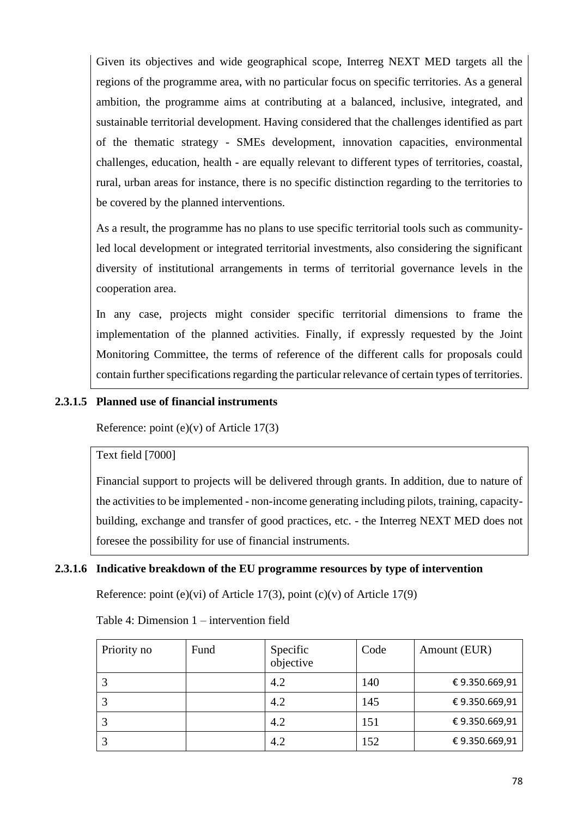Given its objectives and wide geographical scope, Interreg NEXT MED targets all the regions of the programme area, with no particular focus on specific territories. As a general ambition, the programme aims at contributing at a balanced, inclusive, integrated, and sustainable territorial development. Having considered that the challenges identified as part of the thematic strategy - SMEs development, innovation capacities, environmental challenges, education, health - are equally relevant to different types of territories, coastal, rural, urban areas for instance, there is no specific distinction regarding to the territories to be covered by the planned interventions.

As a result, the programme has no plans to use specific territorial tools such as communityled local development or integrated territorial investments, also considering the significant diversity of institutional arrangements in terms of territorial governance levels in the cooperation area.

In any case, projects might consider specific territorial dimensions to frame the implementation of the planned activities. Finally, if expressly requested by the Joint Monitoring Committee, the terms of reference of the different calls for proposals could contain further specifications regarding the particular relevance of certain types of territories.

## **2.3.1.5 Planned use of financial instruments**

Reference: point  $(e)(v)$  of Article 17(3)

Text field [7000]

Financial support to projects will be delivered through grants. In addition, due to nature of the activities to be implemented - non-income generating including pilots, training, capacitybuilding, exchange and transfer of good practices, etc. - the Interreg NEXT MED does not foresee the possibility for use of financial instruments.

## **2.3.1.6 Indicative breakdown of the EU programme resources by type of intervention**

Reference: point (e)(vi) of Article 17(3), point (c)(v) of Article 17(9)

Table 4: Dimension 1 – intervention field

| Priority no | Fund | Specific<br>objective | Code | Amount (EUR)  |
|-------------|------|-----------------------|------|---------------|
|             |      | 4.2                   | 140  | €9.350.669,91 |
|             |      | 4.2                   | 145  | €9.350.669,91 |
|             |      | 4.2                   | 151  | €9.350.669,91 |
|             |      | 4.2                   | 152  | €9.350.669,91 |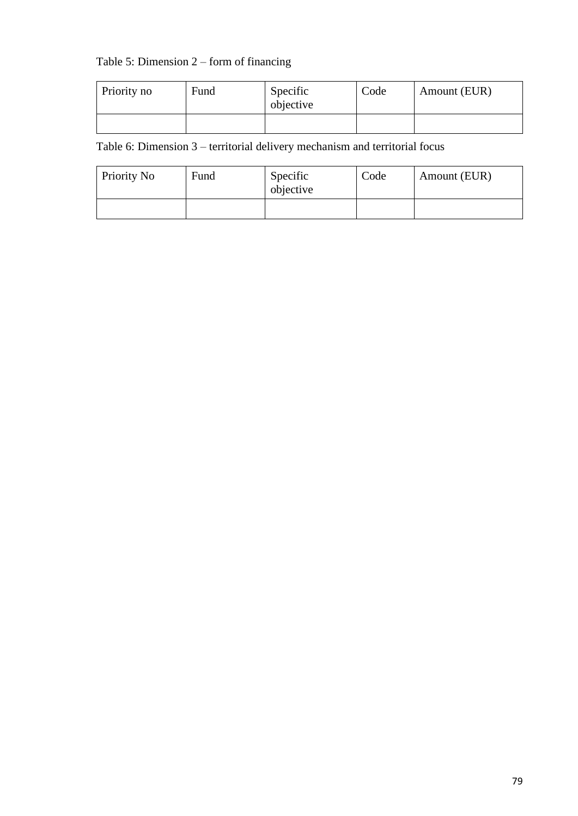## Table 5: Dimension 2 – form of financing

| Priority no | Fund | Specific<br>objective | Code | Amount (EUR) |
|-------------|------|-----------------------|------|--------------|
|             |      |                       |      |              |

Table 6: Dimension 3 – territorial delivery mechanism and territorial focus

| Priority No | Fund | Specific<br>objective | Code | Amount (EUR) |
|-------------|------|-----------------------|------|--------------|
|             |      |                       |      |              |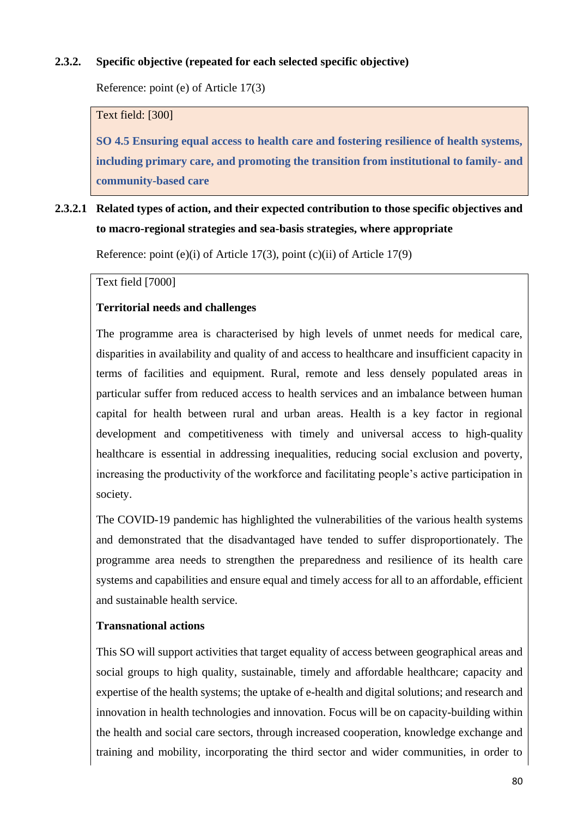## **2.3.2. Specific objective (repeated for each selected specific objective)**

Reference: point (e) of Article 17(3)

Text field: [300]

**SO 4.5 Ensuring equal access to health care and fostering resilience of health systems, including primary care, and promoting the transition from institutional to family- and community-based care**

## **2.3.2.1 Related types of action, and their expected contribution to those specific objectives and to macro-regional strategies and sea-basis strategies, where appropriate**

Reference: point (e)(i) of Article 17(3), point (c)(ii) of Article 17(9)

Text field [7000]

### **Territorial needs and challenges**

The programme area is characterised by high levels of unmet needs for medical care, disparities in availability and quality of and access to healthcare and insufficient capacity in terms of facilities and equipment. Rural, remote and less densely populated areas in particular suffer from reduced access to health services and an imbalance between human capital for health between rural and urban areas. Health is a key factor in regional development and competitiveness with timely and universal access to high-quality healthcare is essential in addressing inequalities, reducing social exclusion and poverty, increasing the productivity of the workforce and facilitating people's active participation in society.

The COVID-19 pandemic has highlighted the vulnerabilities of the various health systems and demonstrated that the disadvantaged have tended to suffer disproportionately. The programme area needs to strengthen the preparedness and resilience of its health care systems and capabilities and ensure equal and timely access for all to an affordable, efficient and sustainable health service.

### **Transnational actions**

This SO will support activities that target equality of access between geographical areas and social groups to high quality, sustainable, timely and affordable healthcare; capacity and expertise of the health systems; the uptake of e-health and digital solutions; and research and innovation in health technologies and innovation. Focus will be on capacity-building within the health and social care sectors, through increased cooperation, knowledge exchange and training and mobility, incorporating the third sector and wider communities, in order to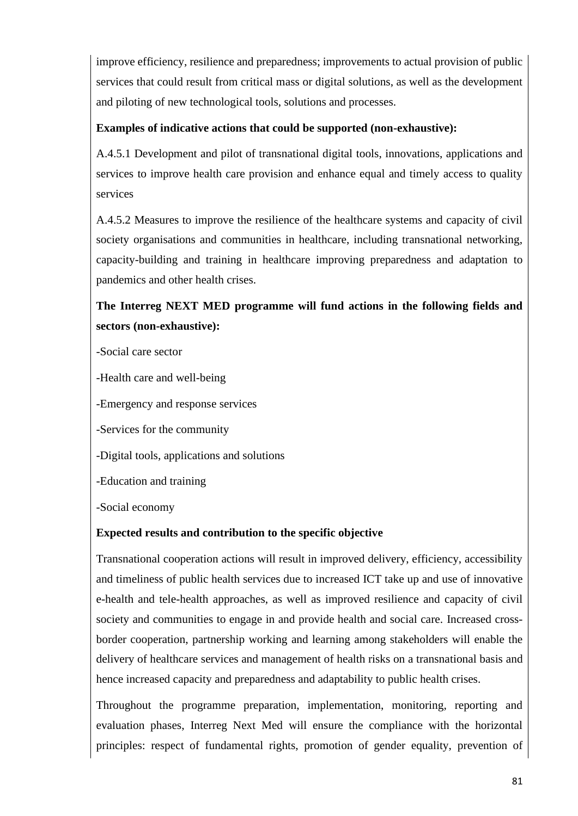improve efficiency, resilience and preparedness; improvements to actual provision of public services that could result from critical mass or digital solutions, as well as the development and piloting of new technological tools, solutions and processes.

## **Examples of indicative actions that could be supported (non-exhaustive):**

A.4.5.1 Development and pilot of transnational digital tools, innovations, applications and services to improve health care provision and enhance equal and timely access to quality services

A.4.5.2 Measures to improve the resilience of the healthcare systems and capacity of civil society organisations and communities in healthcare, including transnational networking, capacity-building and training in healthcare improving preparedness and adaptation to pandemics and other health crises.

# **The Interreg NEXT MED programme will fund actions in the following fields and sectors (non-exhaustive):**

-Social care sector

-Health care and well-being

-Emergency and response services

-Services for the community

-Digital tools, applications and solutions

-Education and training

-Social economy

## **Expected results and contribution to the specific objective**

Transnational cooperation actions will result in improved delivery, efficiency, accessibility and timeliness of public health services due to increased ICT take up and use of innovative e-health and tele-health approaches, as well as improved resilience and capacity of civil society and communities to engage in and provide health and social care. Increased crossborder cooperation, partnership working and learning among stakeholders will enable the delivery of healthcare services and management of health risks on a transnational basis and hence increased capacity and preparedness and adaptability to public health crises.

Throughout the programme preparation, implementation, monitoring, reporting and evaluation phases, Interreg Next Med will ensure the compliance with the horizontal principles: respect of fundamental rights, promotion of gender equality, prevention of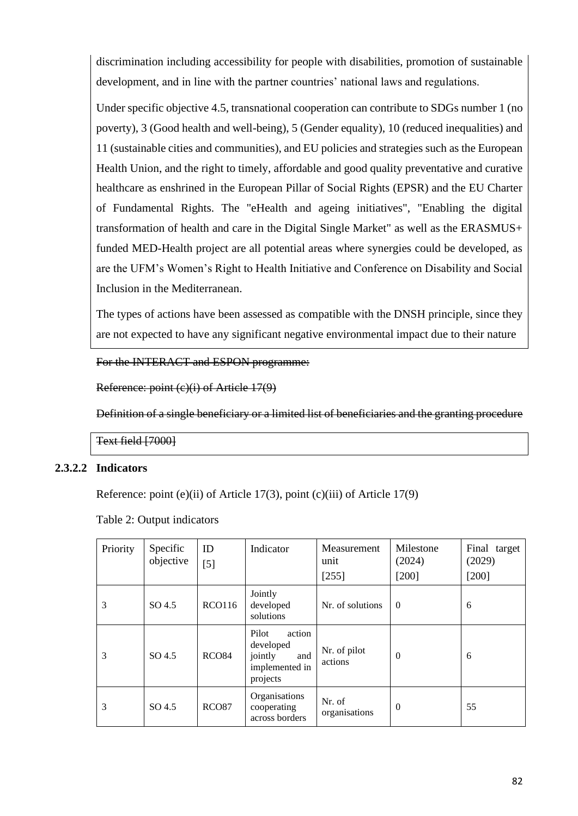discrimination including accessibility for people with disabilities, promotion of sustainable development, and in line with the partner countries' national laws and regulations.

Under specific objective 4.5, transnational cooperation can contribute to SDGs number 1 (no poverty), 3 (Good health and well-being), 5 (Gender equality), 10 (reduced inequalities) and 11 (sustainable cities and communities), and EU policies and strategies such as the European Health Union, and the right to timely, affordable and good quality preventative and curative healthcare as enshrined in the European Pillar of Social Rights (EPSR) and the EU Charter of Fundamental Rights. The "eHealth and ageing initiatives", "Enabling the digital transformation of health and care in the Digital Single Market" as well as the ERASMUS+ funded MED-Health project are all potential areas where synergies could be developed, as are the UFM's Women's Right to Health Initiative and Conference on Disability and Social Inclusion in the Mediterranean.

The types of actions have been assessed as compatible with the DNSH principle, since they are not expected to have any significant negative environmental impact due to their nature

For the INTERACT and ESPON programme:

Reference: point (c)(i) of Article 17(9)

Definition of a single beneficiary or a limited list of beneficiaries and the granting procedure

Text field [7000]

### **2.3.2.2 Indicators**

Reference: point (e)(ii) of Article 17(3), point (c)(iii) of Article 17(9)

| Priority | Specific<br>objective | ID<br>$[5]$       | Indicator                                                                    | Measurement<br>unit<br>[255] | Milestone<br>(2024)<br>[200] | Final target<br>(2029)<br>$[200]$ |
|----------|-----------------------|-------------------|------------------------------------------------------------------------------|------------------------------|------------------------------|-----------------------------------|
| 3        | SO 4.5                | <b>RCO116</b>     | Jointly<br>developed<br>solutions                                            | Nr. of solutions             | $\Omega$                     | 6                                 |
| 3        | SO 4.5                | RCO <sub>84</sub> | Pilot<br>action<br>developed<br>jointly<br>and<br>implemented in<br>projects | Nr. of pilot<br>actions      | 0                            | 6                                 |
| 3        | SO 4.5                | <b>RCO87</b>      | Organisations<br>cooperating<br>across borders                               | Nr. of<br>organisations      | $\theta$                     | 55                                |

Table 2: Output indicators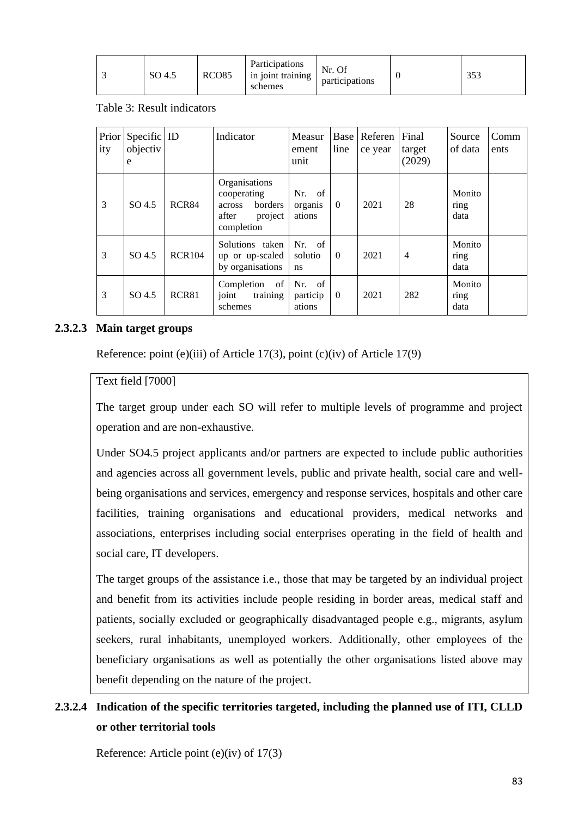|  | SO 4.5 | RCO <sub>85</sub> | <b>Participations</b><br>in joint training<br>schemes | Nr. Of<br>participations |  | n F 1<br>ں ں |
|--|--------|-------------------|-------------------------------------------------------|--------------------------|--|--------------|
|--|--------|-------------------|-------------------------------------------------------|--------------------------|--|--------------|

Table 3: Result indicators

| Prior<br>ity | Specific ID<br>objectiv<br>e |               | Indicator                                                                           | Measur<br>ement<br>unit        | line     | Base   Referen<br>ce year | Final<br>target<br>(2029) | Source<br>of data      | Comm<br>ents |
|--------------|------------------------------|---------------|-------------------------------------------------------------------------------------|--------------------------------|----------|---------------------------|---------------------------|------------------------|--------------|
| 3            | SO 4.5                       | RCR84         | Organisations<br>cooperating<br>borders<br>across<br>after<br>project<br>completion | of<br>Nr.<br>organis<br>ations | $\Omega$ | 2021                      | 28                        | Monito<br>ring<br>data |              |
| 3            | $SO\,4.5$                    | <b>RCR104</b> | Solutions taken<br>up or up-scaled<br>by organisations                              | Nr. of<br>solutio<br>ns        | $\Omega$ | 2021                      | $\overline{4}$            | Monito<br>ring<br>data |              |
| 3            | $SO\,4.5$                    | RCR81         | Completion<br>of<br>joint<br>training<br>schemes                                    | Nr. of<br>particip<br>ations   | $\theta$ | 2021                      | 282                       | Monito<br>ring<br>data |              |

## **2.3.2.3 Main target groups**

Reference: point (e)(iii) of Article 17(3), point (c)(iv) of Article 17(9)

### Text field [7000]

The target group under each SO will refer to multiple levels of programme and project operation and are non-exhaustive.

Under SO4.5 project applicants and/or partners are expected to include public authorities and agencies across all government levels, public and private health, social care and wellbeing organisations and services, emergency and response services, hospitals and other care facilities, training organisations and educational providers, medical networks and associations, enterprises including social enterprises operating in the field of health and social care, IT developers.

The target groups of the assistance i.e., those that may be targeted by an individual project and benefit from its activities include people residing in border areas, medical staff and patients, socially excluded or geographically disadvantaged people e.g., migrants, asylum seekers, rural inhabitants, unemployed workers. Additionally, other employees of the beneficiary organisations as well as potentially the other organisations listed above may benefit depending on the nature of the project.

## **2.3.2.4 Indication of the specific territories targeted, including the planned use of ITI, CLLD or other territorial tools**

Reference: Article point (e)(iv) of 17(3)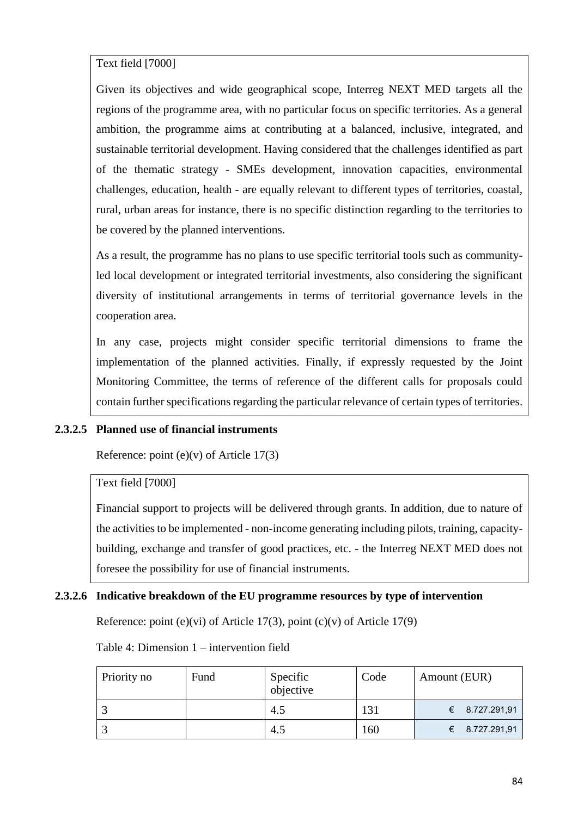Text field [7000]

Given its objectives and wide geographical scope, Interreg NEXT MED targets all the regions of the programme area, with no particular focus on specific territories. As a general ambition, the programme aims at contributing at a balanced, inclusive, integrated, and sustainable territorial development. Having considered that the challenges identified as part of the thematic strategy - SMEs development, innovation capacities, environmental challenges, education, health - are equally relevant to different types of territories, coastal, rural, urban areas for instance, there is no specific distinction regarding to the territories to be covered by the planned interventions.

As a result, the programme has no plans to use specific territorial tools such as communityled local development or integrated territorial investments, also considering the significant diversity of institutional arrangements in terms of territorial governance levels in the cooperation area.

In any case, projects might consider specific territorial dimensions to frame the implementation of the planned activities. Finally, if expressly requested by the Joint Monitoring Committee, the terms of reference of the different calls for proposals could contain further specifications regarding the particular relevance of certain types of territories.

### **2.3.2.5 Planned use of financial instruments**

Reference: point  $(e)(v)$  of Article 17(3)

### Text field [7000]

Financial support to projects will be delivered through grants. In addition, due to nature of the activities to be implemented - non-income generating including pilots, training, capacitybuilding, exchange and transfer of good practices, etc. - the Interreg NEXT MED does not foresee the possibility for use of financial instruments.

### **2.3.2.6 Indicative breakdown of the EU programme resources by type of intervention**

Reference: point (e)(vi) of Article 17(3), point (c)(v) of Article 17(9)

Table 4: Dimension 1 – intervention field

| Priority no | Fund | Specific<br>objective | Code | Amount (EUR)                 |
|-------------|------|-----------------------|------|------------------------------|
|             |      | 4.5                   | 131  | € 8.727.291,91               |
|             |      | 4.5                   | 160  | 8.727.291,91<br>$\leftarrow$ |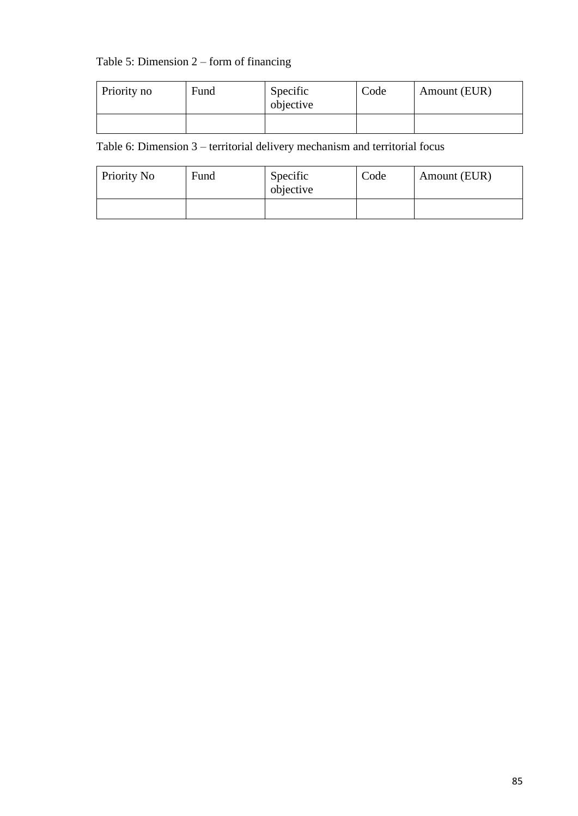## Table 5: Dimension 2 – form of financing

| Priority no | Fund | Specific<br>objective | Code | Amount (EUR) |
|-------------|------|-----------------------|------|--------------|
|             |      |                       |      |              |

Table 6: Dimension 3 – territorial delivery mechanism and territorial focus

| Priority No | Fund | Specific<br>objective | Code | Amount (EUR) |
|-------------|------|-----------------------|------|--------------|
|             |      |                       |      |              |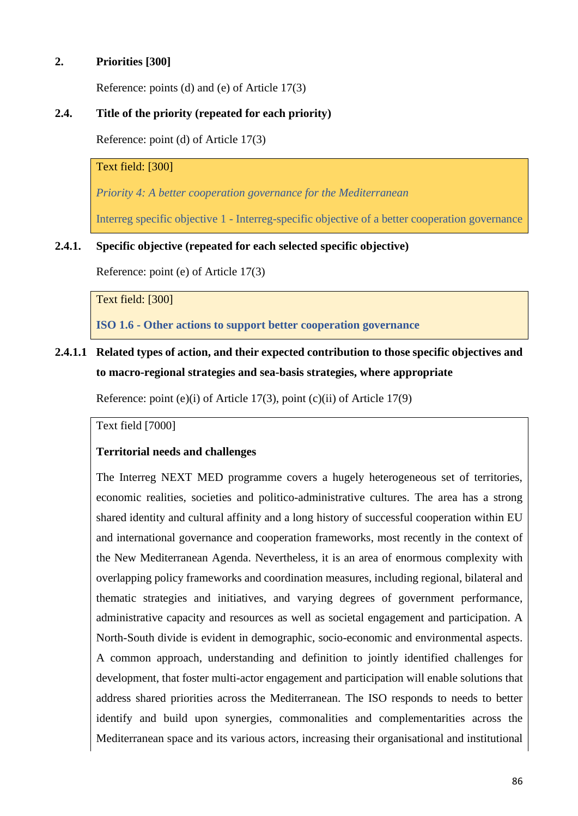## **2. Priorities [300]**

Reference: points (d) and (e) of Article 17(3)

## **2.4. Title of the priority (repeated for each priority)**

Reference: point (d) of Article 17(3)

## Text field: [300]

*Priority 4: A better cooperation governance for the Mediterranean*

Interreg specific objective 1 - Interreg-specific objective of a better cooperation governance

### **2.4.1. Specific objective (repeated for each selected specific objective)**

Reference: point (e) of Article 17(3)

#### Text field: [300]

**ISO 1.6 - Other actions to support better cooperation governance**

## **2.4.1.1 Related types of action, and their expected contribution to those specific objectives and to macro-regional strategies and sea-basis strategies, where appropriate**

Reference: point (e)(i) of Article 17(3), point (c)(ii) of Article 17(9)

Text field [7000]

### **Territorial needs and challenges**

The Interreg NEXT MED programme covers a hugely heterogeneous set of territories, economic realities, societies and politico-administrative cultures. The area has a strong shared identity and cultural affinity and a long history of successful cooperation within EU and international governance and cooperation frameworks, most recently in the context of the New Mediterranean Agenda. Nevertheless, it is an area of enormous complexity with overlapping policy frameworks and coordination measures, including regional, bilateral and thematic strategies and initiatives, and varying degrees of government performance, administrative capacity and resources as well as societal engagement and participation. A North-South divide is evident in demographic, socio-economic and environmental aspects. A common approach, understanding and definition to jointly identified challenges for development, that foster multi-actor engagement and participation will enable solutions that address shared priorities across the Mediterranean. The ISO responds to needs to better identify and build upon synergies, commonalities and complementarities across the Mediterranean space and its various actors, increasing their organisational and institutional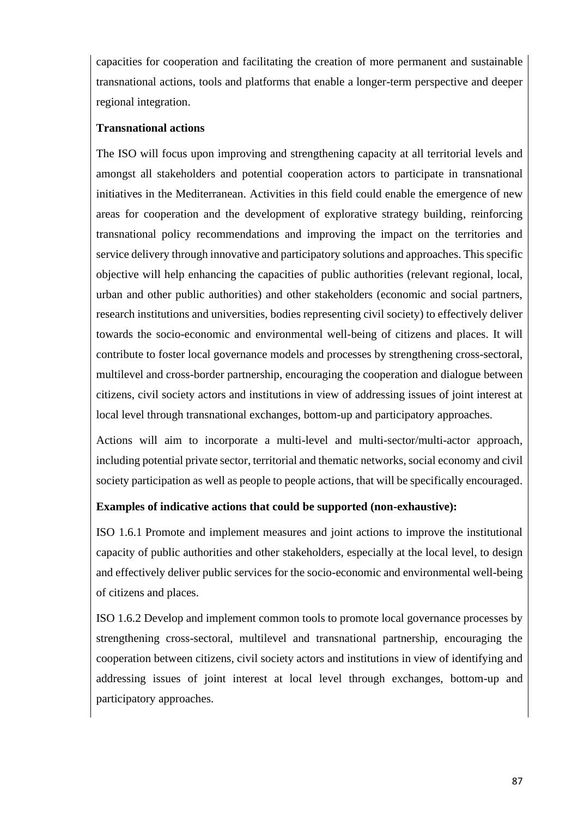capacities for cooperation and facilitating the creation of more permanent and sustainable transnational actions, tools and platforms that enable a longer-term perspective and deeper regional integration.

## **Transnational actions**

The ISO will focus upon improving and strengthening capacity at all territorial levels and amongst all stakeholders and potential cooperation actors to participate in transnational initiatives in the Mediterranean. Activities in this field could enable the emergence of new areas for cooperation and the development of explorative strategy building, reinforcing transnational policy recommendations and improving the impact on the territories and service delivery through innovative and participatory solutions and approaches. This specific objective will help enhancing the capacities of public authorities (relevant regional, local, urban and other public authorities) and other stakeholders (economic and social partners, research institutions and universities, bodies representing civil society) to effectively deliver towards the socio-economic and environmental well-being of citizens and places. It will contribute to foster local governance models and processes by strengthening cross-sectoral, multilevel and cross-border partnership, encouraging the cooperation and dialogue between citizens, civil society actors and institutions in view of addressing issues of joint interest at local level through transnational exchanges, bottom-up and participatory approaches.

Actions will aim to incorporate a multi-level and multi-sector/multi-actor approach, including potential private sector, territorial and thematic networks, social economy and civil society participation as well as people to people actions, that will be specifically encouraged.

## **Examples of indicative actions that could be supported (non-exhaustive):**

ISO 1.6.1 Promote and implement measures and joint actions to improve the institutional capacity of public authorities and other stakeholders, especially at the local level, to design and effectively deliver public services for the socio-economic and environmental well-being of citizens and places.

ISO 1.6.2 Develop and implement common tools to promote local governance processes by strengthening cross-sectoral, multilevel and transnational partnership, encouraging the cooperation between citizens, civil society actors and institutions in view of identifying and addressing issues of joint interest at local level through exchanges, bottom-up and participatory approaches.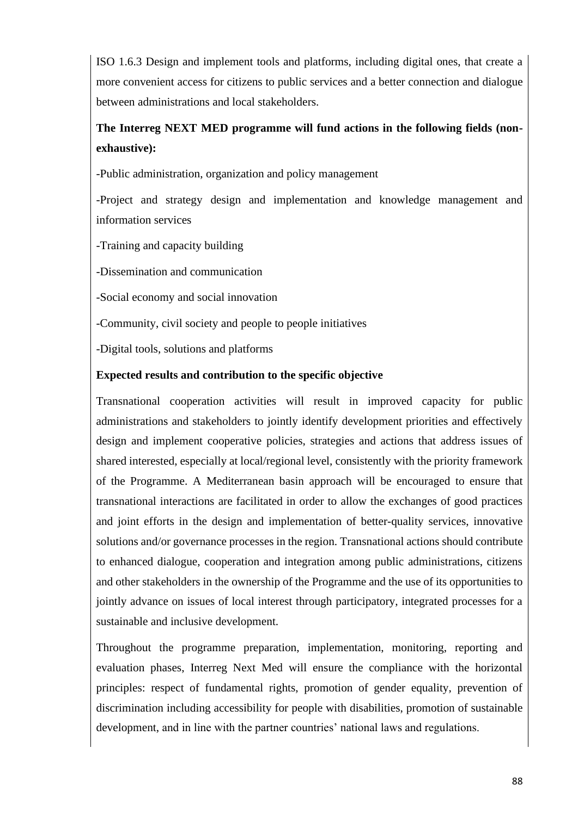ISO 1.6.3 Design and implement tools and platforms, including digital ones, that create a more convenient access for citizens to public services and a better connection and dialogue between administrations and local stakeholders.

# **The Interreg NEXT MED programme will fund actions in the following fields (nonexhaustive):**

-Public administration, organization and policy management

-Project and strategy design and implementation and knowledge management and information services

-Training and capacity building

-Dissemination and communication

-Social economy and social innovation

-Community, civil society and people to people initiatives

-Digital tools, solutions and platforms

### **Expected results and contribution to the specific objective**

Transnational cooperation activities will result in improved capacity for public administrations and stakeholders to jointly identify development priorities and effectively design and implement cooperative policies, strategies and actions that address issues of shared interested, especially at local/regional level, consistently with the priority framework of the Programme. A Mediterranean basin approach will be encouraged to ensure that transnational interactions are facilitated in order to allow the exchanges of good practices and joint efforts in the design and implementation of better-quality services, innovative solutions and/or governance processes in the region. Transnational actions should contribute to enhanced dialogue, cooperation and integration among public administrations, citizens and other stakeholders in the ownership of the Programme and the use of its opportunities to jointly advance on issues of local interest through participatory, integrated processes for a sustainable and inclusive development.

Throughout the programme preparation, implementation, monitoring, reporting and evaluation phases, Interreg Next Med will ensure the compliance with the horizontal principles: respect of fundamental rights, promotion of gender equality, prevention of discrimination including accessibility for people with disabilities, promotion of sustainable development, and in line with the partner countries' national laws and regulations.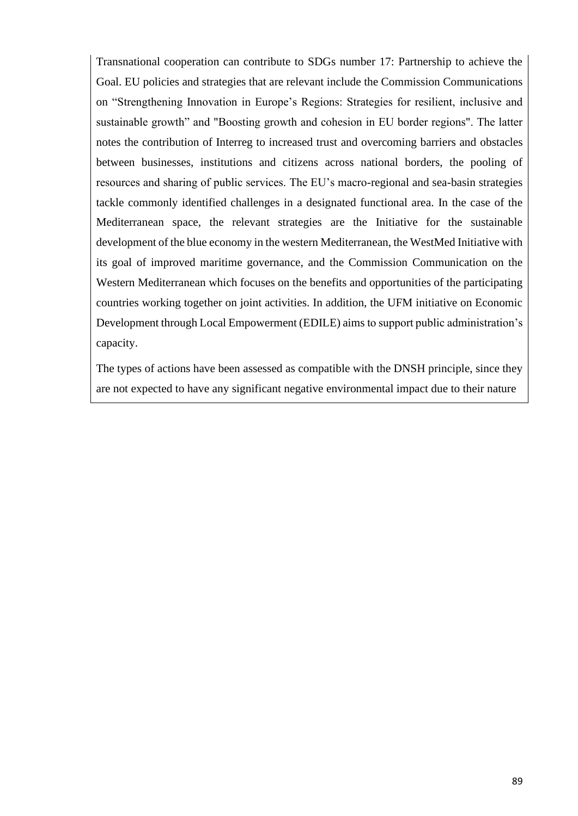Transnational cooperation can contribute to SDGs number 17: Partnership to achieve the Goal. EU policies and strategies that are relevant include the Commission Communications on "Strengthening Innovation in Europe's Regions: Strategies for resilient, inclusive and sustainable growth" and "Boosting growth and cohesion in EU border regions". The latter notes the contribution of Interreg to increased trust and overcoming barriers and obstacles between businesses, institutions and citizens across national borders, the pooling of resources and sharing of public services. The EU's macro-regional and sea-basin strategies tackle commonly identified challenges in a designated functional area. In the case of the Mediterranean space, the relevant strategies are the Initiative for the sustainable development of the blue economy in the western Mediterranean, the WestMed Initiative with its goal of improved maritime governance, and the Commission Communication on the Western Mediterranean which focuses on the benefits and opportunities of the participating countries working together on joint activities. In addition, the UFM initiative on Economic Development through Local Empowerment (EDILE) aims to support public administration's capacity.

The types of actions have been assessed as compatible with the DNSH principle, since they are not expected to have any significant negative environmental impact due to their nature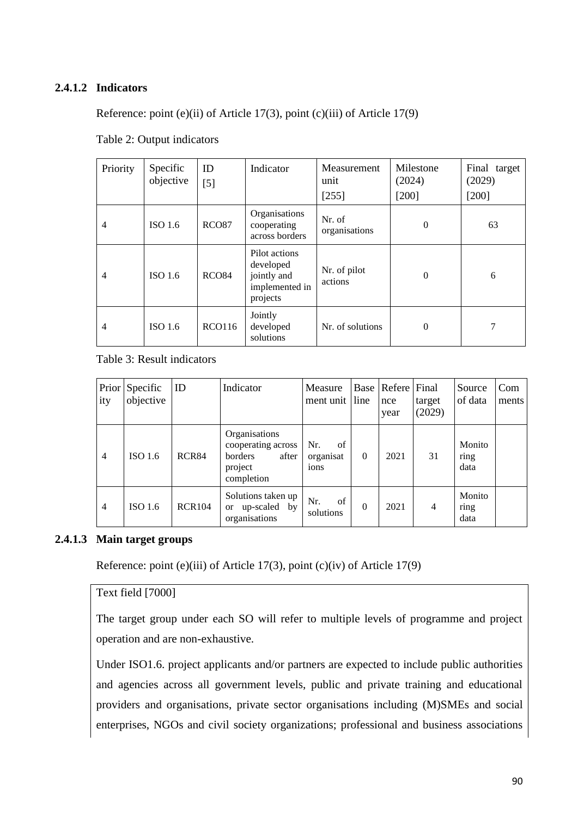## **2.4.1.2 Indicators**

Reference: point (e)(ii) of Article 17(3), point (c)(iii) of Article 17(9)

| Priority       | Specific<br>objective | ID<br>$[5]$       | Indicator                                                               | Measurement<br>unit<br>[255] | Milestone<br>(2024)<br>[200] | Final target<br>(2029)<br>$[200]$ |
|----------------|-----------------------|-------------------|-------------------------------------------------------------------------|------------------------------|------------------------------|-----------------------------------|
| 4              | ISO <sub>1.6</sub>    | RCO <sub>87</sub> | Organisations<br>cooperating<br>across borders                          | Nr. of<br>organisations      | $\Omega$                     | 63                                |
| $\overline{4}$ | ISO 1.6               | RCO <sub>84</sub> | Pilot actions<br>developed<br>jointly and<br>implemented in<br>projects | Nr. of pilot<br>actions      | $\Omega$                     | 6                                 |
| $\overline{4}$ | ISO <sub>1.6</sub>    | RCO116            | Jointly<br>developed<br>solutions                                       | Nr. of solutions             | $\overline{0}$               |                                   |

Table 2: Output indicators

## Table 3: Result indicators

| ity            | Prior Specific<br>objective | ID            | Indicator                                                                        | Measure<br>ment unit line      |          | Base   Refere   Final<br>nce<br>year | target<br>(2029) | Source<br>of data      | Com<br>ments |
|----------------|-----------------------------|---------------|----------------------------------------------------------------------------------|--------------------------------|----------|--------------------------------------|------------------|------------------------|--------------|
| $\overline{4}$ | ISO <sub>1.6</sub>          | RCR84         | Organisations<br>cooperating across<br>borders<br>after<br>project<br>completion | Nr.<br>of<br>organisat<br>ions | $\theta$ | 2021                                 | 31               | Monito<br>ring<br>data |              |
| $\overline{4}$ | ISO <sub>1.6</sub>          | <b>RCR104</b> | Solutions taken up<br>up-scaled by<br><b>or</b><br>organisations                 | of<br>Nr.<br>solutions         | $\theta$ | 2021                                 | $\overline{4}$   | Monito<br>ring<br>data |              |

### **2.4.1.3 Main target groups**

Reference: point (e)(iii) of Article 17(3), point (c)(iv) of Article 17(9)

#### Text field [7000]

The target group under each SO will refer to multiple levels of programme and project operation and are non-exhaustive.

Under ISO1.6. project applicants and/or partners are expected to include public authorities and agencies across all government levels, public and private training and educational providers and organisations, private sector organisations including (M)SMEs and social enterprises, NGOs and civil society organizations; professional and business associations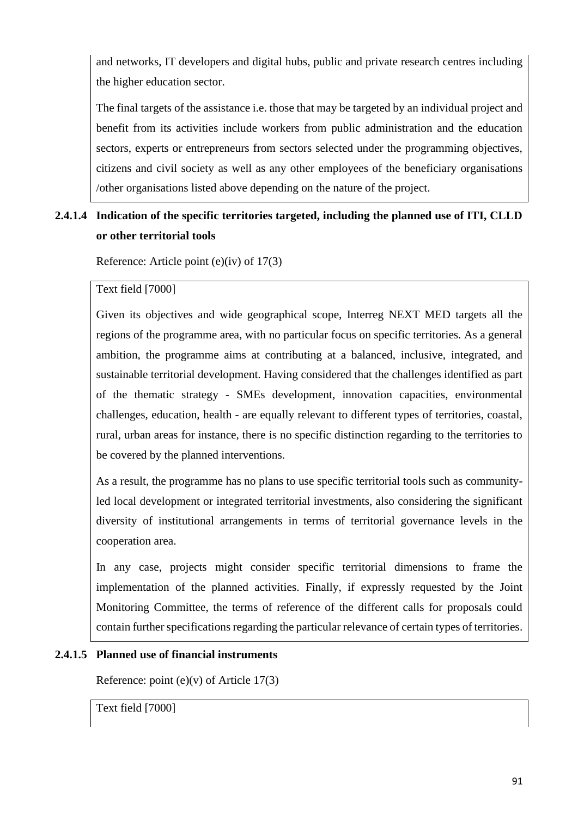and networks, IT developers and digital hubs, public and private research centres including the higher education sector.

The final targets of the assistance i.e. those that may be targeted by an individual project and benefit from its activities include workers from public administration and the education sectors, experts or entrepreneurs from sectors selected under the programming objectives, citizens and civil society as well as any other employees of the beneficiary organisations /other organisations listed above depending on the nature of the project.

# **2.4.1.4 Indication of the specific territories targeted, including the planned use of ITI, CLLD or other territorial tools**

Reference: Article point (e)(iv) of 17(3)

Text field [7000]

Given its objectives and wide geographical scope, Interreg NEXT MED targets all the regions of the programme area, with no particular focus on specific territories. As a general ambition, the programme aims at contributing at a balanced, inclusive, integrated, and sustainable territorial development. Having considered that the challenges identified as part of the thematic strategy - SMEs development, innovation capacities, environmental challenges, education, health - are equally relevant to different types of territories, coastal, rural, urban areas for instance, there is no specific distinction regarding to the territories to be covered by the planned interventions.

As a result, the programme has no plans to use specific territorial tools such as communityled local development or integrated territorial investments, also considering the significant diversity of institutional arrangements in terms of territorial governance levels in the cooperation area.

In any case, projects might consider specific territorial dimensions to frame the implementation of the planned activities. Finally, if expressly requested by the Joint Monitoring Committee, the terms of reference of the different calls for proposals could contain further specifications regarding the particular relevance of certain types of territories.

## **2.4.1.5 Planned use of financial instruments**

Reference: point  $(e)(v)$  of Article 17(3)

Text field [7000]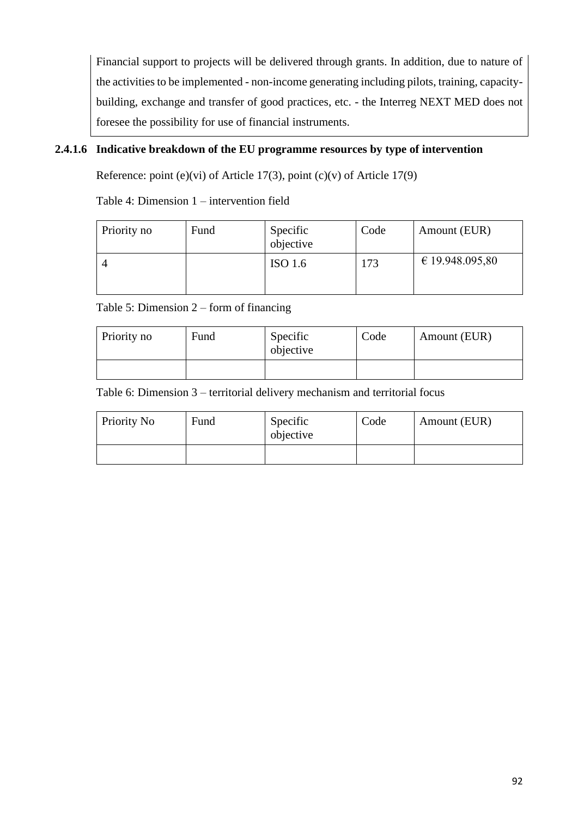Financial support to projects will be delivered through grants. In addition, due to nature of the activities to be implemented - non-income generating including pilots, training, capacitybuilding, exchange and transfer of good practices, etc. - the Interreg NEXT MED does not foresee the possibility for use of financial instruments.

## **2.4.1.6 Indicative breakdown of the EU programme resources by type of intervention**

Reference: point (e)(vi) of Article 17(3), point (c)(v) of Article 17(9)

Table 4: Dimension 1 – intervention field

| Priority no | Fund | Specific<br>objective | Code | Amount (EUR)    |
|-------------|------|-----------------------|------|-----------------|
|             |      | ISO 1.6               | 173  | € 19.948.095,80 |

Table 5: Dimension 2 – form of financing

| Priority no | Fund | Specific<br>objective | Code | Amount (EUR) |
|-------------|------|-----------------------|------|--------------|
|             |      |                       |      |              |

Table 6: Dimension 3 – territorial delivery mechanism and territorial focus

| Priority No | Fund | Specific<br>objective | Code | Amount (EUR) |
|-------------|------|-----------------------|------|--------------|
|             |      |                       |      |              |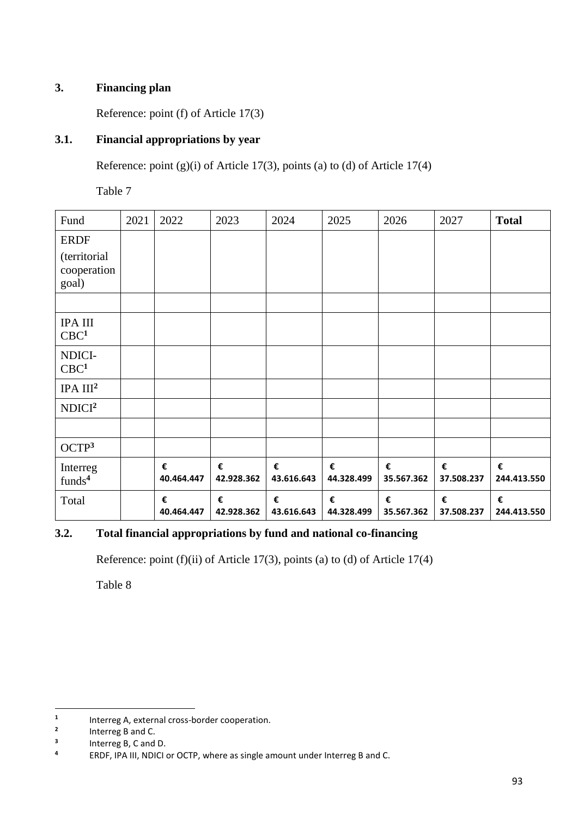## **3. Financing plan**

Reference: point (f) of Article 17(3)

## **3.1. Financial appropriations by year**

Reference: point  $(g)(i)$  of Article 17(3), points (a) to (d) of Article 17(4)

Table 7

| Fund                                                | 2021 | 2022            | 2023            | 2024            | 2025            | 2026            | 2027            | <b>Total</b>     |
|-----------------------------------------------------|------|-----------------|-----------------|-----------------|-----------------|-----------------|-----------------|------------------|
| <b>ERDF</b><br>(territorial<br>cooperation<br>goal) |      |                 |                 |                 |                 |                 |                 |                  |
| <b>IPA III</b><br>CBC <sup>1</sup>                  |      |                 |                 |                 |                 |                 |                 |                  |
| NDICI-<br>CBC <sup>1</sup>                          |      |                 |                 |                 |                 |                 |                 |                  |
| IPA III <sup>2</sup>                                |      |                 |                 |                 |                 |                 |                 |                  |
| NDICI <sup>2</sup>                                  |      |                 |                 |                 |                 |                 |                 |                  |
|                                                     |      |                 |                 |                 |                 |                 |                 |                  |
| OCTP <sup>3</sup>                                   |      |                 |                 |                 |                 |                 |                 |                  |
| Interreg<br>funds <sup>4</sup>                      |      | €<br>40.464.447 | €<br>42.928.362 | €<br>43.616.643 | €<br>44.328.499 | €<br>35.567.362 | €<br>37.508.237 | €<br>244.413.550 |
| Total                                               |      | €<br>40.464.447 | €<br>42.928.362 | €<br>43.616.643 | €<br>44.328.499 | €<br>35.567.362 | €<br>37.508.237 | €<br>244.413.550 |

## **3.2. Total financial appropriations by fund and national co-financing**

Reference: point (f)(ii) of Article 17(3), points (a) to (d) of Article 17(4)

Table 8

**<sup>1</sup>** Interreg A, external cross-border cooperation.

**<sup>2</sup>** Interreg B and C.

**<sup>3</sup>** Interreg B, C and D.

**<sup>4</sup>** ERDF, IPA III, NDICI or OCTP, where as single amount under Interreg B and C.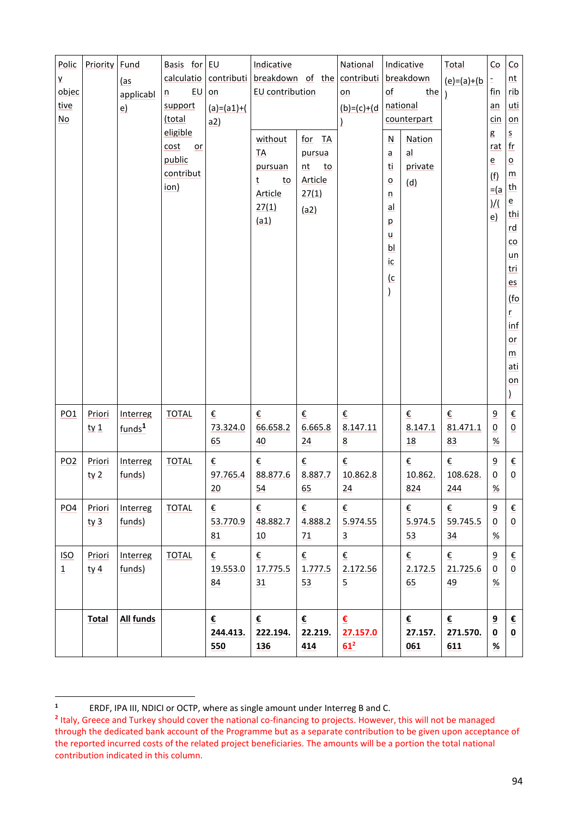| Polic<br>y<br>objec<br>tive<br>No | Priority                  | Fund<br>(as<br>applicabl<br>e) | Basis for EU<br>calculatio<br>$E$ U<br>n<br>support<br>(total | contributi<br>on<br>$(a)=(a1)+(b)$<br>a2) | Indicative<br>breakdown of the contributi<br>EU contribution           |                                                          | National<br>on<br>$(b)=(c)+(d)$ | of                                                            | Indicative<br>breakdown<br>the<br>national<br>counterpart | Total<br>$(e)= (a)+(b)$ | Co<br>$\bar{z}$<br>fin<br>an<br>cin                                      | Co<br>nt<br>rib<br>uti<br>on                                                                                                                                        |
|-----------------------------------|---------------------------|--------------------------------|---------------------------------------------------------------|-------------------------------------------|------------------------------------------------------------------------|----------------------------------------------------------|---------------------------------|---------------------------------------------------------------|-----------------------------------------------------------|-------------------------|--------------------------------------------------------------------------|---------------------------------------------------------------------------------------------------------------------------------------------------------------------|
|                                   |                           |                                | eligible<br>cost<br>or<br>public<br>contribut<br>ion)         |                                           | without<br><b>TA</b><br>pursuan<br>t<br>to<br>Article<br>27(1)<br>(a1) | for TA<br>pursua<br>nt<br>to<br>Article<br>27(1)<br>(a2) |                                 | N<br>a<br>ti<br>о<br>n<br>al<br>p<br>u<br>bl<br>ic<br>(c<br>1 | Nation<br>al<br>private<br>(d)                            |                         | g<br>rat<br>$\overline{e}$<br>(f)<br>$=$ $(a)$ th<br>$\frac{1}{2}$<br>e) | $\overline{\mathsf{S}}$<br> f(r) <br>o<br>m<br>$\mathbf{e}$<br>thi<br>rd<br>co<br>un<br>tri<br>es<br>(fo<br>$\underline{\mathbf{r}}$<br>inf<br>or<br>m<br>ati<br>on |
| PO <sub>1</sub>                   | Priori<br>$t \vee 1$      | Interreg<br>funds <sup>1</sup> | <b>TOTAL</b>                                                  | €<br>73.324.0<br>65                       | €<br>66.658.2<br>40                                                    | €<br>6.665.8<br>24                                       | €<br>8.147.11<br>8              |                                                               | €<br>8.147.1<br>18                                        | €<br>81.471.1<br>83     | 9<br>0<br>$% \mathcal{A}\rightarrow \mathcal{A}$                         | €<br>0                                                                                                                                                              |
| PO <sub>2</sub>                   | Priori<br>ty <sub>2</sub> | Interreg<br>funds)             | <b>TOTAL</b>                                                  | €<br>97.765.4<br>20                       | €<br>88.877.6<br>54                                                    | €<br>8.887.7<br><u>65</u>                                | €<br>10.862.8<br>24             |                                                               | €<br>10.862.<br>824                                       | €<br>108.628.<br>244    | 9<br>0<br><u>%</u>                                                       | €<br>0                                                                                                                                                              |
| PO <sub>4</sub>                   | Priori<br>ty <sub>3</sub> | Interreg<br>funds)             | <b>TOTAL</b>                                                  | €<br>53.770.9<br>81                       | €<br>48.882.7<br>10                                                    | €<br>4.888.2<br>71                                       | €<br>5.974.55<br>$\overline{3}$ |                                                               | €<br>5.974.5<br>53                                        | €<br>59.745.5<br>34     | 9<br>0<br>$\%$                                                           | $\underline{\epsilon}$<br>$\pmb{0}$                                                                                                                                 |
| <b>ISO</b><br>$\overline{1}$      | Priori<br>$t \vee 4$      | Interreg<br>funds)             | <b>TOTAL</b>                                                  | €<br>19.553.0<br>84                       | €<br>17.775.5<br>31                                                    | €<br>1.777.5<br>53                                       | €<br>2.172.56<br>$\overline{5}$ |                                                               | €<br>2.172.5<br>65                                        | €<br>21.725.6<br>49     | 9<br>0<br>$\%$                                                           | $\boldsymbol{\epsilon}$<br>$\pmb{0}$                                                                                                                                |
|                                   | <b>Total</b>              | All funds                      |                                                               | €<br>244.413.<br>550                      | €<br>222.194.<br>136                                                   | €<br>22.219.<br>414                                      | €<br>27.157.0<br>$61^2$         |                                                               | €<br>27.157.<br>061                                       | €<br>271.570.<br>611    | 9<br>0<br>$\frac{9}{6}$                                                  | €<br>$\pmb{0}$                                                                                                                                                      |

**<sup>1</sup>** ERDF, IPA III, NDICI or OCTP, where as single amount under Interreg B and C.

**<sup>2</sup>** Italy, Greece and Turkey should cover the national co-financing to projects. However, this will not be managed through the dedicated bank account of the Programme but as a separate contribution to be given upon acceptance of the reported incurred costs of the related project beneficiaries. The amounts will be a portion the total national contribution indicated in this column.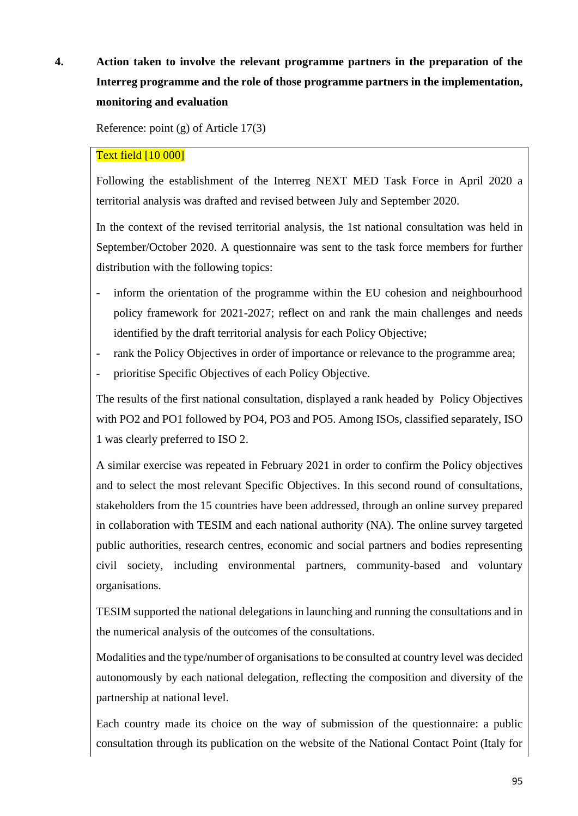# **4. Action taken to involve the relevant programme partners in the preparation of the Interreg programme and the role of those programme partners in the implementation, monitoring and evaluation**

Reference: point (g) of Article 17(3)

## Text field [10 000]

Following the establishment of the Interreg NEXT MED Task Force in April 2020 a territorial analysis was drafted and revised between July and September 2020.

In the context of the revised territorial analysis, the 1st national consultation was held in September/October 2020. A questionnaire was sent to the task force members for further distribution with the following topics:

- inform the orientation of the programme within the EU cohesion and neighbourhood policy framework for 2021-2027; reflect on and rank the main challenges and needs identified by the draft territorial analysis for each Policy Objective;
- rank the Policy Objectives in order of importance or relevance to the programme area;
- prioritise Specific Objectives of each Policy Objective.

The results of the first national consultation, displayed a rank headed by Policy Objectives with PO2 and PO1 followed by PO4, PO3 and PO5. Among ISOs, classified separately, ISO 1 was clearly preferred to ISO 2.

A similar exercise was repeated in February 2021 in order to confirm the Policy objectives and to select the most relevant Specific Objectives. In this second round of consultations, stakeholders from the 15 countries have been addressed, through an online survey prepared in collaboration with TESIM and each national authority (NA). The online survey targeted public authorities, research centres, economic and social partners and bodies representing civil society, including environmental partners, community-based and voluntary organisations.

TESIM supported the national delegations in launching and running the consultations and in the numerical analysis of the outcomes of the consultations.

Modalities and the type/number of organisations to be consulted at country level was decided autonomously by each national delegation, reflecting the composition and diversity of the partnership at national level.

Each country made its choice on the way of submission of the questionnaire: a public consultation through its publication on the website of the National Contact Point (Italy for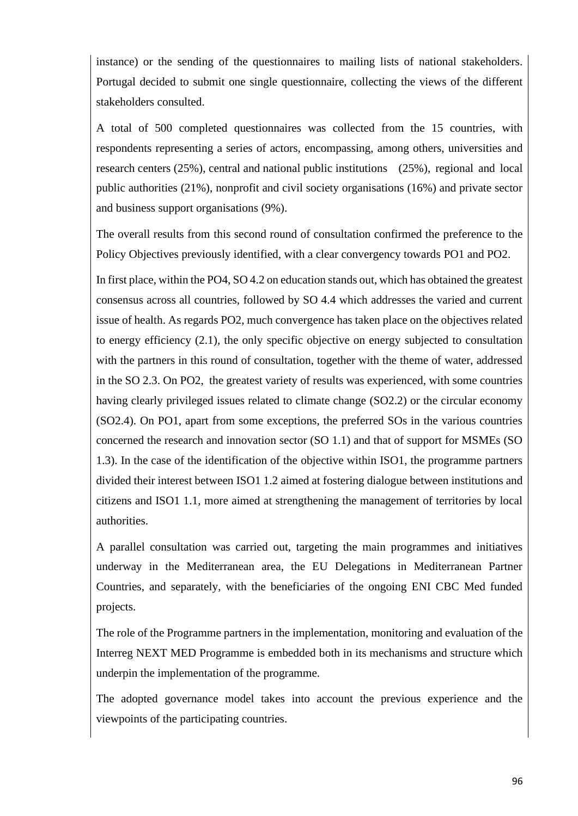instance) or the sending of the questionnaires to mailing lists of national stakeholders. Portugal decided to submit one single questionnaire, collecting the views of the different stakeholders consulted.

A total of 500 completed questionnaires was collected from the 15 countries, with respondents representing a series of actors, encompassing, among others, universities and research centers (25%), central and national public institutions (25%), regional and local public authorities (21%), nonprofit and civil society organisations (16%) and private sector and business support organisations (9%).

The overall results from this second round of consultation confirmed the preference to the Policy Objectives previously identified, with a clear convergency towards PO1 and PO2.

In first place, within the PO4, SO 4.2 on education stands out, which has obtained the greatest consensus across all countries, followed by SO 4.4 which addresses the varied and current issue of health. As regards PO2, much convergence has taken place on the objectives related to energy efficiency (2.1), the only specific objective on energy subjected to consultation with the partners in this round of consultation, together with the theme of water, addressed in the SO 2.3. On PO2, the greatest variety of results was experienced, with some countries having clearly privileged issues related to climate change (SO2.2) or the circular economy (SO2.4). On PO1, apart from some exceptions, the preferred SOs in the various countries concerned the research and innovation sector (SO 1.1) and that of support for MSMEs (SO 1.3). In the case of the identification of the objective within ISO1, the programme partners divided their interest between ISO1 1.2 aimed at fostering dialogue between institutions and citizens and ISO1 1.1, more aimed at strengthening the management of territories by local authorities.

A parallel consultation was carried out, targeting the main programmes and initiatives underway in the Mediterranean area, the EU Delegations in Mediterranean Partner Countries, and separately, with the beneficiaries of the ongoing ENI CBC Med funded projects.

The role of the Programme partners in the implementation, monitoring and evaluation of the Interreg NEXT MED Programme is embedded both in its mechanisms and structure which underpin the implementation of the programme.

The adopted governance model takes into account the previous experience and the viewpoints of the participating countries.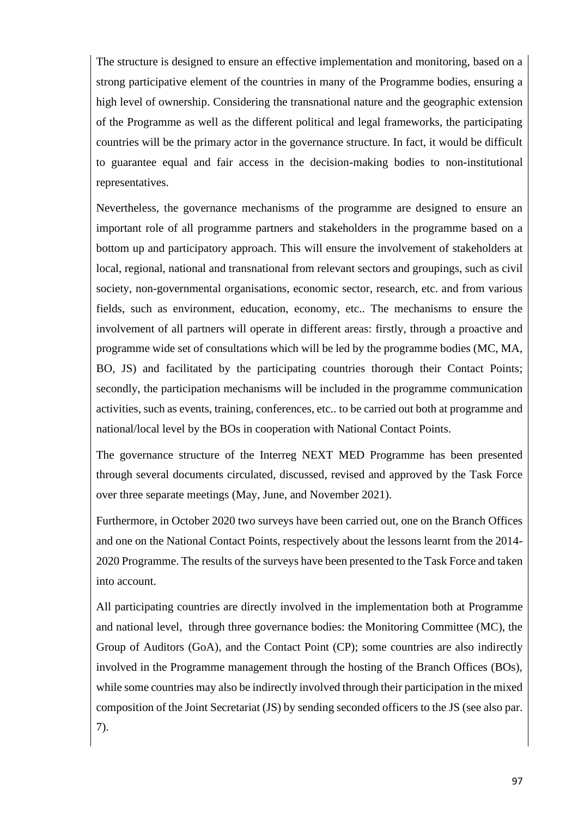The structure is designed to ensure an effective implementation and monitoring, based on a strong participative element of the countries in many of the Programme bodies, ensuring a high level of ownership. Considering the transnational nature and the geographic extension of the Programme as well as the different political and legal frameworks, the participating countries will be the primary actor in the governance structure. In fact, it would be difficult to guarantee equal and fair access in the decision-making bodies to non-institutional representatives.

Nevertheless, the governance mechanisms of the programme are designed to ensure an important role of all programme partners and stakeholders in the programme based on a bottom up and participatory approach. This will ensure the involvement of stakeholders at local, regional, national and transnational from relevant sectors and groupings, such as civil society, non-governmental organisations, economic sector, research, etc. and from various fields, such as environment, education, economy, etc.. The mechanisms to ensure the involvement of all partners will operate in different areas: firstly, through a proactive and programme wide set of consultations which will be led by the programme bodies (MC, MA, BO, JS) and facilitated by the participating countries thorough their Contact Points; secondly, the participation mechanisms will be included in the programme communication activities, such as events, training, conferences, etc.. to be carried out both at programme and national/local level by the BOs in cooperation with National Contact Points.

The governance structure of the Interreg NEXT MED Programme has been presented through several documents circulated, discussed, revised and approved by the Task Force over three separate meetings (May, June, and November 2021).

Furthermore, in October 2020 two surveys have been carried out, one on the Branch Offices and one on the National Contact Points, respectively about the lessons learnt from the 2014- 2020 Programme. The results of the surveys have been presented to the Task Force and taken into account.

All participating countries are directly involved in the implementation both at Programme and national level, through three governance bodies: the Monitoring Committee (MC), the Group of Auditors (GoA), and the Contact Point (CP); some countries are also indirectly involved in the Programme management through the hosting of the Branch Offices (BOs), while some countries may also be indirectly involved through their participation in the mixed composition of the Joint Secretariat (JS) by sending seconded officers to the JS (see also par. 7).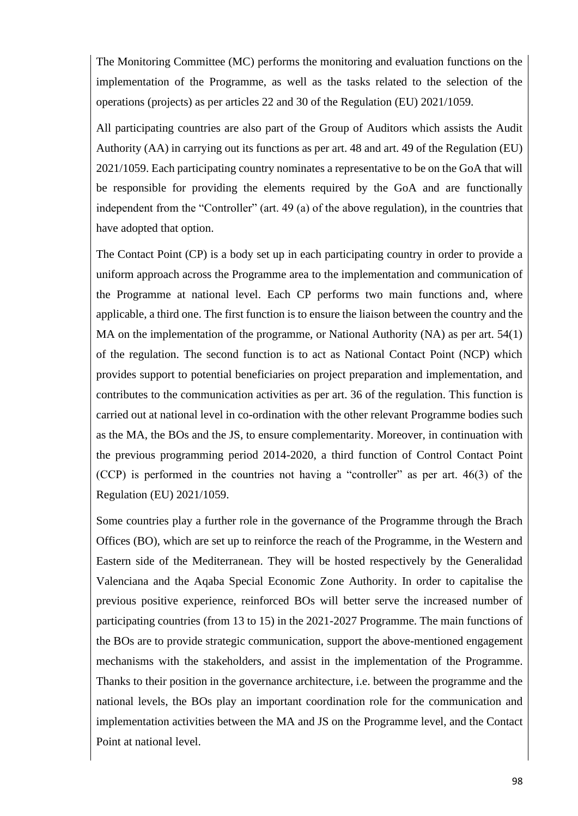The Monitoring Committee (MC) performs the monitoring and evaluation functions on the implementation of the Programme, as well as the tasks related to the selection of the operations (projects) as per articles 22 and 30 of the Regulation (EU) 2021/1059.

All participating countries are also part of the Group of Auditors which assists the Audit Authority (AA) in carrying out its functions as per art. 48 and art. 49 of the Regulation (EU) 2021/1059. Each participating country nominates a representative to be on the GoA that will be responsible for providing the elements required by the GoA and are functionally independent from the "Controller" (art. 49 (a) of the above regulation), in the countries that have adopted that option.

The Contact Point (CP) is a body set up in each participating country in order to provide a uniform approach across the Programme area to the implementation and communication of the Programme at national level. Each CP performs two main functions and, where applicable, a third one. The first function is to ensure the liaison between the country and the MA on the implementation of the programme, or National Authority (NA) as per art. 54(1) of the regulation. The second function is to act as National Contact Point (NCP) which provides support to potential beneficiaries on project preparation and implementation, and contributes to the communication activities as per art. 36 of the regulation. This function is carried out at national level in co-ordination with the other relevant Programme bodies such as the MA, the BOs and the JS, to ensure complementarity. Moreover, in continuation with the previous programming period 2014-2020, a third function of Control Contact Point (CCP) is performed in the countries not having a "controller" as per art. 46(3) of the Regulation (EU) 2021/1059.

Some countries play a further role in the governance of the Programme through the Brach Offices (BO), which are set up to reinforce the reach of the Programme, in the Western and Eastern side of the Mediterranean. They will be hosted respectively by the Generalidad Valenciana and the Aqaba Special Economic Zone Authority. In order to capitalise the previous positive experience, reinforced BOs will better serve the increased number of participating countries (from 13 to 15) in the 2021-2027 Programme. The main functions of the BOs are to provide strategic communication, support the above-mentioned engagement mechanisms with the stakeholders, and assist in the implementation of the Programme. Thanks to their position in the governance architecture, i.e. between the programme and the national levels, the BOs play an important coordination role for the communication and implementation activities between the MA and JS on the Programme level, and the Contact Point at national level.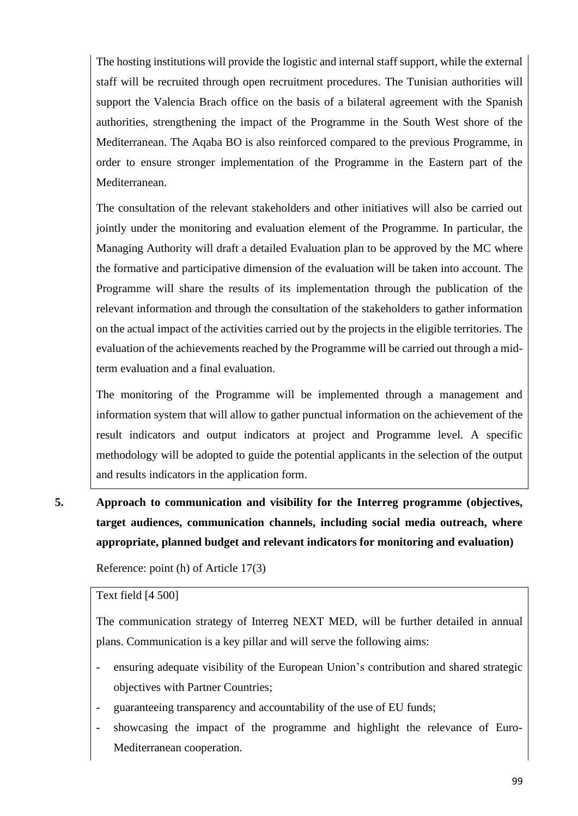The hosting institutions will provide the logistic and internal staff support, while the external staff will be recruited through open recruitment procedures. The Tunisian authorities will support the Valencia Brach office on the basis of a bilateral agreement with the Spanish authorities, strengthening the impact of the Programme in the South West shore of the Mediterranean. The Aqaba BO is also reinforced compared to the previous Programme, in order to ensure stronger implementation of the Programme in the Eastern part of the Mediterranean.

The consultation of the relevant stakeholders and other initiatives will also be carried out jointly under the monitoring and evaluation element of the Programme. In particular, the Managing Authority will draft a detailed Evaluation plan to be approved by the MC where the formative and participative dimension of the evaluation will be taken into account. The Programme will share the results of its implementation through the publication of the relevant information and through the consultation of the stakeholders to gather information on the actual impact of the activities carried out by the projects in the eligible territories. The evaluation of the achievements reached by the Programme will be carried out through a midterm evaluation and a final evaluation.

The monitoring of the Programme will be implemented through a management and information system that will allow to gather punctual information on the achievement of the result indicators and output indicators at project and Programme level. A specific methodology will be adopted to guide the potential applicants in the selection of the output and results indicators in the application form.

**5. Approach to communication and visibility for the Interreg programme (objectives, target audiences, communication channels, including social media outreach, where appropriate, planned budget and relevant indicators for monitoring and evaluation)**

Reference: point (h) of Article 17(3)

#### Text field [4 500]

The communication strategy of Interreg NEXT MED, will be further detailed in annual plans. Communication is a key pillar and will serve the following aims:

- ensuring adequate visibility of the European Union's contribution and shared strategic objectives with Partner Countries;
- guaranteeing transparency and accountability of the use of EU funds;
- showcasing the impact of the programme and highlight the relevance of Euro-Mediterranean cooperation.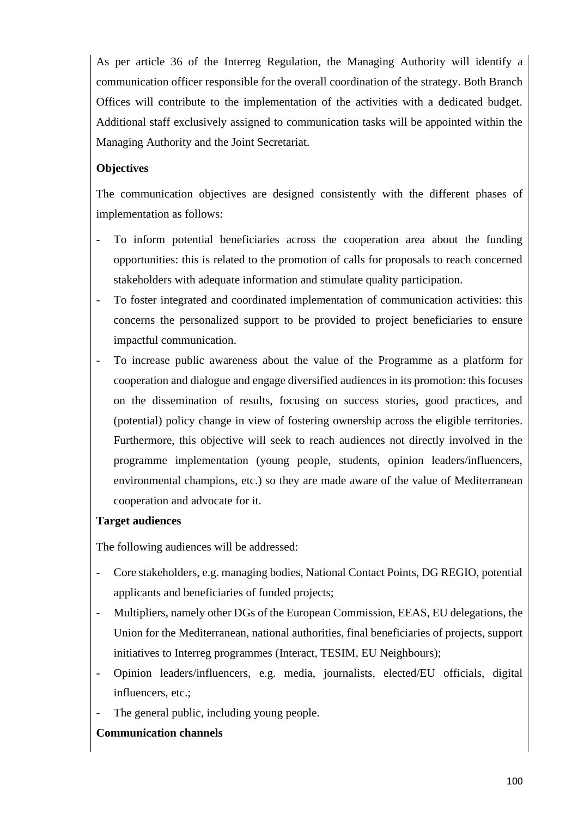As per article 36 of the Interreg Regulation, the Managing Authority will identify a communication officer responsible for the overall coordination of the strategy. Both Branch Offices will contribute to the implementation of the activities with a dedicated budget. Additional staff exclusively assigned to communication tasks will be appointed within the Managing Authority and the Joint Secretariat.

## **Objectives**

The communication objectives are designed consistently with the different phases of implementation as follows:

- To inform potential beneficiaries across the cooperation area about the funding opportunities: this is related to the promotion of calls for proposals to reach concerned stakeholders with adequate information and stimulate quality participation.
- To foster integrated and coordinated implementation of communication activities: this concerns the personalized support to be provided to project beneficiaries to ensure impactful communication.
- To increase public awareness about the value of the Programme as a platform for cooperation and dialogue and engage diversified audiences in its promotion: this focuses on the dissemination of results, focusing on success stories, good practices, and (potential) policy change in view of fostering ownership across the eligible territories. Furthermore, this objective will seek to reach audiences not directly involved in the programme implementation (young people, students, opinion leaders/influencers, environmental champions, etc.) so they are made aware of the value of Mediterranean cooperation and advocate for it.

### **Target audiences**

The following audiences will be addressed:

- Core stakeholders, e.g. managing bodies, National Contact Points, DG REGIO, potential applicants and beneficiaries of funded projects;
- Multipliers, namely other DGs of the European Commission, EEAS, EU delegations, the Union for the Mediterranean, national authorities, final beneficiaries of projects, support initiatives to Interreg programmes (Interact, TESIM, EU Neighbours);
- Opinion leaders/influencers, e.g. media, journalists, elected/EU officials, digital influencers, etc.;
- The general public, including young people.

## **Communication channels**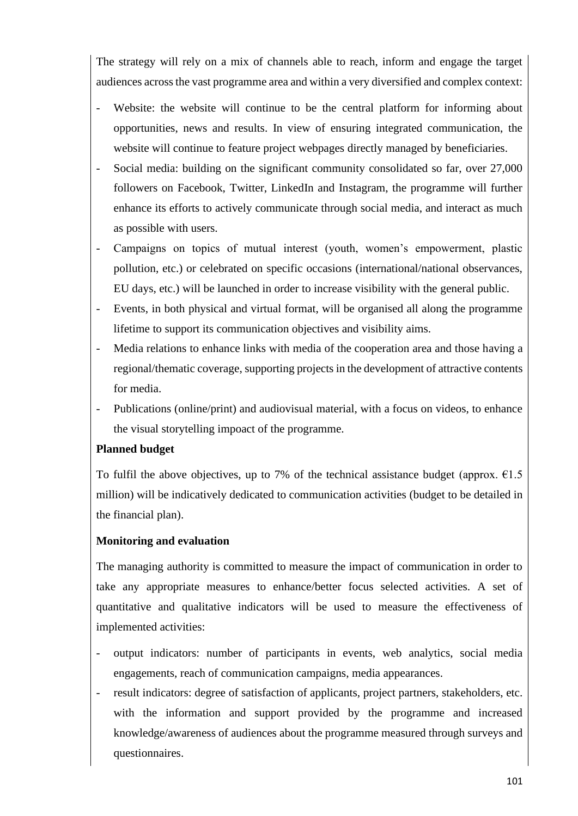The strategy will rely on a mix of channels able to reach, inform and engage the target audiences across the vast programme area and within a very diversified and complex context:

- Website: the website will continue to be the central platform for informing about opportunities, news and results. In view of ensuring integrated communication, the website will continue to feature project webpages directly managed by beneficiaries.
- Social media: building on the significant community consolidated so far, over 27,000 followers on Facebook, Twitter, LinkedIn and Instagram, the programme will further enhance its efforts to actively communicate through social media, and interact as much as possible with users.
- Campaigns on topics of mutual interest (youth, women's empowerment, plastic pollution, etc.) or celebrated on specific occasions (international/national observances, EU days, etc.) will be launched in order to increase visibility with the general public.
- Events, in both physical and virtual format, will be organised all along the programme lifetime to support its communication objectives and visibility aims.
- Media relations to enhance links with media of the cooperation area and those having a regional/thematic coverage, supporting projects in the development of attractive contents for media.
- Publications (online/print) and audiovisual material, with a focus on videos, to enhance the visual storytelling impoact of the programme.

## **Planned budget**

To fulfil the above objectives, up to 7% of the technical assistance budget (approx.  $\epsilon$ 1.5 million) will be indicatively dedicated to communication activities (budget to be detailed in the financial plan).

## **Monitoring and evaluation**

The managing authority is committed to measure the impact of communication in order to take any appropriate measures to enhance/better focus selected activities. A set of quantitative and qualitative indicators will be used to measure the effectiveness of implemented activities:

- output indicators: number of participants in events, web analytics, social media engagements, reach of communication campaigns, media appearances.
- result indicators: degree of satisfaction of applicants, project partners, stakeholders, etc. with the information and support provided by the programme and increased knowledge/awareness of audiences about the programme measured through surveys and questionnaires.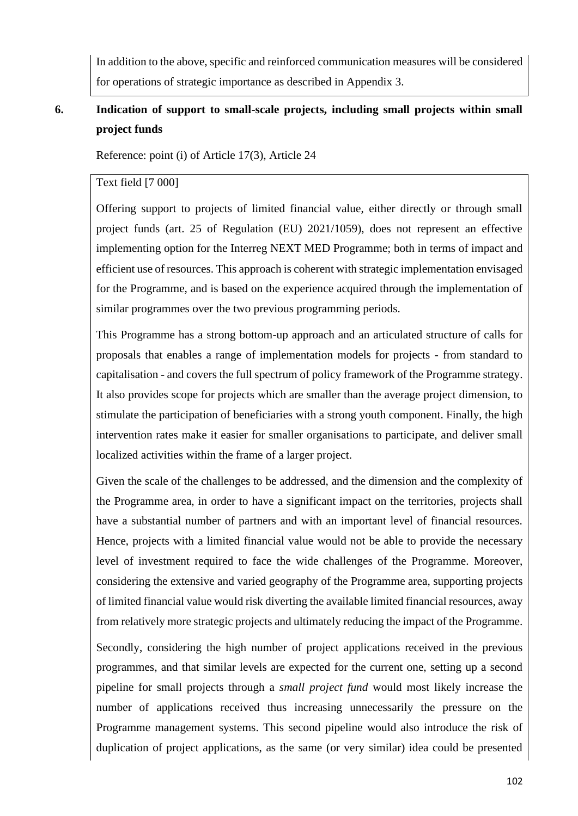In addition to the above, specific and reinforced communication measures will be considered for operations of strategic importance as described in Appendix 3.

## **6. Indication of support to small-scale projects, including small projects within small project funds**

Reference: point (i) of Article 17(3), Article 24

## Text field [7 000]

Offering support to projects of limited financial value, either directly or through small project funds (art. 25 of Regulation (EU) 2021/1059), does not represent an effective implementing option for the Interreg NEXT MED Programme; both in terms of impact and efficient use of resources. This approach is coherent with strategic implementation envisaged for the Programme, and is based on the experience acquired through the implementation of similar programmes over the two previous programming periods.

This Programme has a strong bottom-up approach and an articulated structure of calls for proposals that enables a range of implementation models for projects - from standard to capitalisation - and covers the full spectrum of policy framework of the Programme strategy. It also provides scope for projects which are smaller than the average project dimension, to stimulate the participation of beneficiaries with a strong youth component. Finally, the high intervention rates make it easier for smaller organisations to participate, and deliver small localized activities within the frame of a larger project.

Given the scale of the challenges to be addressed, and the dimension and the complexity of the Programme area, in order to have a significant impact on the territories, projects shall have a substantial number of partners and with an important level of financial resources. Hence, projects with a limited financial value would not be able to provide the necessary level of investment required to face the wide challenges of the Programme. Moreover, considering the extensive and varied geography of the Programme area, supporting projects of limited financial value would risk diverting the available limited financial resources, away from relatively more strategic projects and ultimately reducing the impact of the Programme.

Secondly, considering the high number of project applications received in the previous programmes, and that similar levels are expected for the current one, setting up a second pipeline for small projects through a *small project fund* would most likely increase the number of applications received thus increasing unnecessarily the pressure on the Programme management systems. This second pipeline would also introduce the risk of duplication of project applications, as the same (or very similar) idea could be presented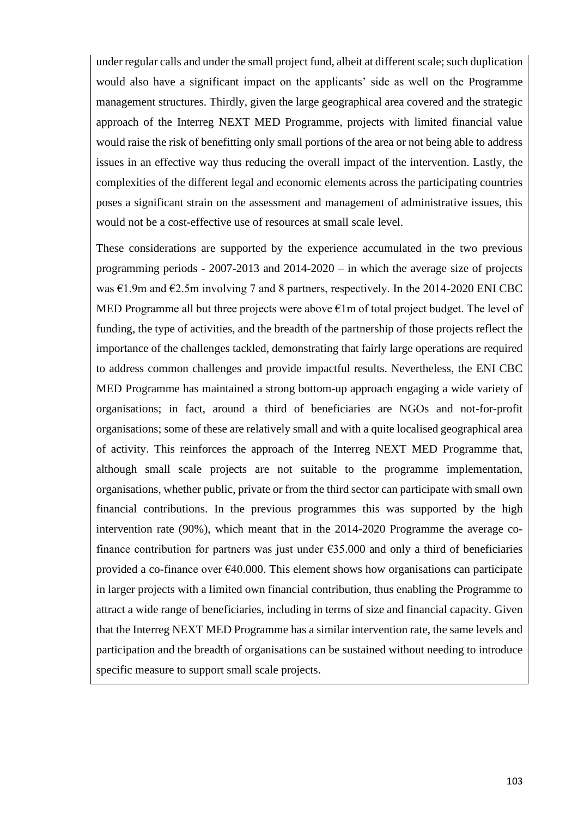under regular calls and under the small project fund, albeit at different scale; such duplication would also have a significant impact on the applicants' side as well on the Programme management structures. Thirdly, given the large geographical area covered and the strategic approach of the Interreg NEXT MED Programme, projects with limited financial value would raise the risk of benefitting only small portions of the area or not being able to address issues in an effective way thus reducing the overall impact of the intervention. Lastly, the complexities of the different legal and economic elements across the participating countries poses a significant strain on the assessment and management of administrative issues, this would not be a cost-effective use of resources at small scale level.

These considerations are supported by the experience accumulated in the two previous programming periods - 2007-2013 and 2014-2020 – in which the average size of projects was  $\epsilon$ 1.9m and  $\epsilon$ 2.5m involving 7 and 8 partners, respectively. In the 2014-2020 ENI CBC MED Programme all but three projects were above  $\epsilon$ 1m of total project budget. The level of funding, the type of activities, and the breadth of the partnership of those projects reflect the importance of the challenges tackled, demonstrating that fairly large operations are required to address common challenges and provide impactful results. Nevertheless, the ENI CBC MED Programme has maintained a strong bottom-up approach engaging a wide variety of organisations; in fact, around a third of beneficiaries are NGOs and not-for-profit organisations; some of these are relatively small and with a quite localised geographical area of activity. This reinforces the approach of the Interreg NEXT MED Programme that, although small scale projects are not suitable to the programme implementation, organisations, whether public, private or from the third sector can participate with small own financial contributions. In the previous programmes this was supported by the high intervention rate (90%), which meant that in the 2014-2020 Programme the average cofinance contribution for partners was just under  $635.000$  and only a third of beneficiaries provided a co-finance over  $\epsilon$ 40.000. This element shows how organisations can participate in larger projects with a limited own financial contribution, thus enabling the Programme to attract a wide range of beneficiaries, including in terms of size and financial capacity. Given that the Interreg NEXT MED Programme has a similar intervention rate, the same levels and participation and the breadth of organisations can be sustained without needing to introduce specific measure to support small scale projects.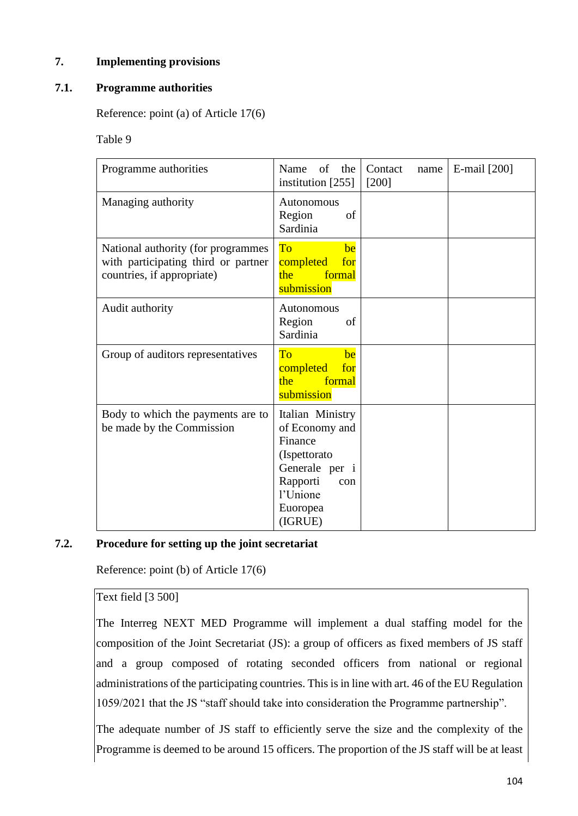## **7. Implementing provisions**

## **7.1. Programme authorities**

Reference: point (a) of Article 17(6)

Table 9

| Programme authorities                                                                                   | of<br>Name<br>the<br>institution $[255]$                                                                                              | Contact<br>name<br>$[200]$ | E-mail [200] |
|---------------------------------------------------------------------------------------------------------|---------------------------------------------------------------------------------------------------------------------------------------|----------------------------|--------------|
| Managing authority                                                                                      | Autonomous<br>Region<br>of<br>Sardinia                                                                                                |                            |              |
| National authority (for programmes<br>with participating third or partner<br>countries, if appropriate) | To<br>be<br>completed<br>for<br>the<br>formal<br>submission                                                                           |                            |              |
| Audit authority                                                                                         | Autonomous<br>Region<br>of<br>Sardinia                                                                                                |                            |              |
| Group of auditors representatives                                                                       | To<br>be<br>completed<br>for<br>formal<br>the<br>submission                                                                           |                            |              |
| Body to which the payments are to<br>be made by the Commission                                          | Italian Ministry<br>of Economy and<br>Finance<br>(Ispettorato<br>Generale per i<br>Rapporti<br>con<br>l'Unione<br>Euoropea<br>(IGRUE) |                            |              |

### **7.2. Procedure for setting up the joint secretariat**

Reference: point (b) of Article 17(6)

### Text field [3 500]

The Interreg NEXT MED Programme will implement a dual staffing model for the composition of the Joint Secretariat (JS): a group of officers as fixed members of JS staff and a group composed of rotating seconded officers from national or regional administrations of the participating countries. This is in line with art. 46 of the EU Regulation 1059/2021 that the JS "staff should take into consideration the Programme partnership".

The adequate number of JS staff to efficiently serve the size and the complexity of the Programme is deemed to be around 15 officers. The proportion of the JS staff will be at least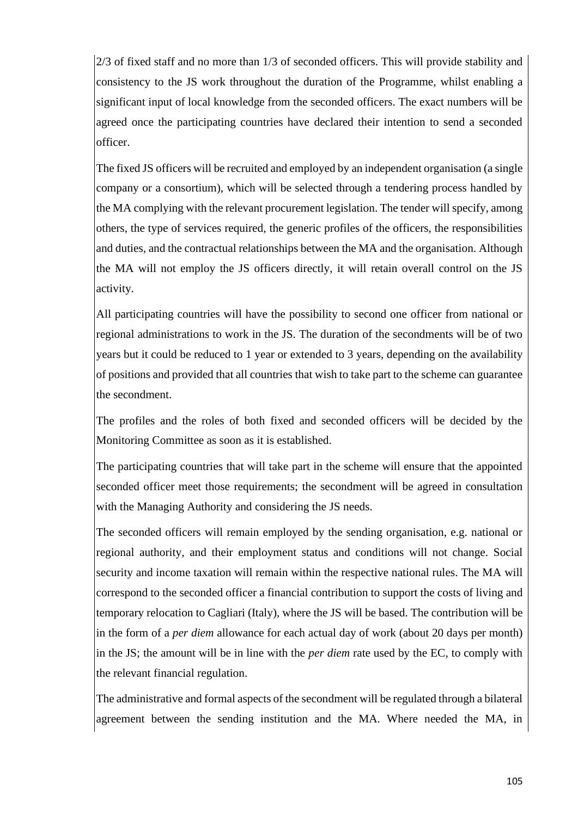2/3 of fixed staff and no more than 1/3 of seconded officers. This will provide stability and consistency to the JS work throughout the duration of the Programme, whilst enabling a significant input of local knowledge from the seconded officers. The exact numbers will be agreed once the participating countries have declared their intention to send a seconded officer.

The fixed JS officers will be recruited and employed by an independent organisation (a single company or a consortium), which will be selected through a tendering process handled by the MA complying with the relevant procurement legislation. The tender will specify, among others, the type of services required, the generic profiles of the officers, the responsibilities and duties, and the contractual relationships between the MA and the organisation. Although the MA will not employ the JS officers directly, it will retain overall control on the JS activity.

All participating countries will have the possibility to second one officer from national or regional administrations to work in the JS. The duration of the secondments will be of two years but it could be reduced to 1 year or extended to 3 years, depending on the availability of positions and provided that all countries that wish to take part to the scheme can guarantee the secondment.

The profiles and the roles of both fixed and seconded officers will be decided by the Monitoring Committee as soon as it is established.

The participating countries that will take part in the scheme will ensure that the appointed seconded officer meet those requirements; the secondment will be agreed in consultation with the Managing Authority and considering the JS needs.

The seconded officers will remain employed by the sending organisation, e.g. national or regional authority, and their employment status and conditions will not change. Social security and income taxation will remain within the respective national rules. The MA will correspond to the seconded officer a financial contribution to support the costs of living and temporary relocation to Cagliari (Italy), where the JS will be based. The contribution will be in the form of a *per diem* allowance for each actual day of work (about 20 days per month) in the JS; the amount will be in line with the *per diem* rate used by the EC, to comply with the relevant financial regulation.

The administrative and formal aspects of the secondment will be regulated through a bilateral agreement between the sending institution and the MA. Where needed the MA, in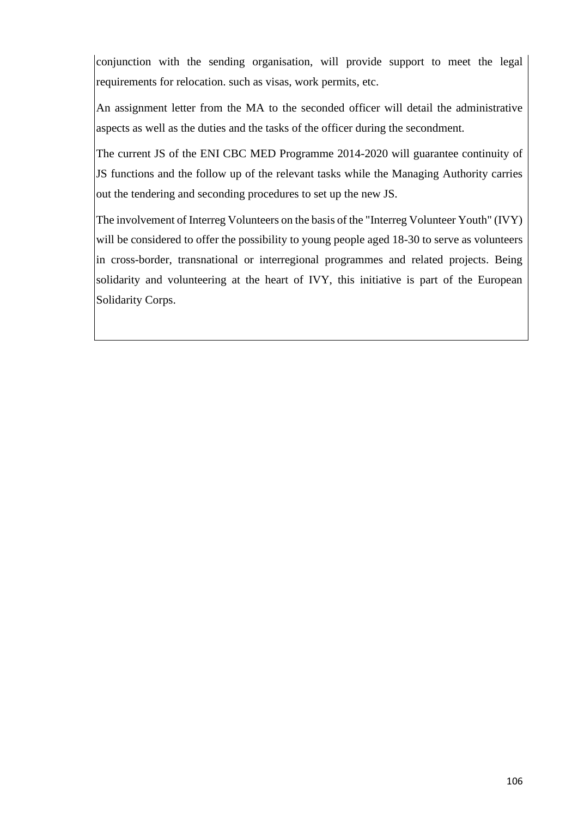conjunction with the sending organisation, will provide support to meet the legal requirements for relocation. such as visas, work permits, etc.

An assignment letter from the MA to the seconded officer will detail the administrative aspects as well as the duties and the tasks of the officer during the secondment.

The current JS of the ENI CBC MED Programme 2014-2020 will guarantee continuity of JS functions and the follow up of the relevant tasks while the Managing Authority carries out the tendering and seconding procedures to set up the new JS.

The involvement of Interreg Volunteers on the basis of the "Interreg Volunteer Youth" (IVY) will be considered to offer the possibility to young people aged 18-30 to serve as volunteers in cross-border, transnational or interregional programmes and related projects. Being solidarity and volunteering at the heart of IVY, this initiative is part of the European Solidarity Corps.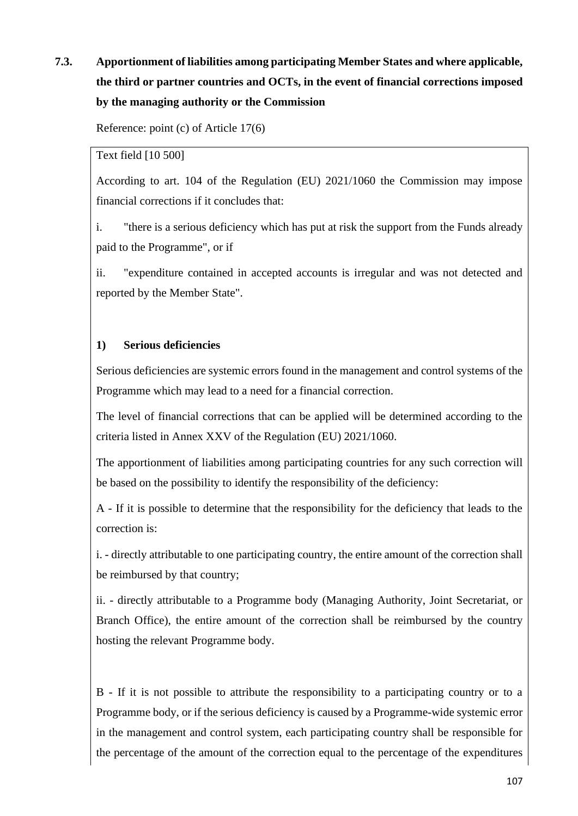# **7.3. Apportionment of liabilities among participating Member States and where applicable, the third or partner countries and OCTs, in the event of financial corrections imposed by the managing authority or the Commission**

Reference: point (c) of Article 17(6)

Text field [10 500]

According to art. 104 of the Regulation (EU) 2021/1060 the Commission may impose financial corrections if it concludes that:

i. "there is a serious deficiency which has put at risk the support from the Funds already paid to the Programme", or if

ii. "expenditure contained in accepted accounts is irregular and was not detected and reported by the Member State".

### **1) Serious deficiencies**

Serious deficiencies are systemic errors found in the management and control systems of the Programme which may lead to a need for a financial correction.

The level of financial corrections that can be applied will be determined according to the criteria listed in Annex XXV of the Regulation (EU) 2021/1060.

The apportionment of liabilities among participating countries for any such correction will be based on the possibility to identify the responsibility of the deficiency:

A - If it is possible to determine that the responsibility for the deficiency that leads to the correction is:

i. - directly attributable to one participating country, the entire amount of the correction shall be reimbursed by that country;

ii. - directly attributable to a Programme body (Managing Authority, Joint Secretariat, or Branch Office), the entire amount of the correction shall be reimbursed by the country hosting the relevant Programme body.

B - If it is not possible to attribute the responsibility to a participating country or to a Programme body, or if the serious deficiency is caused by a Programme-wide systemic error in the management and control system, each participating country shall be responsible for the percentage of the amount of the correction equal to the percentage of the expenditures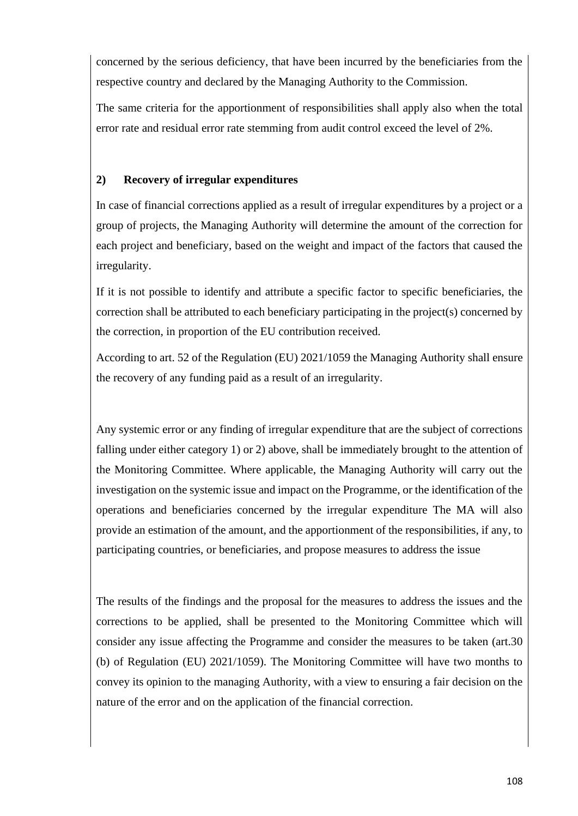concerned by the serious deficiency, that have been incurred by the beneficiaries from the respective country and declared by the Managing Authority to the Commission.

The same criteria for the apportionment of responsibilities shall apply also when the total error rate and residual error rate stemming from audit control exceed the level of 2%.

## **2) Recovery of irregular expenditures**

In case of financial corrections applied as a result of irregular expenditures by a project or a group of projects, the Managing Authority will determine the amount of the correction for each project and beneficiary, based on the weight and impact of the factors that caused the irregularity.

If it is not possible to identify and attribute a specific factor to specific beneficiaries, the correction shall be attributed to each beneficiary participating in the project(s) concerned by the correction, in proportion of the EU contribution received.

According to art. 52 of the Regulation (EU) 2021/1059 the Managing Authority shall ensure the recovery of any funding paid as a result of an irregularity.

Any systemic error or any finding of irregular expenditure that are the subject of corrections falling under either category 1) or 2) above, shall be immediately brought to the attention of the Monitoring Committee. Where applicable, the Managing Authority will carry out the investigation on the systemic issue and impact on the Programme, or the identification of the operations and beneficiaries concerned by the irregular expenditure The MA will also provide an estimation of the amount, and the apportionment of the responsibilities, if any, to participating countries, or beneficiaries, and propose measures to address the issue

The results of the findings and the proposal for the measures to address the issues and the corrections to be applied, shall be presented to the Monitoring Committee which will consider any issue affecting the Programme and consider the measures to be taken (art.30 (b) of Regulation (EU) 2021/1059). The Monitoring Committee will have two months to convey its opinion to the managing Authority, with a view to ensuring a fair decision on the nature of the error and on the application of the financial correction.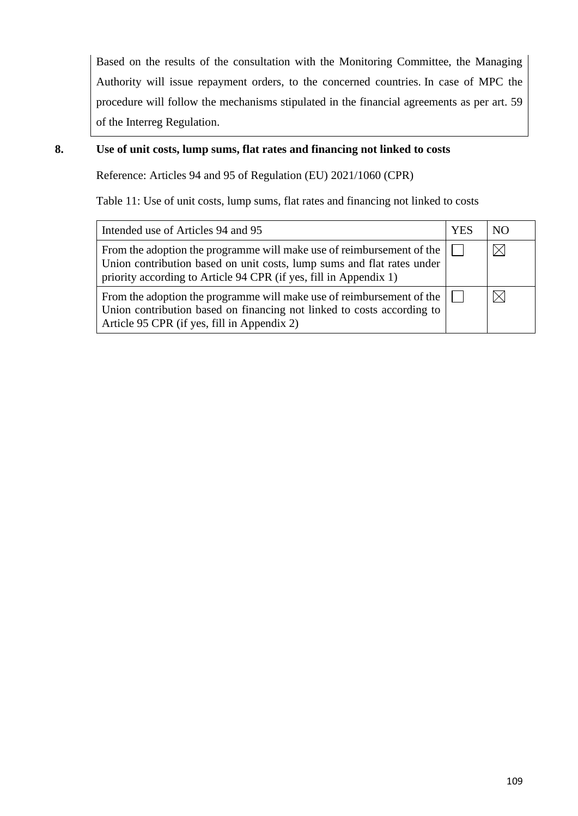Based on the results of the consultation with the Monitoring Committee, the Managing Authority will issue repayment orders, to the concerned countries. In case of MPC the procedure will follow the mechanisms stipulated in the financial agreements as per art. 59 of the Interreg Regulation.

### **8. Use of unit costs, lump sums, flat rates and financing not linked to costs**

Reference: Articles 94 and 95 of Regulation (EU) 2021/1060 (CPR)

Table 11: Use of unit costs, lump sums, flat rates and financing not linked to costs

| Intended use of Articles 94 and 95                                                                                                                                                                                   | YES | NO.         |
|----------------------------------------------------------------------------------------------------------------------------------------------------------------------------------------------------------------------|-----|-------------|
| From the adoption the programme will make use of reimbursement of the<br>Union contribution based on unit costs, lump sums and flat rates under<br>priority according to Article 94 CPR (if yes, fill in Appendix 1) |     | $\boxtimes$ |
| From the adoption the programme will make use of reimbursement of the<br>Union contribution based on financing not linked to costs according to<br>Article 95 CPR (if yes, fill in Appendix 2)                       |     |             |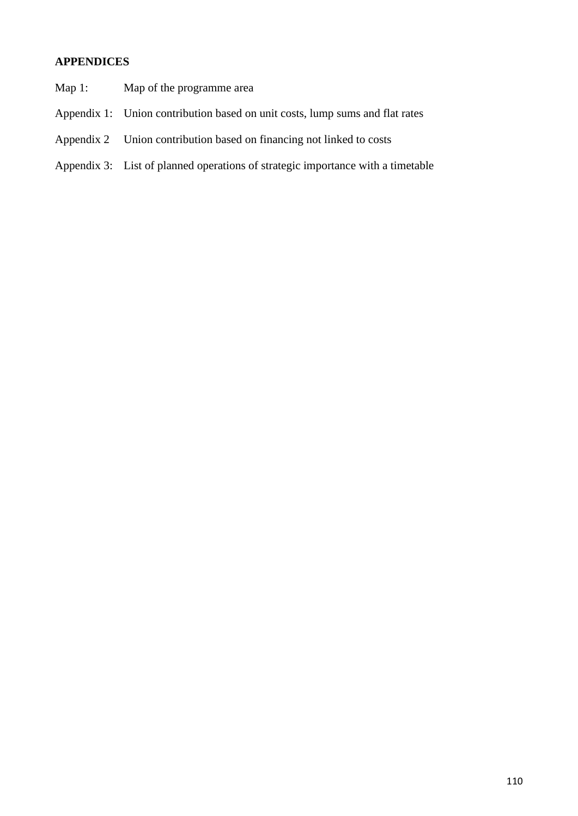# **APPENDICES**

- Map 1: Map of the programme area
- Appendix 1: Union contribution based on unit costs, lump sums and flat rates
- Appendix 2 Union contribution based on financing not linked to costs
- Appendix 3: List of planned operations of strategic importance with a timetable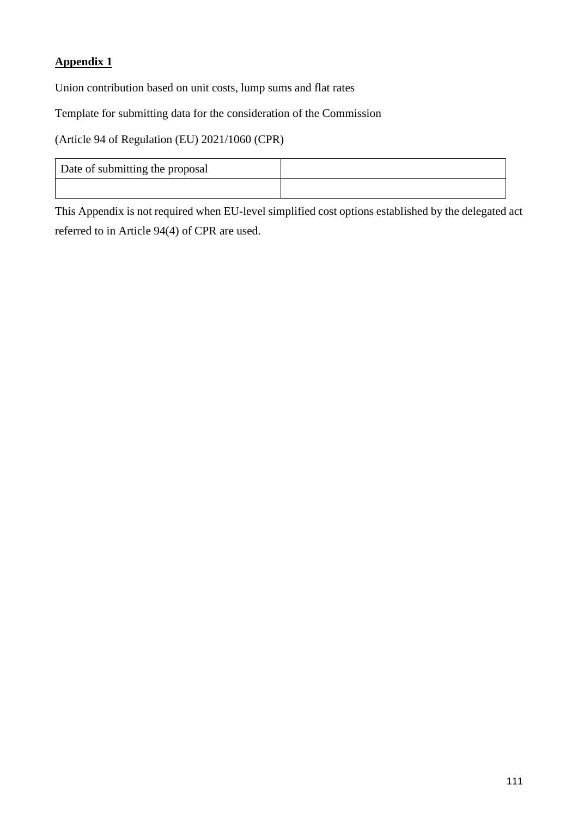## **Appendix 1**

Union contribution based on unit costs, lump sums and flat rates

Template for submitting data for the consideration of the Commission

(Article 94 of Regulation (EU) 2021/1060 (CPR)

| Date of submitting the proposal |  |
|---------------------------------|--|
|                                 |  |

This Appendix is not required when EU-level simplified cost options established by the delegated act referred to in Article 94(4) of CPR are used.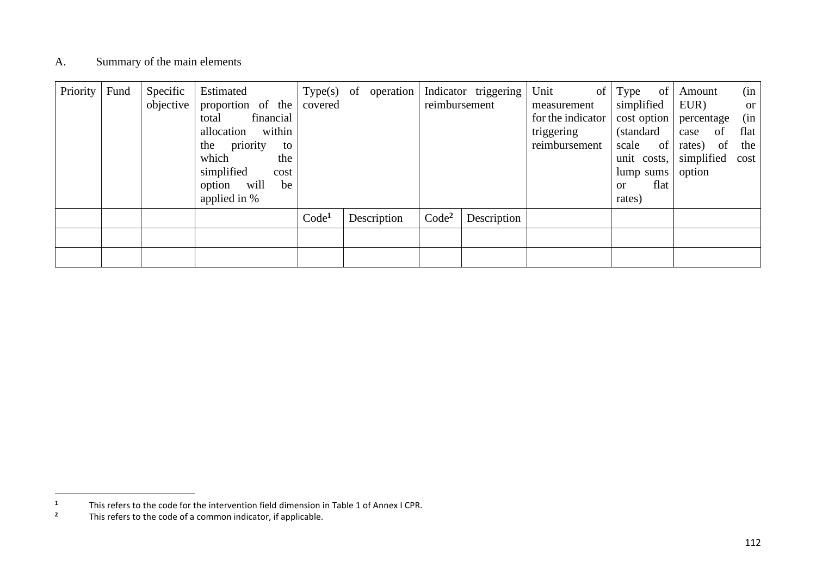#### A. Summary of the main elements

| Priority | Fund | Specific<br>objective | Estimated<br>proportion of the<br>financial<br>total<br>allocation within<br>the<br>priority<br>to<br>which<br>the<br>simplified<br>cost<br>option will<br>be<br>applied in % | covered           | $Type(s)$ of operation | reimbursement     | Indicator triggering | Unit<br>of  <br>measurement<br>for the indicator<br>triggering<br>reimbursement | Type<br>simplified<br>cost option<br>(standard)<br>scale<br>unit costs,<br>lump sums<br>$\alpha$<br>rates) | of<br>of<br>flat | Amount<br>EUR)<br>percentage<br>of<br>case<br>of<br>rates)<br>simplified cost<br>option | (in<br><b>or</b><br>(in<br>flat<br>the |
|----------|------|-----------------------|-------------------------------------------------------------------------------------------------------------------------------------------------------------------------------|-------------------|------------------------|-------------------|----------------------|---------------------------------------------------------------------------------|------------------------------------------------------------------------------------------------------------|------------------|-----------------------------------------------------------------------------------------|----------------------------------------|
|          |      |                       |                                                                                                                                                                               | Code <sup>1</sup> | Description            | Code <sup>2</sup> | Description          |                                                                                 |                                                                                                            |                  |                                                                                         |                                        |
|          |      |                       |                                                                                                                                                                               |                   |                        |                   |                      |                                                                                 |                                                                                                            |                  |                                                                                         |                                        |
|          |      |                       |                                                                                                                                                                               |                   |                        |                   |                      |                                                                                 |                                                                                                            |                  |                                                                                         |                                        |

<sup>&</sup>lt;sup>1</sup> This refers to the code for the intervention field dimension in Table 1 of Annex I CPR.<br><sup>2</sup> This refers to the code of a common indicator, if annicable

**<sup>2</sup>** This refers to the code of a common indicator, if applicable.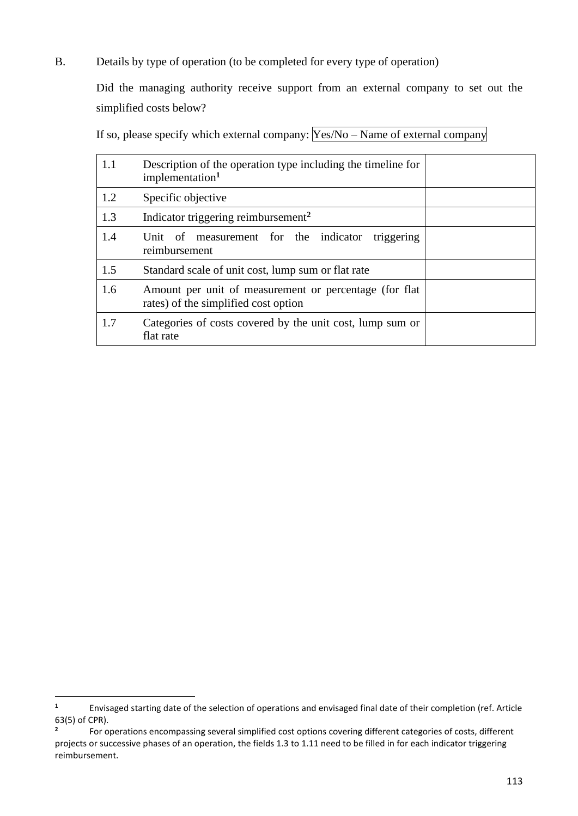B. Details by type of operation (to be completed for every type of operation)

Did the managing authority receive support from an external company to set out the simplified costs below?

If so, please specify which external company:  $Yes/No - Name$  of external company

| 1.1 | Description of the operation type including the timeline for<br>implementation <sup>1</sup>     |  |  |  |
|-----|-------------------------------------------------------------------------------------------------|--|--|--|
| 1.2 | Specific objective                                                                              |  |  |  |
| 1.3 | Indicator triggering reimbursement <sup>2</sup>                                                 |  |  |  |
| 1.4 | measurement for the indicator<br>triggering<br>- of<br>Unit<br>reimbursement                    |  |  |  |
| 1.5 | Standard scale of unit cost, lump sum or flat rate                                              |  |  |  |
| 1.6 | Amount per unit of measurement or percentage (for flat)<br>rates) of the simplified cost option |  |  |  |
| 1.7 | Categories of costs covered by the unit cost, lump sum or<br>flat rate                          |  |  |  |

**<sup>1</sup>** Envisaged starting date of the selection of operations and envisaged final date of their completion (ref. Article 63(5) of CPR).

**<sup>2</sup>** For operations encompassing several simplified cost options covering different categories of costs, different projects or successive phases of an operation, the fields 1.3 to 1.11 need to be filled in for each indicator triggering reimbursement.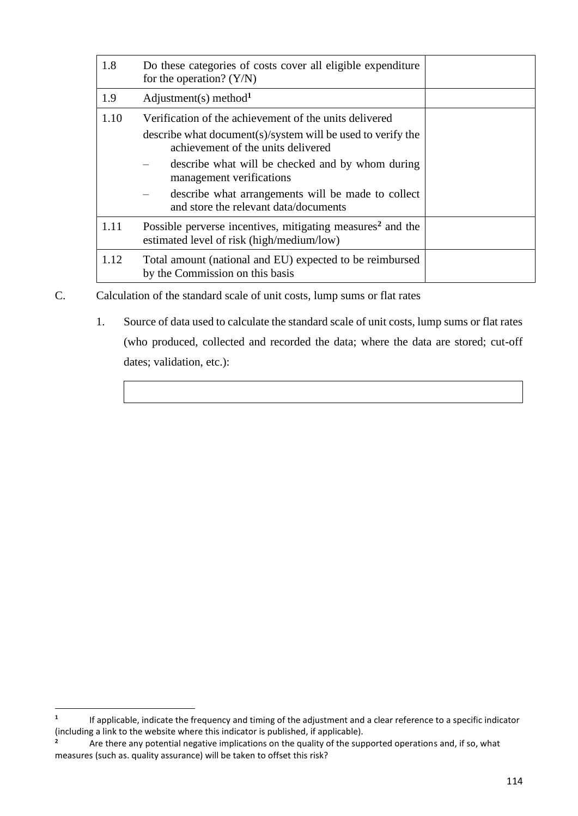| 1.8  | Do these categories of costs cover all eligible expenditure<br>for the operation? $(Y/N)$                                                                                                                                                                                                                                                  |  |  |  |  |  |
|------|--------------------------------------------------------------------------------------------------------------------------------------------------------------------------------------------------------------------------------------------------------------------------------------------------------------------------------------------|--|--|--|--|--|
| 1.9  | Adjustment(s) method <sup>1</sup>                                                                                                                                                                                                                                                                                                          |  |  |  |  |  |
| 1.10 | Verification of the achievement of the units delivered<br>describe what document(s)/system will be used to verify the<br>achievement of the units delivered<br>describe what will be checked and by whom during<br>management verifications<br>describe what arrangements will be made to collect<br>and store the relevant data/documents |  |  |  |  |  |
| 1.11 | Possible perverse incentives, mitigating measures <sup>2</sup> and the<br>estimated level of risk (high/medium/low)                                                                                                                                                                                                                        |  |  |  |  |  |
| 1.12 | Total amount (national and EU) expected to be reimbursed<br>by the Commission on this basis                                                                                                                                                                                                                                                |  |  |  |  |  |

- C. Calculation of the standard scale of unit costs, lump sums or flat rates
	- 1. Source of data used to calculate the standard scale of unit costs, lump sums or flat rates (who produced, collected and recorded the data; where the data are stored; cut-off dates; validation, etc.):

**<sup>1</sup>** If applicable, indicate the frequency and timing of the adjustment and a clear reference to a specific indicator (including a link to the website where this indicator is published, if applicable).

**<sup>2</sup>** Are there any potential negative implications on the quality of the supported operations and, if so, what measures (such as. quality assurance) will be taken to offset this risk?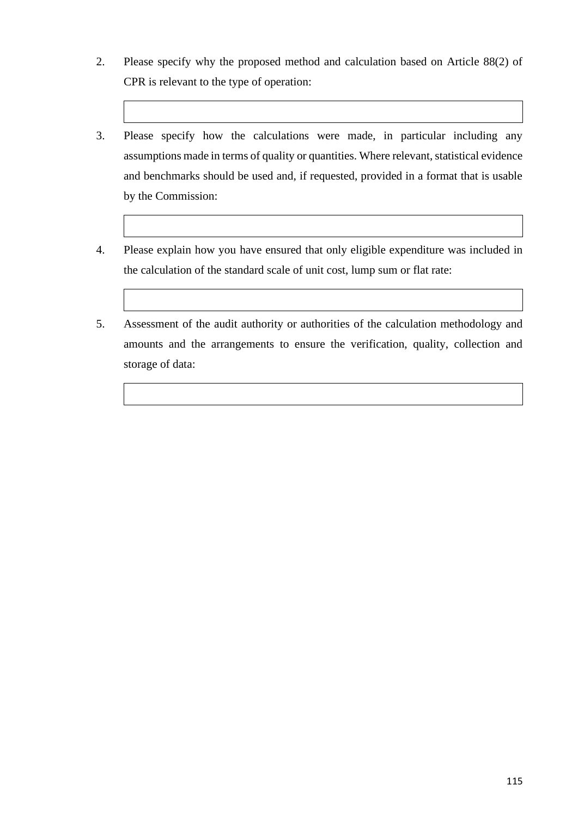- 2. Please specify why the proposed method and calculation based on Article 88(2) of CPR is relevant to the type of operation:
- 3. Please specify how the calculations were made, in particular including any assumptions made in terms of quality or quantities. Where relevant, statistical evidence and benchmarks should be used and, if requested, provided in a format that is usable by the Commission:
- 4. Please explain how you have ensured that only eligible expenditure was included in the calculation of the standard scale of unit cost, lump sum or flat rate:
- 5. Assessment of the audit authority or authorities of the calculation methodology and amounts and the arrangements to ensure the verification, quality, collection and storage of data: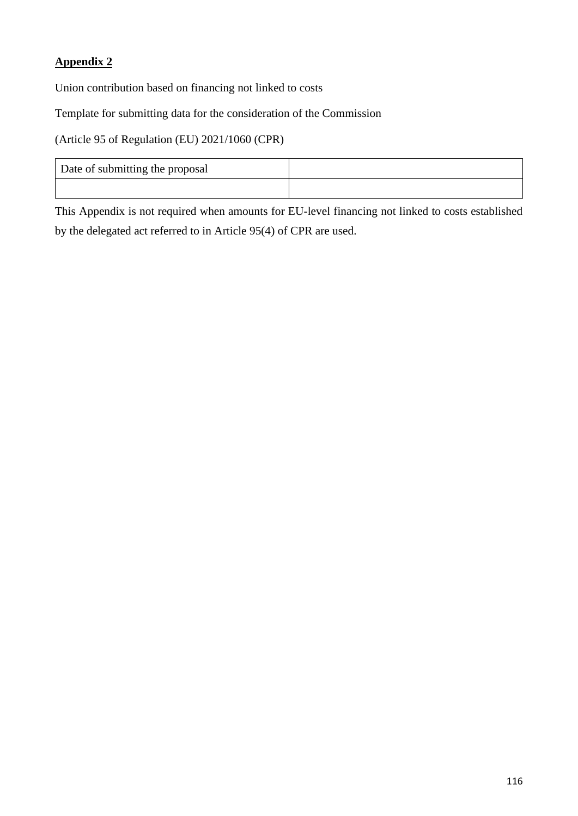## **Appendix 2**

Union contribution based on financing not linked to costs

Template for submitting data for the consideration of the Commission

(Article 95 of Regulation (EU) 2021/1060 (CPR)

| Date of submitting the proposal |  |
|---------------------------------|--|
|                                 |  |

This Appendix is not required when amounts for EU-level financing not linked to costs established by the delegated act referred to in Article 95(4) of CPR are used.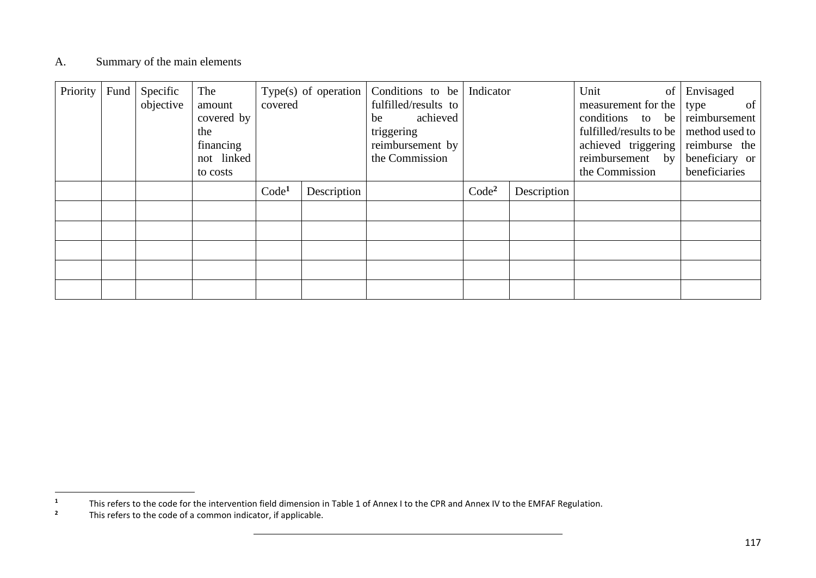### A. Summary of the main elements

| Priority | Fund | Specific<br>objective | The<br>amount<br>covered by<br>the<br>financing<br>not linked<br>to costs | covered           | Type(s) of operation $\vert$ | Conditions to be   Indicator<br>fulfilled/results to<br>achieved<br>be<br>triggering<br>reimbursement by<br>the Commission |                   |             | Unit<br>of<br>measurement for the<br>conditions to be<br>fulfilled/results to be<br>achieved triggering<br>reimbursement by<br>the Commission | Envisaged<br>$\sigma$ f<br>type<br>reimbursement<br>method used to<br>reimburse the<br>beneficiary or<br>beneficiaries |
|----------|------|-----------------------|---------------------------------------------------------------------------|-------------------|------------------------------|----------------------------------------------------------------------------------------------------------------------------|-------------------|-------------|-----------------------------------------------------------------------------------------------------------------------------------------------|------------------------------------------------------------------------------------------------------------------------|
|          |      |                       |                                                                           | Code <sup>1</sup> | Description                  |                                                                                                                            | Code <sup>2</sup> | Description |                                                                                                                                               |                                                                                                                        |
|          |      |                       |                                                                           |                   |                              |                                                                                                                            |                   |             |                                                                                                                                               |                                                                                                                        |
|          |      |                       |                                                                           |                   |                              |                                                                                                                            |                   |             |                                                                                                                                               |                                                                                                                        |
|          |      |                       |                                                                           |                   |                              |                                                                                                                            |                   |             |                                                                                                                                               |                                                                                                                        |
|          |      |                       |                                                                           |                   |                              |                                                                                                                            |                   |             |                                                                                                                                               |                                                                                                                        |
|          |      |                       |                                                                           |                   |                              |                                                                                                                            |                   |             |                                                                                                                                               |                                                                                                                        |

<sup>&</sup>lt;sup>1</sup> This refers to the code for the intervention field dimension in Table 1 of Annex I to the CPR and Annex IV to the EMFAF Regulation.<br><sup>2</sup> This refers to the code of a common indicator, if annicable

**<sup>2</sup>** This refers to the code of a common indicator, if applicable.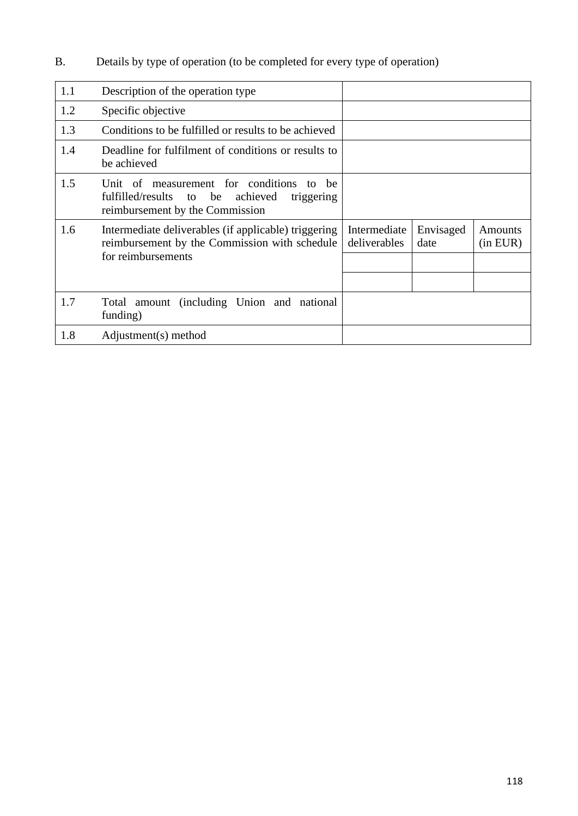B. Details by type of operation (to be completed for every type of operation)

| 1.1 | Description of the operation type                                                                                                      |                              |                   |                     |
|-----|----------------------------------------------------------------------------------------------------------------------------------------|------------------------------|-------------------|---------------------|
| 1.2 | Specific objective                                                                                                                     |                              |                   |                     |
| 1.3 | Conditions to be fulfilled or results to be achieved                                                                                   |                              |                   |                     |
| 1.4 | Deadline for fulfilment of conditions or results to<br>be achieved                                                                     |                              |                   |                     |
| 1.5 | Unit of measurement for conditions<br>he<br>to<br>fulfilled/results to be<br>achieved<br>triggering<br>reimbursement by the Commission |                              |                   |                     |
| 1.6 | Intermediate deliverables (if applicable) triggering<br>reimbursement by the Commission with schedule<br>for reimbursements            | Intermediate<br>deliverables | Envisaged<br>date | Amounts<br>(in EUR) |
| 1.7 | Total amount (including Union and national<br>funding)                                                                                 |                              |                   |                     |
| 1.8 | Adjustment(s) method                                                                                                                   |                              |                   |                     |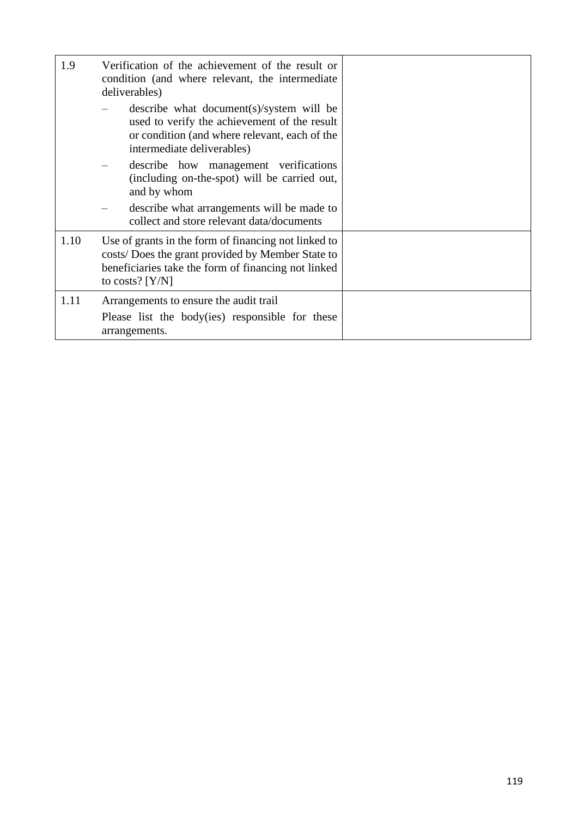| 1.9  | Verification of the achievement of the result or<br>condition (and where relevant, the intermediate<br>deliverables)                                                                  |  |
|------|---------------------------------------------------------------------------------------------------------------------------------------------------------------------------------------|--|
|      | describe what document (s)/system will be<br>used to verify the achievement of the result<br>or condition (and where relevant, each of the<br>intermediate deliverables)              |  |
|      | describe how management verifications<br>(including on-the-spot) will be carried out,<br>and by whom                                                                                  |  |
|      | describe what arrangements will be made to<br>collect and store relevant data/documents                                                                                               |  |
| 1.10 | Use of grants in the form of financing not linked to<br>costs/ Does the grant provided by Member State to<br>beneficiaries take the form of financing not linked<br>to costs? $[Y/N]$ |  |
| 1.11 | Arrangements to ensure the audit trail                                                                                                                                                |  |
|      | Please list the body(ies) responsible for these<br>arrangements.                                                                                                                      |  |